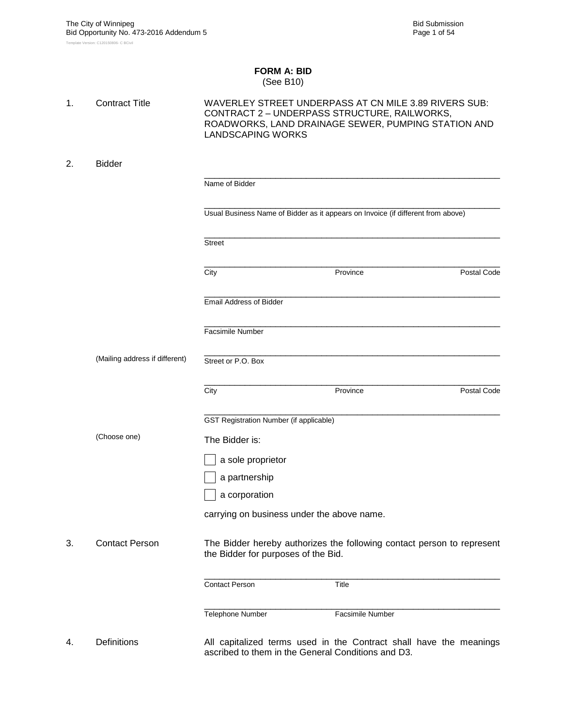#### **FORM A: BID** (See B10)

| 1. | <b>Contract Title</b>          | <b>LANDSCAPING WORKS</b>                           | WAVERLEY STREET UNDERPASS AT CN MILE 3.89 RIVERS SUB:<br>CONTRACT 2 - UNDERPASS STRUCTURE, RAILWORKS,<br>ROADWORKS, LAND DRAINAGE SEWER, PUMPING STATION AND |             |
|----|--------------------------------|----------------------------------------------------|--------------------------------------------------------------------------------------------------------------------------------------------------------------|-------------|
| 2. | <b>Bidder</b>                  |                                                    |                                                                                                                                                              |             |
|    |                                | Name of Bidder                                     |                                                                                                                                                              |             |
|    |                                |                                                    | Usual Business Name of Bidder as it appears on Invoice (if different from above)                                                                             |             |
|    |                                | <b>Street</b>                                      |                                                                                                                                                              |             |
|    |                                | City                                               | Province                                                                                                                                                     | Postal Code |
|    |                                | <b>Email Address of Bidder</b>                     |                                                                                                                                                              |             |
|    |                                | Facsimile Number                                   |                                                                                                                                                              |             |
|    | (Mailing address if different) | Street or P.O. Box                                 |                                                                                                                                                              |             |
|    |                                | City                                               | Province                                                                                                                                                     | Postal Code |
|    |                                | <b>GST Registration Number (if applicable)</b>     |                                                                                                                                                              |             |
|    | (Choose one)                   | The Bidder is:                                     |                                                                                                                                                              |             |
|    |                                | a sole proprietor                                  |                                                                                                                                                              |             |
|    |                                | a partnership                                      |                                                                                                                                                              |             |
|    |                                | a corporation                                      |                                                                                                                                                              |             |
|    |                                | carrying on business under the above name.         |                                                                                                                                                              |             |
| 3. | <b>Contact Person</b>          | the Bidder for purposes of the Bid.                | The Bidder hereby authorizes the following contact person to represent                                                                                       |             |
|    |                                | <b>Contact Person</b>                              | Title                                                                                                                                                        |             |
|    |                                | Telephone Number                                   | Facsimile Number                                                                                                                                             |             |
| 4. | <b>Definitions</b>             | ascribed to them in the General Conditions and D3. | All capitalized terms used in the Contract shall have the meanings                                                                                           |             |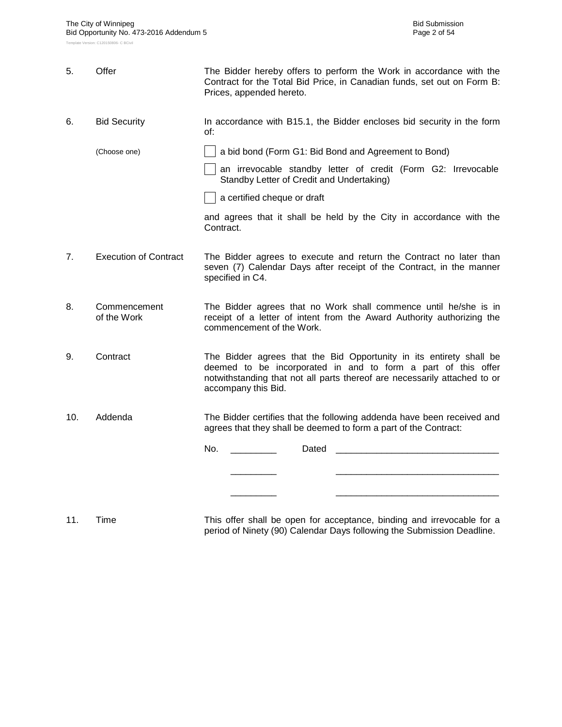| 5.  | Offer                        | The Bidder hereby offers to perform the Work in accordance with the<br>Contract for the Total Bid Price, in Canadian funds, set out on Form B:<br>Prices, appended hereto.                                                               |  |  |  |  |  |  |
|-----|------------------------------|------------------------------------------------------------------------------------------------------------------------------------------------------------------------------------------------------------------------------------------|--|--|--|--|--|--|
| 6.  | <b>Bid Security</b>          | In accordance with B15.1, the Bidder encloses bid security in the form<br>of:                                                                                                                                                            |  |  |  |  |  |  |
|     | (Choose one)                 | a bid bond (Form G1: Bid Bond and Agreement to Bond)                                                                                                                                                                                     |  |  |  |  |  |  |
|     |                              | an irrevocable standby letter of credit (Form G2: Irrevocable<br>Standby Letter of Credit and Undertaking)                                                                                                                               |  |  |  |  |  |  |
|     |                              | a certified cheque or draft                                                                                                                                                                                                              |  |  |  |  |  |  |
|     |                              | and agrees that it shall be held by the City in accordance with the<br>Contract.                                                                                                                                                         |  |  |  |  |  |  |
| 7.  | <b>Execution of Contract</b> | The Bidder agrees to execute and return the Contract no later than<br>seven (7) Calendar Days after receipt of the Contract, in the manner<br>specified in C4.                                                                           |  |  |  |  |  |  |
| 8.  | Commencement<br>of the Work  | The Bidder agrees that no Work shall commence until he/she is in<br>receipt of a letter of intent from the Award Authority authorizing the<br>commencement of the Work.                                                                  |  |  |  |  |  |  |
| 9.  | Contract                     | The Bidder agrees that the Bid Opportunity in its entirety shall be<br>deemed to be incorporated in and to form a part of this offer<br>notwithstanding that not all parts thereof are necessarily attached to or<br>accompany this Bid. |  |  |  |  |  |  |
| 10. | Addenda                      | The Bidder certifies that the following addenda have been received and<br>agrees that they shall be deemed to form a part of the Contract:                                                                                               |  |  |  |  |  |  |
|     |                              | No.<br>Dated                                                                                                                                                                                                                             |  |  |  |  |  |  |
|     |                              |                                                                                                                                                                                                                                          |  |  |  |  |  |  |
|     |                              |                                                                                                                                                                                                                                          |  |  |  |  |  |  |
|     |                              |                                                                                                                                                                                                                                          |  |  |  |  |  |  |

11. Time This offer shall be open for acceptance, binding and irrevocable for a period of Ninety (90) Calendar Days following the Submission Deadline.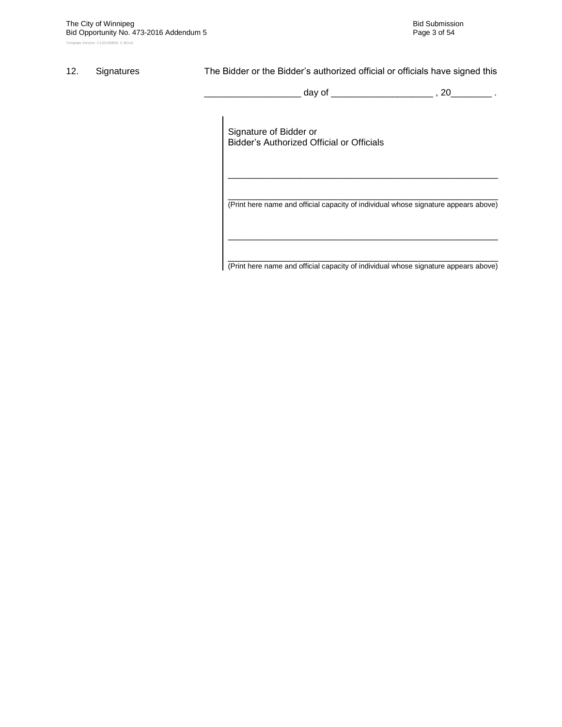### 12. Signatures The Bidder or the Bidder's authorized official or officials have signed this

\_ day of \_\_\_\_\_\_\_\_\_\_\_\_\_\_\_\_\_\_\_\_\_\_ , 20\_\_\_\_\_\_\_\_\_ .

Signature of Bidder or Bidder"s Authorized Official or Officials

\_\_\_\_\_\_\_\_\_\_\_\_\_\_\_\_\_\_\_\_\_\_\_\_\_\_\_\_\_\_\_\_\_\_\_\_\_\_\_\_\_\_\_\_\_\_\_\_\_\_\_\_\_ (Print here name and official capacity of individual whose signature appears above)

\_\_\_\_\_\_\_\_\_\_\_\_\_\_\_\_\_\_\_\_\_\_\_\_\_\_\_\_\_\_\_\_\_\_\_\_\_\_\_\_\_\_\_\_\_\_\_\_\_\_\_\_\_

\_\_\_\_\_\_\_\_\_\_\_\_\_\_\_\_\_\_\_\_\_\_\_\_\_\_\_\_\_\_\_\_\_\_\_\_\_\_\_\_\_\_\_\_\_\_\_\_\_\_\_\_\_ (Print here name and official capacity of individual whose signature appears above)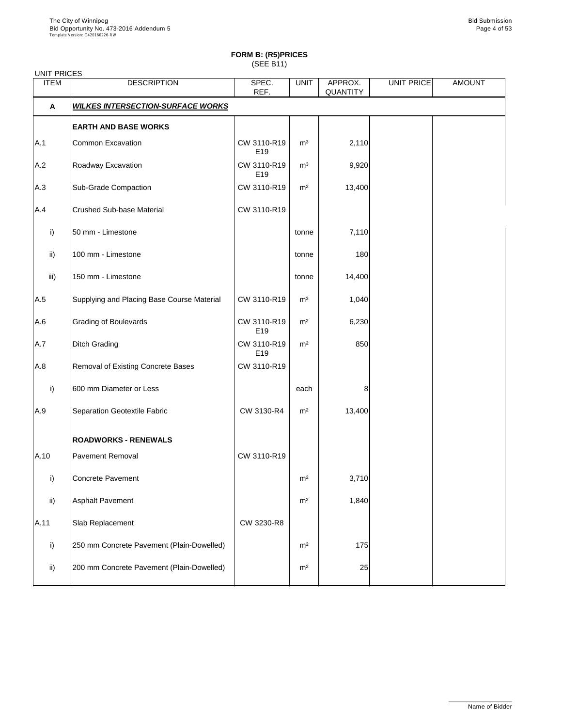| <b>UNIT PRICES</b> |                                            |                                |                |                            |            |               |
|--------------------|--------------------------------------------|--------------------------------|----------------|----------------------------|------------|---------------|
| <b>ITEM</b>        | <b>DESCRIPTION</b>                         | SPEC.<br>REF.                  | <b>UNIT</b>    | APPROX.<br><b>QUANTITY</b> | UNIT PRICE | <b>AMOUNT</b> |
| $\mathsf{A}$       | <b>WILKES INTERSECTION-SURFACE WORKS</b>   |                                |                |                            |            |               |
|                    | <b>EARTH AND BASE WORKS</b>                |                                |                |                            |            |               |
| A.1                | <b>Common Excavation</b>                   | CW 3110-R19<br>E <sub>19</sub> | m <sup>3</sup> | 2,110                      |            |               |
| A.2                | Roadway Excavation                         | CW 3110-R19<br>E <sub>19</sub> | m <sup>3</sup> | 9,920                      |            |               |
| A.3                | <b>Sub-Grade Compaction</b>                | CW 3110-R19                    | m <sup>2</sup> | 13,400                     |            |               |
| A.4                | <b>Crushed Sub-base Material</b>           | CW 3110-R19                    |                |                            |            |               |
| i)                 | 50 mm - Limestone                          |                                | tonne          | 7,110                      |            |               |
| $\mathsf{ii}$ )    | 100 mm - Limestone                         |                                | tonne          | 180                        |            |               |
| iii)               | 150 mm - Limestone                         |                                | tonne          | 14,400                     |            |               |
| A.5                | Supplying and Placing Base Course Material | CW 3110-R19                    | m <sup>3</sup> | 1,040                      |            |               |
| A.6                | <b>Grading of Boulevards</b>               | CW 3110-R19<br>E <sub>19</sub> | m <sup>2</sup> | 6,230                      |            |               |
| A.7                | <b>Ditch Grading</b>                       | CW 3110-R19<br>E19             | m <sup>2</sup> | 850                        |            |               |
| A.8                | <b>Removal of Existing Concrete Bases</b>  | CW 3110-R19                    |                |                            |            |               |
| i)                 | 600 mm Diameter or Less                    |                                | each           | 8                          |            |               |
| A.9                | <b>Separation Geotextile Fabric</b>        | CW 3130-R4                     | m <sup>2</sup> | 13,400                     |            |               |
|                    | <b>ROADWORKS - RENEWALS</b>                |                                |                |                            |            |               |
| A.10               | <b>Pavement Removal</b>                    | CW 3110-R19                    |                |                            |            |               |
| i)                 | <b>Concrete Pavement</b>                   |                                | m <sup>2</sup> | 3,710                      |            |               |
| $\mathsf{ii}$      | <b>Asphalt Pavement</b>                    |                                | m <sup>2</sup> | 1,840                      |            |               |
| A.11               | Slab Replacement                           | CW 3230-R8                     |                |                            |            |               |
| i)                 | 250 mm Concrete Pavement (Plain-Dowelled)  |                                | m <sup>2</sup> | 175                        |            |               |
|                    |                                            |                                |                |                            |            |               |

| -::\ | 200 mm Concrete Pavement (Plain-Dowelled) | m <sup>2</sup> |  |  |
|------|-------------------------------------------|----------------|--|--|
|      |                                           |                |  |  |

\_\_\_\_\_\_\_\_\_\_\_\_\_\_\_\_\_\_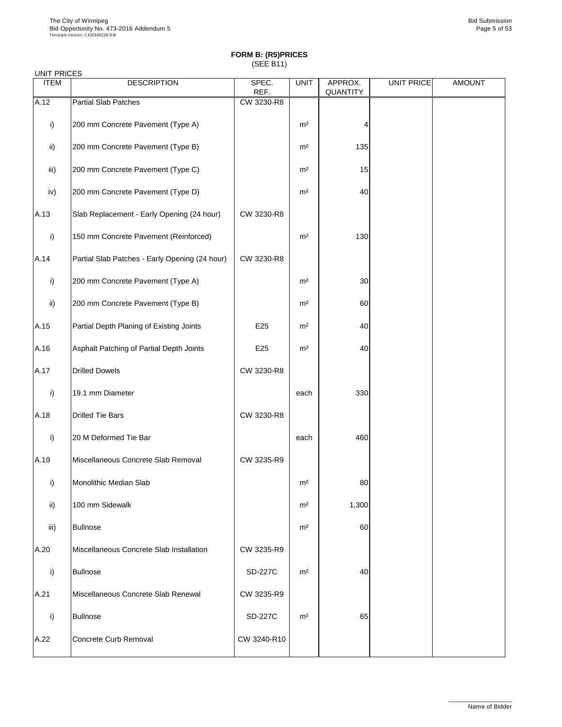### UNIT PRICES

| <b>ITEM</b>   | <b>DESCRIPTION</b>                             | SPEC.<br>REF. | <b>UNIT</b>    | APPROX.<br><b>QUANTITY</b> | UNIT PRICE | <b>AMOUNT</b> |
|---------------|------------------------------------------------|---------------|----------------|----------------------------|------------|---------------|
| A.12          | <b>Partial Slab Patches</b>                    | CW 3230-R8    |                |                            |            |               |
| i)            | 200 mm Concrete Pavement (Type A)              |               | m <sup>2</sup> |                            |            |               |
| $\mathsf{ii}$ | 200 mm Concrete Pavement (Type B)              |               | m <sup>2</sup> | 135                        |            |               |
| iii)          | 200 mm Concrete Pavement (Type C)              |               | m <sup>2</sup> | 15                         |            |               |
| iv)           | 200 mm Concrete Pavement (Type D)              |               | m <sup>2</sup> | 40                         |            |               |
| A.13          | Slab Replacement - Early Opening (24 hour)     | CW 3230-R8    |                |                            |            |               |
| i)            | 150 mm Concrete Pavement (Reinforced)          |               | m <sup>2</sup> | 130                        |            |               |
| A.14          | Partial Slab Patches - Early Opening (24 hour) | CW 3230-R8    |                |                            |            |               |
| i)            | 200 mm Concrete Pavement (Type A)              |               | m <sup>2</sup> | 30 <sub>l</sub>            |            |               |
| $\mathsf{ii}$ | 200 mm Concrete Pavement (Type B)              |               | m <sup>2</sup> | 60                         |            |               |
| A.15          | Partial Depth Planing of Existing Joints       | E25           | m <sup>2</sup> | 40                         |            |               |
| A.16          | Asphalt Patching of Partial Depth Joints       | E25           | m <sup>2</sup> | 40                         |            |               |
| A.17          | <b>Drilled Dowels</b>                          | CW 3230-R8    |                |                            |            |               |
| i)            | 19.1 mm Diameter                               |               | each           | 330                        |            |               |
| A.18          | <b>Drilled Tie Bars</b>                        | CW 3230-R8    |                |                            |            |               |
| i)            | 20 M Deformed Tie Bar                          |               | each           | 460                        |            |               |
| A.19          | Miscellaneous Concrete Slab Removal            | CW 3235-R9    |                |                            |            |               |
| $\mathsf{i}$  | <b>Monolithic Median Slab</b>                  |               | m <sup>2</sup> | 80                         |            |               |
| $\mathsf{ii}$ | 100 mm Sidewalk                                |               | m <sup>2</sup> | 1,300                      |            |               |
| iii)          | <b>Bullnose</b>                                |               | m <sup>2</sup> | 60                         |            |               |
| A.20          | Miscellaneous Concrete Slab Installation       | CW 3235-R9    |                |                            |            |               |

|      | Bullnose                            | <b>SD-227C</b> | m <sup>2</sup> | 40 |  |
|------|-------------------------------------|----------------|----------------|----|--|
| A.21 | Miscellaneous Concrete Slab Renewal | CW 3235-R9     |                |    |  |
|      | Bullnose                            | <b>SD-227C</b> | m <sup>2</sup> | 65 |  |
| A.22 | Concrete Curb Removal               | CW 3240-R10    |                |    |  |

\_\_\_\_\_\_\_\_\_\_\_\_\_\_\_\_\_\_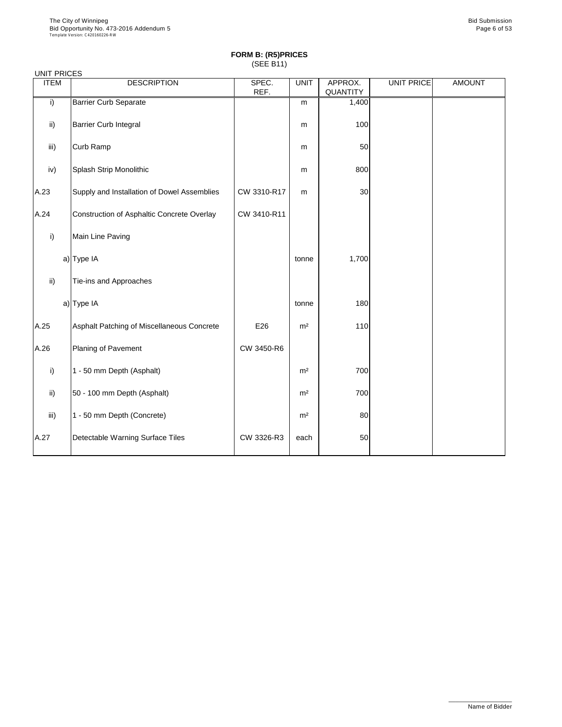| <b>UNIT PRICES</b> |                                             |               |                |                     |                   |               |
|--------------------|---------------------------------------------|---------------|----------------|---------------------|-------------------|---------------|
| <b>ITEM</b>        | <b>DESCRIPTION</b>                          | SPEC.<br>REF. | <b>UNIT</b>    | APPROX.<br>QUANTITY | <b>UNIT PRICE</b> | <b>AMOUNT</b> |
| i)                 | <b>Barrier Curb Separate</b>                |               | m              | 1,400               |                   |               |
| ii)                | <b>Barrier Curb Integral</b>                |               | m              | 100                 |                   |               |
| iii)               | Curb Ramp                                   |               | m              | 50                  |                   |               |
| iv)                | Splash Strip Monolithic                     |               | m              | 800                 |                   |               |
| A.23               | Supply and Installation of Dowel Assemblies | CW 3310-R17   | m              | 30                  |                   |               |
| A.24               | Construction of Asphaltic Concrete Overlay  | CW 3410-R11   |                |                     |                   |               |
| i)                 | Main Line Paving                            |               |                |                     |                   |               |
|                    | a) Type IA                                  |               | tonne          | 1,700               |                   |               |
| $\mathsf{ii}$ )    | Tie-ins and Approaches                      |               |                |                     |                   |               |
|                    | a) Type IA                                  |               | tonne          | 180                 |                   |               |
| A.25               | Asphalt Patching of Miscellaneous Concrete  | E26           | m <sup>2</sup> | 110                 |                   |               |
| A.26               | Planing of Pavement                         | CW 3450-R6    |                |                     |                   |               |
| i)                 | 1 - 50 mm Depth (Asphalt)                   |               | m <sup>2</sup> | 700                 |                   |               |
| $\mathsf{ii}$      | 50 - 100 mm Depth (Asphalt)                 |               | m <sup>2</sup> | 700                 |                   |               |
| iii)               | 1 - 50 mm Depth (Concrete)                  |               | m <sup>2</sup> | 80                  |                   |               |
| A.27               | Detectable Warning Surface Tiles            | CW 3326-R3    | each           | 50                  |                   |               |

\_\_\_\_\_\_\_\_\_\_\_\_\_\_\_\_\_\_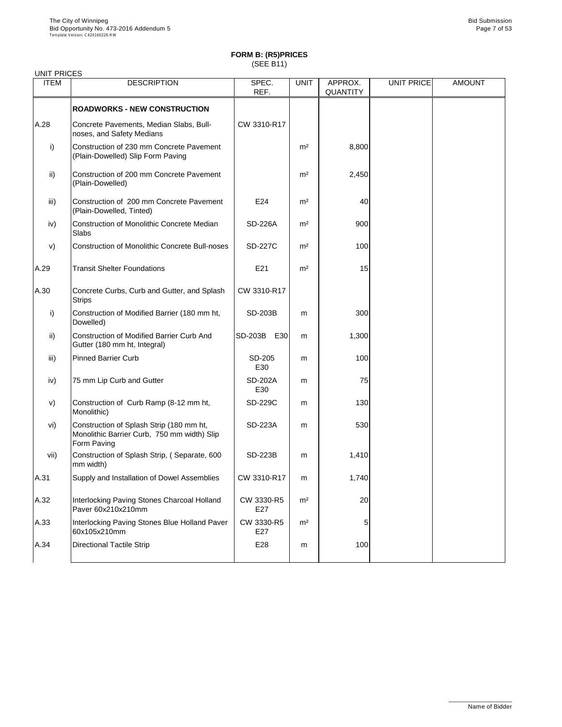| <b>ITEM</b>   | <b>DESCRIPTION</b>                                                                                     | SPEC.<br>REF.         | <b>UNIT</b>    | APPROX.<br><b>QUANTITY</b> | <b>UNIT PRICE</b> | <b>AMOUNT</b> |
|---------------|--------------------------------------------------------------------------------------------------------|-----------------------|----------------|----------------------------|-------------------|---------------|
|               | <b>ROADWORKS - NEW CONSTRUCTION</b>                                                                    |                       |                |                            |                   |               |
| A.28          | Concrete Pavements, Median Slabs, Bull-<br>noses, and Safety Medians                                   | CW 3310-R17           |                |                            |                   |               |
| i)            | Construction of 230 mm Concrete Pavement<br>(Plain-Dowelled) Slip Form Paving                          |                       | m <sup>2</sup> | 8,800                      |                   |               |
| $\mathsf{ii}$ | Construction of 200 mm Concrete Pavement<br>(Plain-Dowelled)                                           |                       | m <sup>2</sup> | 2,450                      |                   |               |
| iii)          | Construction of 200 mm Concrete Pavement<br>(Plain-Dowelled, Tinted)                                   | E24                   | m <sup>2</sup> | 40                         |                   |               |
| iv)           | <b>Construction of Monolithic Concrete Median</b><br><b>Slabs</b>                                      | <b>SD-226A</b>        | m <sup>2</sup> | 900                        |                   |               |
| V)            | <b>Construction of Monolithic Concrete Bull-noses</b>                                                  | <b>SD-227C</b>        | m <sup>2</sup> | 100                        |                   |               |
| A.29          | <b>Transit Shelter Foundations</b>                                                                     | E21                   | m <sup>2</sup> | 15                         |                   |               |
| A.30          | Concrete Curbs, Curb and Gutter, and Splash<br><b>Strips</b>                                           | CW 3310-R17           |                |                            |                   |               |
| $\mathsf{i}$  | Construction of Modified Barrier (180 mm ht,<br>Dowelled)                                              | <b>SD-203B</b>        | m              | 300                        |                   |               |
| $\mathsf{ii}$ | <b>Construction of Modified Barrier Curb And</b><br>Gutter (180 mm ht, Integral)                       | <b>SD-203B</b><br>E30 | m              | 1,300                      |                   |               |
| iii)          | <b>Pinned Barrier Curb</b>                                                                             | SD-205<br>E30         | m              | 100                        |                   |               |
| iv)           | 75 mm Lip Curb and Gutter                                                                              | <b>SD-202A</b><br>E30 | m              | 75                         |                   |               |
| V)            | Construction of Curb Ramp (8-12 mm ht,<br>Monolithic)                                                  | <b>SD-229C</b>        | m              | 130                        |                   |               |
| vi)           | Construction of Splash Strip (180 mm ht,<br>Monolithic Barrier Curb, 750 mm width) Slip<br>Form Paving | <b>SD-223A</b>        | m              | 530                        |                   |               |
| vii)          | Construction of Splash Strip, (Separate, 600<br>mm width)                                              | <b>SD-223B</b>        | m              | 1,410                      |                   |               |
| A.31          | Supply and Installation of Dowel Assemblies                                                            | CW 3310-R17           | m              | 1,740                      |                   |               |
| A.32          | Interlocking Paving Stones Charcoal Holland<br>Paver 60x210x210mm                                      | CW 3330-R5<br>E27     | m <sup>2</sup> | 20                         |                   |               |
| A.33          | Interlocking Paving Stones Blue Holland Paver<br>60x105x210mm                                          | CW 3330-R5<br>E27     | m <sup>2</sup> | 5                          |                   |               |
| A.34          | <b>Directional Tactile Strip</b>                                                                       | E28                   | m              | 100                        |                   |               |

\_\_\_\_\_\_\_\_\_\_\_\_\_\_\_\_\_\_ Name of Bidder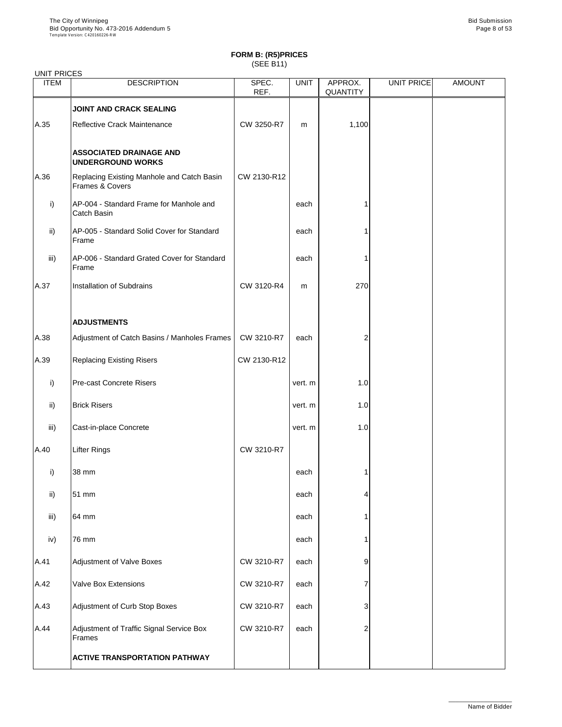| <b>UNIT PRICES</b> |                                                               |                 |                    |                            |            |               |
|--------------------|---------------------------------------------------------------|-----------------|--------------------|----------------------------|------------|---------------|
| <b>ITEM</b>        | <b>DESCRIPTION</b>                                            | SPEC.<br>REF.   | <b>UNIT</b>        | APPROX.<br><b>QUANTITY</b> | UNIT PRICE | <b>AMOUNT</b> |
|                    | <b>JOINT AND CRACK SEALING</b>                                |                 |                    |                            |            |               |
| A.35               | <b>Reflective Crack Maintenance</b>                           | CW 3250-R7      | m                  | 1,100                      |            |               |
|                    | <b>ASSOCIATED DRAINAGE AND</b><br><b>UNDERGROUND WORKS</b>    |                 |                    |                            |            |               |
| A.36               | Replacing Existing Manhole and Catch Basin<br>Frames & Covers | CW 2130-R12     |                    |                            |            |               |
| i)                 | AP-004 - Standard Frame for Manhole and<br>Catch Basin        |                 | each               |                            |            |               |
| $\mathsf{ii}$      | AP-005 - Standard Solid Cover for Standard<br>Frame           |                 | each               |                            |            |               |
| iii)               | AP-006 - Standard Grated Cover for Standard<br>Frame          |                 | each               |                            |            |               |
| A.37               | <b>Installation of Subdrains</b>                              | CW 3120-R4      | m                  | 270                        |            |               |
|                    | <b>ADJUSTMENTS</b>                                            |                 |                    |                            |            |               |
| A.38               | Adjustment of Catch Basins / Manholes Frames                  | CW 3210-R7      | each               | 2                          |            |               |
| A.39               | <b>Replacing Existing Risers</b>                              | CW 2130-R12     |                    |                            |            |               |
| i)                 | <b>Pre-cast Concrete Risers</b>                               |                 | vert. m            | 1.0                        |            |               |
| $\mathsf{ii}$      | <b>Brick Risers</b>                                           |                 | vert. m            | 1.0                        |            |               |
| iii)               | Cast-in-place Concrete                                        |                 | vert. m            | 1.0                        |            |               |
| A.40               | <b>Lifter Rings</b>                                           | CW 3210-R7      |                    |                            |            |               |
| i)                 | 38 mm                                                         |                 | each               |                            |            |               |
| $\mathsf{ii}$      | 51 mm                                                         |                 | each               |                            |            |               |
| iii)               | 64 mm                                                         |                 | each               |                            |            |               |
| iv)                | 76 mm                                                         |                 | each               |                            |            |               |
| $\Lambda$ 1        | Adjustment of Valve Reves                                     | $C_{M}$ 2210 P7 | $\sim$ 0.00 $\sim$ |                            |            |               |

|        | <b>ACTIVE TRANSPORTATION PATHWAY</b>               |            |      |          |  |
|--------|----------------------------------------------------|------------|------|----------|--|
| A.44   | Adjustment of Traffic Signal Service Box<br>Frames | CW 3210-R7 | each | $\Omega$ |  |
| A.43   | Adjustment of Curb Stop Boxes                      | CW 3210-R7 | each | ≏        |  |
| A.42   | <b>Valve Box Extensions</b>                        | CW 3210-R7 | each |          |  |
| IA.4 I | <b>AUJUSTITIERIL OF VAIVE DOXES</b>                | $UVQZUV-K$ | eacn | У        |  |

\_\_\_\_\_\_\_\_\_\_\_\_\_\_\_\_\_\_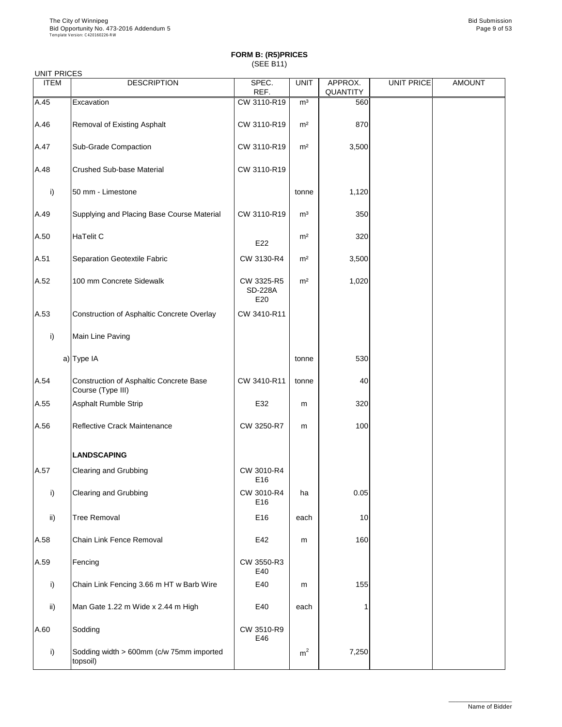|  | <b>UNIT PRICES</b> |
|--|--------------------|
|--|--------------------|

| <b>UNITI INDLU</b><br><b>ITEM</b> | <b>DESCRIPTION</b>                                                  | SPEC.<br>REF.                       | <b>UNIT</b>    | APPROX.<br>QUANTITY | <b>UNIT PRICE</b> | <b>AMOUNT</b> |
|-----------------------------------|---------------------------------------------------------------------|-------------------------------------|----------------|---------------------|-------------------|---------------|
| A.45                              | Excavation                                                          | CW 3110-R19                         | m <sup>3</sup> | 560                 |                   |               |
| A.46                              | <b>Removal of Existing Asphalt</b>                                  | CW 3110-R19                         | m <sup>2</sup> | 870                 |                   |               |
| A.47                              | <b>Sub-Grade Compaction</b>                                         | CW 3110-R19                         | m <sup>2</sup> | 3,500               |                   |               |
| A.48                              | <b>Crushed Sub-base Material</b>                                    | CW 3110-R19                         |                |                     |                   |               |
| i)                                | 50 mm - Limestone                                                   |                                     | tonne          | 1,120               |                   |               |
| A.49                              | Supplying and Placing Base Course Material                          | CW 3110-R19                         | m <sup>3</sup> | 350                 |                   |               |
| A.50                              | <b>HaTelit C</b>                                                    | E22                                 | m <sup>2</sup> | 320                 |                   |               |
| A.51                              | Separation Geotextile Fabric                                        | CW 3130-R4                          | m <sup>2</sup> | 3,500               |                   |               |
| A.52                              | 100 mm Concrete Sidewalk                                            | CW 3325-R5<br><b>SD-228A</b><br>E20 | m <sup>2</sup> | 1,020               |                   |               |
| A.53                              | Construction of Asphaltic Concrete Overlay                          | CW 3410-R11                         |                |                     |                   |               |
| i)                                | Main Line Paving                                                    |                                     |                |                     |                   |               |
|                                   | a) Type IA                                                          |                                     | tonne          | 530                 |                   |               |
| A.54                              | <b>Construction of Asphaltic Concrete Base</b><br>Course (Type III) | CW 3410-R11                         | tonne          | 40                  |                   |               |
| A.55                              | <b>Asphalt Rumble Strip</b>                                         | E32                                 | m              | 320                 |                   |               |
| A.56                              | <b>Reflective Crack Maintenance</b>                                 | CW 3250-R7                          | m              | 100                 |                   |               |
|                                   | <b>LANDSCAPING</b>                                                  |                                     |                |                     |                   |               |
| A.57                              | <b>Clearing and Grubbing</b>                                        | CW 3010-R4<br>E16                   |                |                     |                   |               |
| i)                                | <b>Clearing and Grubbing</b>                                        | CW 3010-R4<br>E16                   | ha             | 0.05                |                   |               |
| $\mathsf{ii}$                     | <b>Tree Removal</b>                                                 | E16                                 | each           | 10                  |                   |               |
| A.58                              | <b>Chain Link Fence Removal</b>                                     | E42                                 | m              | 160                 |                   |               |
| A.59                              | Fencing                                                             | CW 3550-R3<br>E40                   |                |                     |                   |               |
| i)                                | Chain Link Fencing 3.66 m HT w Barb Wire                            | E40                                 | m              | 155                 |                   |               |
| ii)                               | Man Gate 1.22 m Wide x 2.44 m High                                  | E40                                 | each           |                     |                   |               |
| A.60                              | Sodding                                                             | CW 3510-R9<br>E46                   |                |                     |                   |               |
| i)                                | Sodding width > 600mm (c/w 75mm imported<br>topsoil)                |                                     | m <sup>2</sup> | 7,250               |                   |               |

\_\_\_\_\_\_\_\_\_\_\_\_\_\_\_\_\_\_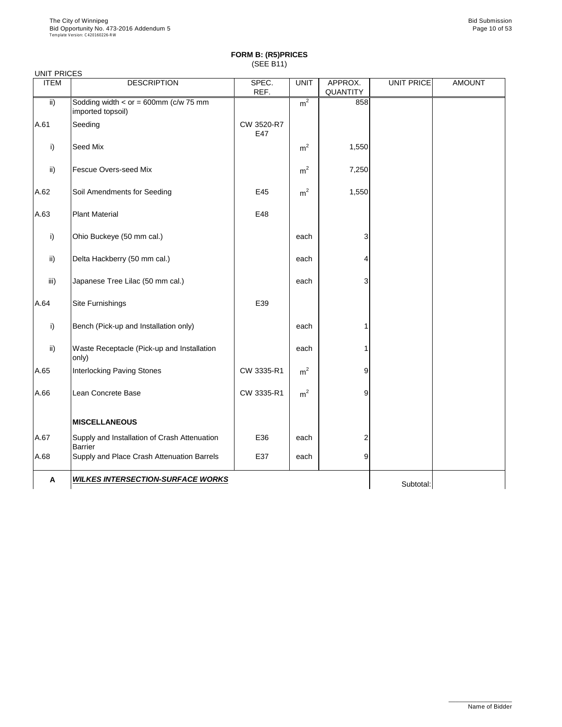| <b>UNIT PRICES</b> |                                                                |                   |                |                            |            |               |
|--------------------|----------------------------------------------------------------|-------------------|----------------|----------------------------|------------|---------------|
| <b>ITEM</b>        | <b>DESCRIPTION</b>                                             | SPEC.<br>REF.     | <b>UNIT</b>    | APPROX.<br><b>QUANTITY</b> | UNIT PRICE | <b>AMOUNT</b> |
| $\mathsf{ii}$      | Sodding width $<$ or = 600mm (c/w 75 mm<br>imported topsoil)   |                   | m <sup>2</sup> | 858                        |            |               |
| A.61               | Seeding                                                        | CW 3520-R7<br>E47 |                |                            |            |               |
| i)                 | Seed Mix                                                       |                   | m <sup>2</sup> | 1,550                      |            |               |
| $\mathsf{ii}$      | <b>Fescue Overs-seed Mix</b>                                   |                   | m <sup>2</sup> | 7,250                      |            |               |
| A.62               | Soil Amendments for Seeding                                    | E45               | m <sup>2</sup> | 1,550                      |            |               |
| A.63               | <b>Plant Material</b>                                          | E48               |                |                            |            |               |
| i)                 | Ohio Buckeye (50 mm cal.)                                      |                   | each           | 3                          |            |               |
| $\mathsf{ii}$ )    | Delta Hackberry (50 mm cal.)                                   |                   | each           | 4                          |            |               |
| iii)               | Japanese Tree Lilac (50 mm cal.)                               |                   | each           | 3                          |            |               |
| A.64               | <b>Site Furnishings</b>                                        | E39               |                |                            |            |               |
| i)                 | Bench (Pick-up and Installation only)                          |                   | each           |                            |            |               |
| $\mathsf{ii}$      | Waste Receptacle (Pick-up and Installation<br>only)            |                   | each           |                            |            |               |
| A.65               | <b>Interlocking Paving Stones</b>                              | CW 3335-R1        | m <sup>2</sup> | $\overline{9}$             |            |               |
| A.66               | Lean Concrete Base                                             | CW 3335-R1        | m <sup>2</sup> | 9                          |            |               |
|                    | <b>MISCELLANEOUS</b>                                           |                   |                |                            |            |               |
| A.67               | Supply and Installation of Crash Attenuation<br><b>Barrier</b> | E36               | each           | 2                          |            |               |
| A.68               | Supply and Place Crash Attenuation Barrels                     | E37               | each           | 9                          |            |               |
| $\mathsf{A}$       | <b>WILKES INTERSECTION-SURFACE WORKS</b>                       |                   |                |                            | Subtotal:  |               |

\_\_\_\_\_\_\_\_\_\_\_\_\_\_\_\_\_\_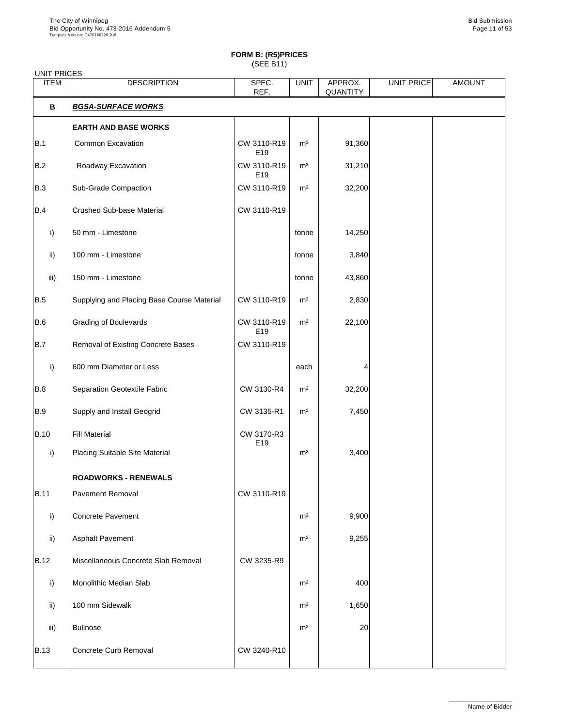# **FORM B: (R5)PRICES**

(SEE B11)

| <b>UNIT PRICES</b> |                                            |                                |                |                            |            |               |
|--------------------|--------------------------------------------|--------------------------------|----------------|----------------------------|------------|---------------|
| <b>ITEM</b>        | <b>DESCRIPTION</b>                         | SPEC.<br>REF.                  | <b>UNIT</b>    | APPROX.<br><b>QUANTITY</b> | UNIT PRICE | <b>AMOUNT</b> |
| B                  | <b>BGSA-SURFACE WORKS</b>                  |                                |                |                            |            |               |
|                    | <b>EARTH AND BASE WORKS</b>                |                                |                |                            |            |               |
| B.1                | <b>Common Excavation</b>                   | CW 3110-R19<br>E <sub>19</sub> | m <sup>3</sup> | 91,360                     |            |               |
| B.2                | Roadway Excavation                         | CW 3110-R19<br>E <sub>19</sub> | m <sup>3</sup> | 31,210                     |            |               |
| B.3                | <b>Sub-Grade Compaction</b>                | CW 3110-R19                    | m <sup>2</sup> | 32,200                     |            |               |
| B.4                | <b>Crushed Sub-base Material</b>           | CW 3110-R19                    |                |                            |            |               |
| $\mathsf{i}$       | 50 mm - Limestone                          |                                | tonne          | 14,250                     |            |               |
| $\mathsf{ii}$      | 100 mm - Limestone                         |                                | tonne          | 3,840                      |            |               |
| iii)               | 150 mm - Limestone                         |                                | tonne          | 43,860                     |            |               |
| B.5                | Supplying and Placing Base Course Material | CW 3110-R19                    | m <sup>3</sup> | 2,830                      |            |               |
| B.6                | <b>Grading of Boulevards</b>               | CW 3110-R19<br>E <sub>19</sub> | m <sup>2</sup> | 22,100                     |            |               |
| B.7                | <b>Removal of Existing Concrete Bases</b>  | CW 3110-R19                    |                |                            |            |               |
| i)                 | 600 mm Diameter or Less                    |                                | each           |                            |            |               |
| B.8                | Separation Geotextile Fabric               | CW 3130-R4                     | m <sup>2</sup> | 32,200                     |            |               |
| B.9                | <b>Supply and Install Geogrid</b>          | CW 3135-R1                     | m <sup>2</sup> | 7,450                      |            |               |
| <b>B.10</b>        | <b>Fill Material</b>                       | CW 3170-R3<br>E19              |                |                            |            |               |
| i)                 | Placing Suitable Site Material             |                                | m <sup>3</sup> | 3,400                      |            |               |
|                    | <b>ROADWORKS - RENEWALS</b>                |                                |                |                            |            |               |
| <b>B.11</b>        | <b>Pavement Removal</b>                    | CW 3110-R19                    |                |                            |            |               |
| i)                 | Concrete Pavement                          |                                | m <sup>2</sup> | 9,900                      |            |               |
| $\mathsf{ii}$      | <b>Asphalt Pavement</b>                    |                                | m <sup>2</sup> | 9,255                      |            |               |
| B.12               | Miscellaneous Concrete Slab Removal        | CW 3235-R9                     |                |                            |            |               |
| i)                 | <b>Monolithic Median Slab</b>              |                                | m <sup>2</sup> | 400                        |            |               |
| ii)                | 100 mm Sidewalk                            |                                | m <sup>2</sup> | 1,650                      |            |               |
| iii)               | <b>Bullnose</b>                            |                                | m <sup>2</sup> | 20                         |            |               |
| B.13               | Concrete Curb Removal                      | CW 3240-R10                    |                |                            |            |               |

\_\_\_\_\_\_\_\_\_\_\_\_\_\_\_\_\_\_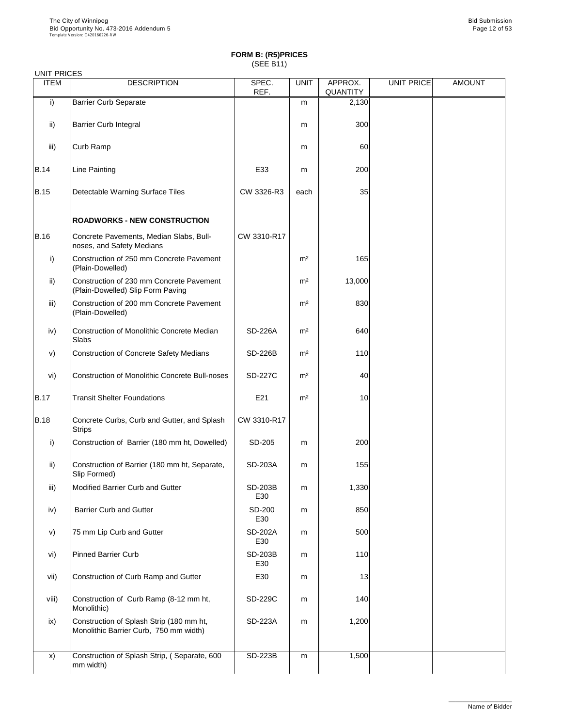| <b>ITEM</b>     | <b>DESCRIPTION</b>                                                            | SPEC.<br>REF.         | <b>UNIT</b>    | APPROX.<br><b>QUANTITY</b> | <b>UNIT PRICE</b> | <b>AMOUNT</b> |
|-----------------|-------------------------------------------------------------------------------|-----------------------|----------------|----------------------------|-------------------|---------------|
| $\mathsf{i}$    | <b>Barrier Curb Separate</b>                                                  |                       | m              | 2,130                      |                   |               |
| $\mathsf{ii}$ ) | <b>Barrier Curb Integral</b>                                                  |                       | m              | 300                        |                   |               |
| iii)            | Curb Ramp                                                                     |                       | m              | 60                         |                   |               |
| <b>B.14</b>     | Line Painting                                                                 | E33                   | m              | 200                        |                   |               |
| <b>B.15</b>     | Detectable Warning Surface Tiles                                              | CW 3326-R3            | each           | 35                         |                   |               |
|                 | <b>ROADWORKS - NEW CONSTRUCTION</b>                                           |                       |                |                            |                   |               |
| <b>B.16</b>     | Concrete Pavements, Median Slabs, Bull-<br>noses, and Safety Medians          | CW 3310-R17           |                |                            |                   |               |
| i)              | Construction of 250 mm Concrete Pavement<br>(Plain-Dowelled)                  |                       | m <sup>2</sup> | 165                        |                   |               |
| $\mathsf{ii}$ ) | Construction of 230 mm Concrete Pavement<br>(Plain-Dowelled) Slip Form Paving |                       | m <sup>2</sup> | 13,000                     |                   |               |
| iii)            | Construction of 200 mm Concrete Pavement<br>(Plain-Dowelled)                  |                       | m <sup>2</sup> | 830                        |                   |               |
| iv)             | <b>Construction of Monolithic Concrete Median</b><br><b>Slabs</b>             | <b>SD-226A</b>        | m <sup>2</sup> | 640                        |                   |               |
| V)              | <b>Construction of Concrete Safety Medians</b>                                | <b>SD-226B</b>        | m <sup>2</sup> | 110                        |                   |               |
| vi)             | <b>Construction of Monolithic Concrete Bull-noses</b>                         | <b>SD-227C</b>        | m <sup>2</sup> | 40                         |                   |               |
| <b>B.17</b>     | <b>Transit Shelter Foundations</b>                                            | E21                   | m <sup>2</sup> | 10                         |                   |               |
| <b>B.18</b>     | Concrete Curbs, Curb and Gutter, and Splash<br><b>Strips</b>                  | CW 3310-R17           |                |                            |                   |               |
| i)              | Construction of Barrier (180 mm ht, Dowelled)                                 | SD-205                | m              | 200                        |                   |               |
| $\mathsf{ii}$ ) | Construction of Barrier (180 mm ht, Separate,<br>Slip Formed)                 | <b>SD-203A</b>        | m              | 155                        |                   |               |
| iii)            | <b>Modified Barrier Curb and Gutter</b>                                       | <b>SD-203B</b><br>E30 | m              | 1,330                      |                   |               |
| iv)             | <b>Barrier Curb and Gutter</b>                                                | <b>SD-200</b><br>E30  | m              | 850                        |                   |               |
| V)              | 75 mm Lip Curb and Gutter                                                     | <b>SD-202A</b><br>E30 | m              | 500                        |                   |               |
| vi)             | <b>Pinned Barrier Curb</b>                                                    | <b>SD-203B</b>        | m              | 110                        |                   |               |

|       |                                                                                    | E30            |   |       |  |
|-------|------------------------------------------------------------------------------------|----------------|---|-------|--|
| vii)  | Construction of Curb Ramp and Gutter                                               | E30            | m | 13    |  |
| viii) | Construction of Curb Ramp (8-12 mm ht,<br>Monolithic)                              | <b>SD-229C</b> | m | 140   |  |
| ix)   | Construction of Splash Strip (180 mm ht,<br>Monolithic Barrier Curb, 750 mm width) | <b>SD-223A</b> | m | 1,200 |  |
| X)    | Construction of Splash Strip, (Separate, 600<br>mm width)                          | <b>SD-223B</b> | m | 1,500 |  |

\_\_\_\_\_\_\_\_\_\_\_\_\_\_\_\_\_\_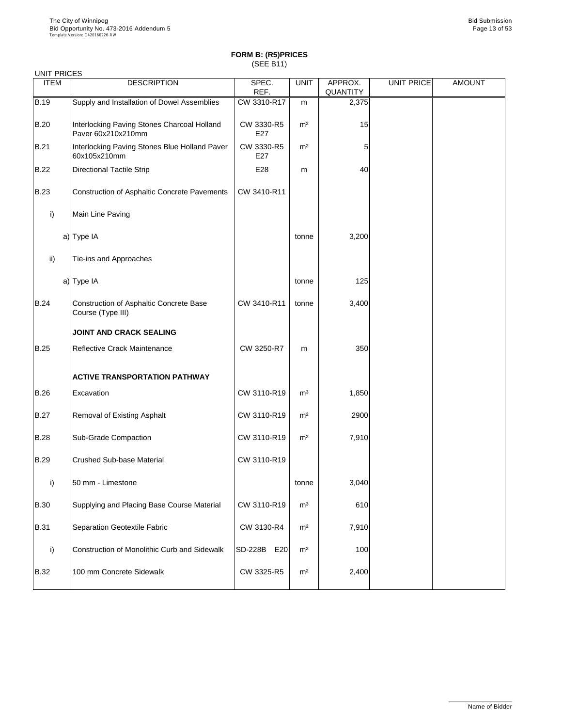| <b>UNIT PRICES</b> |                                                                     |                       |                |                            |                   |               |
|--------------------|---------------------------------------------------------------------|-----------------------|----------------|----------------------------|-------------------|---------------|
| <b>ITEM</b>        | <b>DESCRIPTION</b>                                                  | SPEC.<br>REF.         | <b>UNIT</b>    | APPROX.<br><b>QUANTITY</b> | <b>UNIT PRICE</b> | <b>AMOUNT</b> |
| <b>B.19</b>        | Supply and Installation of Dowel Assemblies                         | CW 3310-R17           | m              | 2,375                      |                   |               |
| <b>B.20</b>        | Interlocking Paving Stones Charcoal Holland<br>Paver 60x210x210mm   | CW 3330-R5<br>E27     | m <sup>2</sup> | 15                         |                   |               |
| <b>B.21</b>        | Interlocking Paving Stones Blue Holland Paver<br>60x105x210mm       | CW 3330-R5<br>E27     | m <sup>2</sup> | 5                          |                   |               |
| <b>B.22</b>        | <b>Directional Tactile Strip</b>                                    | E28                   | m              | 40                         |                   |               |
| <b>B.23</b>        | <b>Construction of Asphaltic Concrete Pavements</b>                 | CW 3410-R11           |                |                            |                   |               |
| i)                 | Main Line Paving                                                    |                       |                |                            |                   |               |
|                    | $a)$ Type IA                                                        |                       | tonne          | 3,200                      |                   |               |
| ii)                | Tie-ins and Approaches                                              |                       |                |                            |                   |               |
|                    | a) Type IA                                                          |                       | tonne          | 125                        |                   |               |
| <b>B.24</b>        | <b>Construction of Asphaltic Concrete Base</b><br>Course (Type III) | CW 3410-R11           | tonne          | 3,400                      |                   |               |
|                    | <b>JOINT AND CRACK SEALING</b>                                      |                       |                |                            |                   |               |
| <b>B.25</b>        | <b>Reflective Crack Maintenance</b>                                 | CW 3250-R7            | m              | 350                        |                   |               |
|                    | <b>ACTIVE TRANSPORTATION PATHWAY</b>                                |                       |                |                            |                   |               |
| <b>B.26</b>        | Excavation                                                          | CW 3110-R19           | m <sup>3</sup> | 1,850                      |                   |               |
| <b>B.27</b>        | <b>Removal of Existing Asphalt</b>                                  | CW 3110-R19           | m <sup>2</sup> | 2900                       |                   |               |
| <b>B.28</b>        | <b>Sub-Grade Compaction</b>                                         | CW 3110-R19           | m <sup>2</sup> | 7,910                      |                   |               |
| <b>B.29</b>        | <b>Crushed Sub-base Material</b>                                    | CW 3110-R19           |                |                            |                   |               |
| $\mathsf{i}$       | 50 mm - Limestone                                                   |                       | tonne          | 3,040                      |                   |               |
| <b>B.30</b>        | Supplying and Placing Base Course Material                          | CW 3110-R19           | m <sup>3</sup> | 610                        |                   |               |
| <b>B.31</b>        | <b>Separation Geotextile Fabric</b>                                 | CW 3130-R4            | m <sup>2</sup> | 7,910                      |                   |               |
| $\mathsf{i}$       | <b>Construction of Monolithic Curb and Sidewalk</b>                 | <b>SD-228B</b><br>E20 | m <sup>2</sup> | 100                        |                   |               |

| <b>B.32</b> | 100 mm Concrete Sidewalk | CW 3325-R5 | m <sup>2</sup> | 2,400 |  |  |
|-------------|--------------------------|------------|----------------|-------|--|--|
|-------------|--------------------------|------------|----------------|-------|--|--|

\_\_\_\_\_\_\_\_\_\_\_\_\_\_\_\_\_\_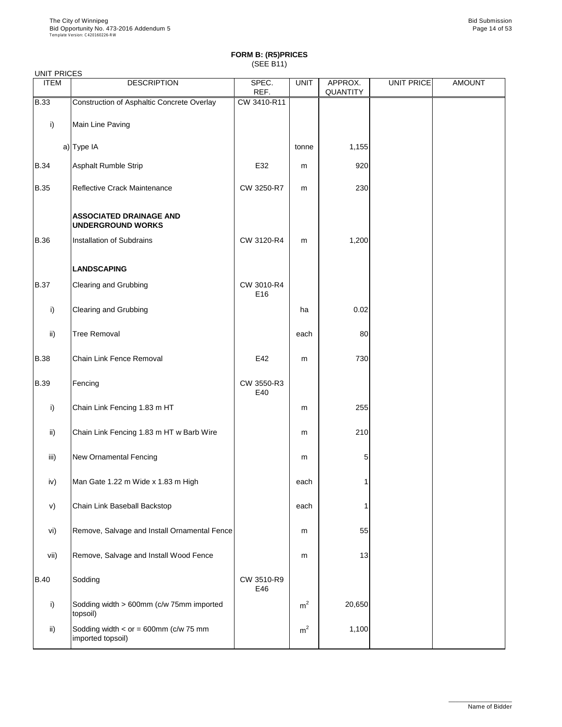| <b>UNIT PRICES</b> |                                                            |                   |             |                            |                   |               |
|--------------------|------------------------------------------------------------|-------------------|-------------|----------------------------|-------------------|---------------|
| <b>ITEM</b>        | <b>DESCRIPTION</b>                                         | SPEC.<br>REF.     | <b>UNIT</b> | APPROX.<br><b>QUANTITY</b> | <b>UNIT PRICE</b> | <b>AMOUNT</b> |
| <b>B.33</b>        | <b>Construction of Asphaltic Concrete Overlay</b>          | CW 3410-R11       |             |                            |                   |               |
| i)                 | Main Line Paving                                           |                   |             |                            |                   |               |
|                    | $a)$ Type IA                                               |                   | tonne       | 1,155                      |                   |               |
| <b>B.34</b>        | <b>Asphalt Rumble Strip</b>                                | E32               | m           | 920                        |                   |               |
| <b>B.35</b>        | Reflective Crack Maintenance                               | CW 3250-R7        | m           | 230                        |                   |               |
|                    | <b>ASSOCIATED DRAINAGE AND</b><br><b>UNDERGROUND WORKS</b> |                   |             |                            |                   |               |
| <b>B.36</b>        | <b>Installation of Subdrains</b>                           | CW 3120-R4        | m           | 1,200                      |                   |               |
|                    | <b>LANDSCAPING</b>                                         |                   |             |                            |                   |               |
| <b>B.37</b>        | <b>Clearing and Grubbing</b>                               | CW 3010-R4<br>E16 |             |                            |                   |               |
| i)                 | <b>Clearing and Grubbing</b>                               |                   | ha          | 0.02                       |                   |               |
| $\mathsf{ii}$      | <b>Tree Removal</b>                                        |                   | each        | 80                         |                   |               |
| <b>B.38</b>        | <b>Chain Link Fence Removal</b>                            | E42               | m           | 730                        |                   |               |
| <b>B.39</b>        | Fencing                                                    | CW 3550-R3<br>E40 |             |                            |                   |               |
| i)                 | Chain Link Fencing 1.83 m HT                               |                   | m           | 255                        |                   |               |
| ii)                | Chain Link Fencing 1.83 m HT w Barb Wire                   |                   | m           | 210                        |                   |               |
| iii)               | <b>New Ornamental Fencing</b>                              |                   | m           | 5                          |                   |               |
| iv)                | Man Gate 1.22 m Wide x 1.83 m High                         |                   | each        |                            |                   |               |
| V)                 | Chain Link Baseball Backstop                               |                   | each        |                            |                   |               |
| vi)                | Remove, Salvage and Install Ornamental Fence               |                   | m           | 55                         |                   |               |
| vii)               | Remove, Salvage and Install Wood Fence                     |                   | m           | 13                         |                   |               |

| VII).          | <b>Remove, Salvage and Install VVOOD Fence</b>                  |                   | m              | ا ک ا  |  |
|----------------|-----------------------------------------------------------------|-------------------|----------------|--------|--|
| $ B.40\rangle$ | Sodding                                                         | CW 3510-R9<br>E46 |                |        |  |
|                | Sodding width > 600mm (c/w 75mm imported<br>topsoil)            |                   | m <sup>2</sup> | 20,650 |  |
| ii)            | Sodding width $\lt$ or = 600mm (c/w 75 mm)<br>imported topsoil) |                   | m <sup>2</sup> | 1,100  |  |

\_\_\_\_\_\_\_\_\_\_\_\_\_\_\_\_\_\_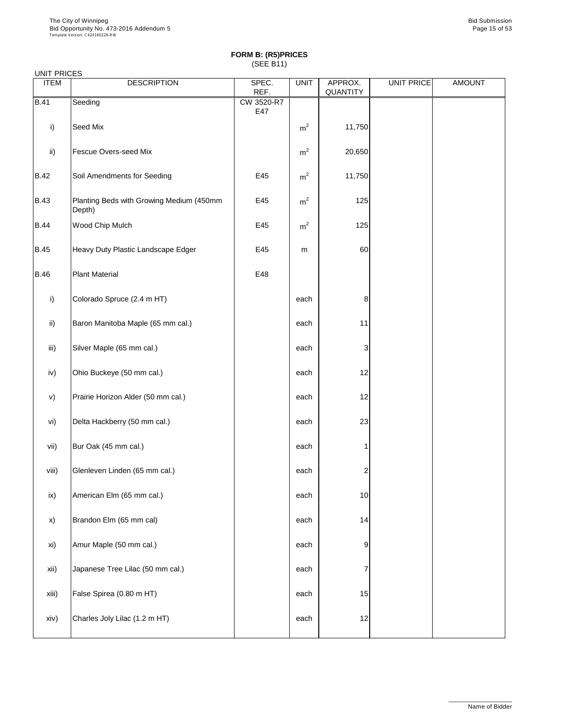| <b>UNIT FRICES</b> |                                                    |                   |                |                     |                   |               |
|--------------------|----------------------------------------------------|-------------------|----------------|---------------------|-------------------|---------------|
| <b>ITEM</b>        | <b>DESCRIPTION</b>                                 | SPEC.<br>REF.     | <b>UNIT</b>    | APPROX.<br>QUANTITY | <b>UNIT PRICE</b> | <b>AMOUNT</b> |
| <b>B.41</b>        | Seeding                                            | CW 3520-R7<br>E47 |                |                     |                   |               |
| $\mathsf{i}$       | <b>Seed Mix</b>                                    |                   | m <sup>2</sup> | 11,750              |                   |               |
| $\mathsf{ii}$      | <b>Fescue Overs-seed Mix</b>                       |                   | m <sup>2</sup> | 20,650              |                   |               |
| <b>B.42</b>        | Soil Amendments for Seeding                        | E45               | m <sup>2</sup> | 11,750              |                   |               |
| <b>B.43</b>        | Planting Beds with Growing Medium (450mm<br>Depth) | E45               | m <sup>2</sup> | 125                 |                   |               |
| <b>B.44</b>        | Wood Chip Mulch                                    | E45               | m <sup>2</sup> | 125                 |                   |               |
| <b>B.45</b>        | Heavy Duty Plastic Landscape Edger                 | E45               | m              | 60                  |                   |               |
| <b>B.46</b>        | <b>Plant Material</b>                              | E48               |                |                     |                   |               |
| i)                 | Colorado Spruce (2.4 m HT)                         |                   | each           | 8                   |                   |               |
| $\mathsf{ii}$      | Baron Manitoba Maple (65 mm cal.)                  |                   | each           | 11                  |                   |               |
| iii)               | Silver Maple (65 mm cal.)                          |                   | each           | 3                   |                   |               |
| iv)                | Ohio Buckeye (50 mm cal.)                          |                   | each           | 12                  |                   |               |
| V)                 | Prairie Horizon Alder (50 mm cal.)                 |                   | each           | 12                  |                   |               |
| vi)                | Delta Hackberry (50 mm cal.)                       |                   | each           | 23                  |                   |               |
| vii)               | Bur Oak (45 mm cal.)                               |                   | each           | 1                   |                   |               |
| viii)              | Glenleven Linden (65 mm cal.)                      |                   | each           | $\overline{c}$      |                   |               |
| ix)                | American Elm (65 mm cal.)                          |                   | each           | 10                  |                   |               |
| X)                 | Brandon Elm (65 mm cal)                            |                   | each           | 14                  |                   |               |
| xi)                | Amur Maple (50 mm cal.)                            |                   | each           | 9                   |                   |               |

| xii)  | Japanese Tree Lilac (50 mm cal.) | each |                 |  |
|-------|----------------------------------|------|-----------------|--|
| xiii) | False Spirea (0.80 m HT)         | each | 15              |  |
| xiv)  | Charles Joly Lilac (1.2 m HT)    | each | 12 <sub>l</sub> |  |

\_\_\_\_\_\_\_\_\_\_\_\_\_\_\_\_\_\_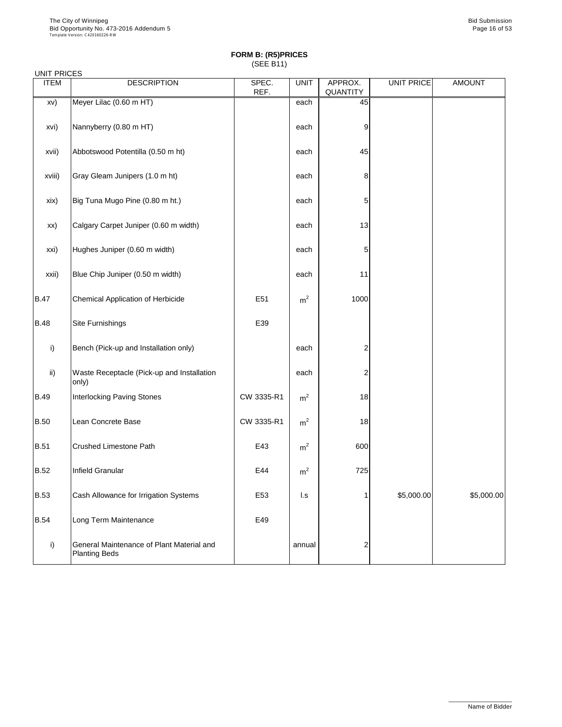| <b>UNIT PRICES</b><br><b>ITEM</b> | <b>DESCRIPTION</b>                                                | SPEC.           | <b>UNIT</b>             | APPROX.         | <b>UNIT PRICE</b> | <b>AMOUNT</b> |
|-----------------------------------|-------------------------------------------------------------------|-----------------|-------------------------|-----------------|-------------------|---------------|
|                                   |                                                                   | REF.            |                         | <b>QUANTITY</b> |                   |               |
| XV)                               | Meyer Lilac (0.60 m HT)                                           |                 | each                    | 45              |                   |               |
| xvi)                              | Nannyberry (0.80 m HT)                                            |                 | each                    | 9               |                   |               |
| xvii)                             | Abbotswood Potentilla (0.50 m ht)                                 |                 | each                    | 45              |                   |               |
| xviii)                            | Gray Gleam Junipers (1.0 m ht)                                    |                 | each                    | 8               |                   |               |
| xix)                              | Big Tuna Mugo Pine (0.80 m ht.)                                   |                 | each                    | 5               |                   |               |
| XX)                               | Calgary Carpet Juniper (0.60 m width)                             |                 | each                    | 13              |                   |               |
| xxi)                              | Hughes Juniper (0.60 m width)                                     |                 | each                    | 5               |                   |               |
| xxii)                             | Blue Chip Juniper (0.50 m width)                                  |                 | each                    | 11              |                   |               |
| <b>B.47</b>                       | <b>Chemical Application of Herbicide</b>                          | E51             | m <sup>2</sup>          | 1000            |                   |               |
| <b>B.48</b>                       | <b>Site Furnishings</b>                                           | E39             |                         |                 |                   |               |
| i)                                | Bench (Pick-up and Installation only)                             |                 | each                    | $\overline{2}$  |                   |               |
| $\mathsf{ii}$                     | Waste Receptacle (Pick-up and Installation<br>only)               |                 | each                    | $\overline{2}$  |                   |               |
| <b>B.49</b>                       | <b>Interlocking Paving Stones</b>                                 | CW 3335-R1      | m <sup>2</sup>          | 18              |                   |               |
| <b>B.50</b>                       | Lean Concrete Base                                                | CW 3335-R1      | m <sup>2</sup>          | 18              |                   |               |
| <b>B.51</b>                       | <b>Crushed Limestone Path</b>                                     | E43             | m <sup>2</sup>          | 600             |                   |               |
| <b>B.52</b>                       | <b>Infield Granular</b>                                           | E44             | m <sup>2</sup>          | 725             |                   |               |
| <b>B.53</b>                       | Cash Allowance for Irrigation Systems                             | E <sub>53</sub> | $\mathsf{I}.\mathsf{s}$ |                 | \$5,000.00        | \$5,000.00    |
| <b>B.54</b>                       | Long Term Maintenance                                             | E49             |                         |                 |                   |               |
| i)                                | General Maintenance of Plant Material and<br><b>Planting Beds</b> |                 | annual                  | 2               |                   |               |

\_\_\_\_\_\_\_\_\_\_\_\_\_\_\_\_\_\_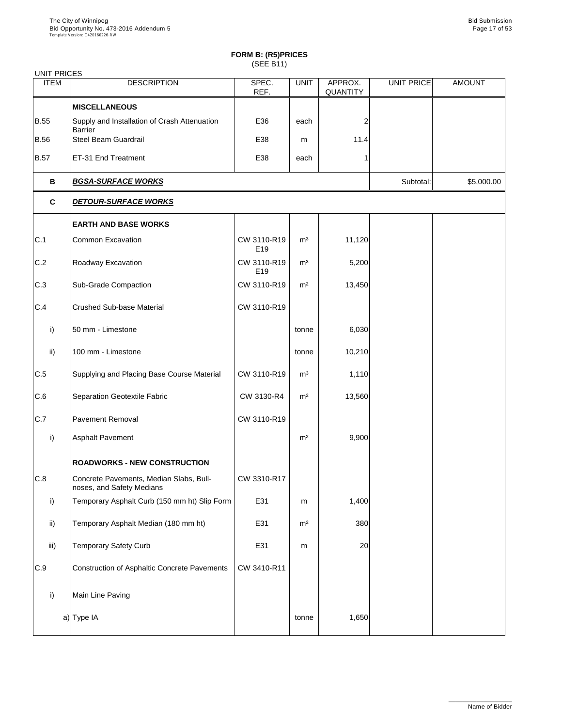| UNIT PRICES   |                                                                      |                    |                |                            |                   |               |  |
|---------------|----------------------------------------------------------------------|--------------------|----------------|----------------------------|-------------------|---------------|--|
| <b>ITEM</b>   | <b>DESCRIPTION</b>                                                   | SPEC.<br>REF.      | <b>UNIT</b>    | APPROX.<br><b>QUANTITY</b> | <b>UNIT PRICE</b> | <b>AMOUNT</b> |  |
|               | <b>MISCELLANEOUS</b>                                                 |                    |                |                            |                   |               |  |
| <b>B.55</b>   | Supply and Installation of Crash Attenuation<br><b>Barrier</b>       | E36                | each           | 2                          |                   |               |  |
| <b>B.56</b>   | <b>Steel Beam Guardrail</b>                                          | E38                | m              | 11.4                       |                   |               |  |
| <b>B.57</b>   | ET-31 End Treatment                                                  | E38                | each           |                            |                   |               |  |
| B             | <b>BGSA-SURFACE WORKS</b>                                            |                    |                |                            |                   |               |  |
| $\mathbf{C}$  | <b>DETOUR-SURFACE WORKS</b>                                          |                    |                |                            |                   |               |  |
|               | <b>EARTH AND BASE WORKS</b>                                          |                    |                |                            |                   |               |  |
| C.1           | <b>Common Excavation</b>                                             | CW 3110-R19<br>E19 | m <sup>3</sup> | 11,120                     |                   |               |  |
| C.2           | Roadway Excavation                                                   | CW 3110-R19<br>E19 | m <sup>3</sup> | 5,200                      |                   |               |  |
| C.3           | <b>Sub-Grade Compaction</b>                                          | CW 3110-R19        | m <sup>2</sup> | 13,450                     |                   |               |  |
| C.4           | <b>Crushed Sub-base Material</b>                                     | CW 3110-R19        |                |                            |                   |               |  |
| i)            | 50 mm - Limestone                                                    |                    | tonne          | 6,030                      |                   |               |  |
| $\mathsf{ii}$ | 100 mm - Limestone                                                   |                    | tonne          | 10,210                     |                   |               |  |
| C.5           | Supplying and Placing Base Course Material                           | CW 3110-R19        | m <sup>3</sup> | 1,110                      |                   |               |  |
| C.6           | <b>Separation Geotextile Fabric</b>                                  | CW 3130-R4         | m <sup>2</sup> | 13,560                     |                   |               |  |
| C.7           | <b>Pavement Removal</b>                                              | CW 3110-R19        |                |                            |                   |               |  |
| i)            | <b>Asphalt Pavement</b>                                              |                    | m <sup>2</sup> | 9,900                      |                   |               |  |
|               | <b>ROADWORKS - NEW CONSTRUCTION</b>                                  |                    |                |                            |                   |               |  |
| C.8           | Concrete Pavements, Median Slabs, Bull-<br>noses, and Safety Medians | CW 3310-R17        |                |                            |                   |               |  |
| i)            | Temporary Asphalt Curb (150 mm ht) Slip Form                         | E31                | m              | 1,400                      |                   |               |  |
| $\mathsf{ii}$ | Temporary Asphalt Median (180 mm ht)                                 | E31                | m <sup>2</sup> | 380                        |                   |               |  |
| iii)          | <b>Temporary Safety Curb</b>                                         | E31                | m              | 20                         |                   |               |  |

| C.9 | Construction of Asphaltic Concrete Pavements | CW 3410-R11 |       |       |  |
|-----|----------------------------------------------|-------------|-------|-------|--|
|     | Main Line Paving                             |             |       |       |  |
|     | a) Type IA                                   |             | tonne | 1,650 |  |

\_\_\_\_\_\_\_\_\_\_\_\_\_\_\_\_\_\_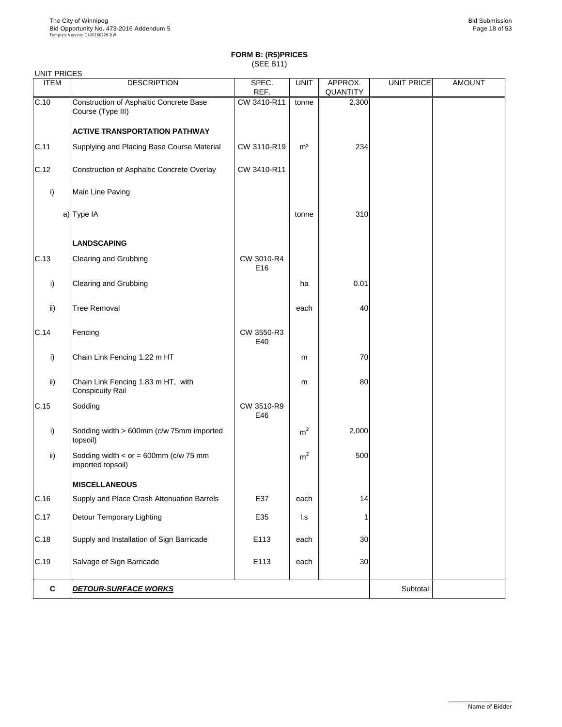| <b>UNIT PRICES</b> |                                                               |                               |                |                            |                   |               |
|--------------------|---------------------------------------------------------------|-------------------------------|----------------|----------------------------|-------------------|---------------|
| <b>ITEM</b>        | <b>DESCRIPTION</b>                                            | SPEC.<br>REF.                 | <b>UNIT</b>    | APPROX.<br><b>QUANTITY</b> | <b>UNIT PRICE</b> | <b>AMOUNT</b> |
| C.10               | Construction of Asphaltic Concrete Base<br>Course (Type III)  | CW 3410-R11                   | tonne          | 2,300                      |                   |               |
|                    | <b>ACTIVE TRANSPORTATION PATHWAY</b>                          |                               |                |                            |                   |               |
| C.11               | Supplying and Placing Base Course Material                    | CW 3110-R19                   | m <sup>3</sup> | 234                        |                   |               |
| C.12               | Construction of Asphaltic Concrete Overlay                    | CW 3410-R11                   |                |                            |                   |               |
| $\mathsf{i}$       | Main Line Paving                                              |                               |                |                            |                   |               |
|                    | a) Type IA                                                    |                               | tonne          | 310                        |                   |               |
|                    | <b>LANDSCAPING</b>                                            |                               |                |                            |                   |               |
| C.13               | <b>Clearing and Grubbing</b>                                  | CW 3010-R4<br>E <sub>16</sub> |                |                            |                   |               |
| i)                 | <b>Clearing and Grubbing</b>                                  |                               | ha             | 0.01                       |                   |               |
| ii)                | <b>Tree Removal</b>                                           |                               | each           | 40                         |                   |               |
| C.14               | Fencing                                                       | CW 3550-R3<br>E40             |                |                            |                   |               |
| $\mathsf{i}$       | Chain Link Fencing 1.22 m HT                                  |                               | m              | 70                         |                   |               |
| $\mathsf{ii}$      | Chain Link Fencing 1.83 m HT, with<br><b>Conspicuity Rail</b> |                               | m              | 80                         |                   |               |
| C.15               | Sodding                                                       | CW 3510-R9<br>E46             |                |                            |                   |               |
| $\mathsf{i}$       | Sodding width > 600mm (c/w 75mm imported<br>topsoil)          |                               | m <sup>2</sup> | 2,000                      |                   |               |
| $\mathsf{ii}$      | Sodding width $<$ or = 600mm (c/w 75 mm<br>imported topsoil)  |                               | m <sup>2</sup> | 500                        |                   |               |
|                    | <b>MISCELLANEOUS</b>                                          |                               |                |                            |                   |               |
| C.16               | Supply and Place Crash Attenuation Barrels                    | E37                           | each           | 14                         |                   |               |
| C.17               | <b>Detour Temporary Lighting</b>                              | E35                           | $\mathsf{L}$ s |                            |                   |               |
| C.18               | Supply and Installation of Sign Barricade                     | E113                          | each           | 30                         |                   |               |
| $\sim$ 10          | age of Cian Derricade                                         | F440                          |                | $\Omega$                   |                   |               |

|       | <b>DETOUR-SURFACE WORKS</b> |     |      |     | Subtotal: |  |
|-------|-----------------------------|-----|------|-----|-----------|--|
| 10.19 | Salvage of Sign Barricage   | ᆮᆝᄓ | eacn | ישכ |           |  |

\_\_\_\_\_\_\_\_\_\_\_\_\_\_\_\_\_\_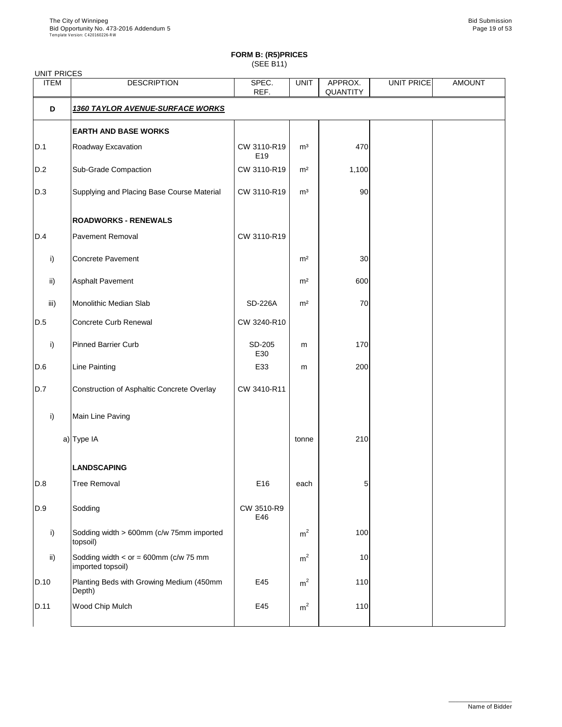# **FORM B: (R5)PRICES**

(SEE B11)

| <b>UNIT PRICES</b> |                                                      |                    |                |                            |            |               |
|--------------------|------------------------------------------------------|--------------------|----------------|----------------------------|------------|---------------|
| <b>ITEM</b>        | <b>DESCRIPTION</b>                                   | SPEC.<br>REF.      | <b>UNIT</b>    | APPROX.<br><b>QUANTITY</b> | UNIT PRICE | <b>AMOUNT</b> |
| D                  | <b>1360 TAYLOR AVENUE-SURFACE WORKS</b>              |                    |                |                            |            |               |
|                    | <b>EARTH AND BASE WORKS</b>                          |                    |                |                            |            |               |
| D.1                | Roadway Excavation                                   | CW 3110-R19<br>E19 | m <sup>3</sup> | 470                        |            |               |
| D.2                | <b>Sub-Grade Compaction</b>                          | CW 3110-R19        | m <sup>2</sup> | 1,100                      |            |               |
| D.3                | Supplying and Placing Base Course Material           | CW 3110-R19        | m <sup>3</sup> | 90                         |            |               |
|                    | <b>ROADWORKS - RENEWALS</b>                          |                    |                |                            |            |               |
| D.4                | <b>Pavement Removal</b>                              | CW 3110-R19        |                |                            |            |               |
| i)                 | <b>Concrete Pavement</b>                             |                    | m <sup>2</sup> | 30                         |            |               |
| $\mathsf{ii}$      | <b>Asphalt Pavement</b>                              |                    | m <sup>2</sup> | 600                        |            |               |
| iii)               | <b>Monolithic Median Slab</b>                        | <b>SD-226A</b>     | m <sup>2</sup> | 70                         |            |               |
| D.5                | <b>Concrete Curb Renewal</b>                         | CW 3240-R10        |                |                            |            |               |
| i)                 | <b>Pinned Barrier Curb</b>                           | SD-205<br>E30      | m              | 170                        |            |               |
| D.6                | <b>Line Painting</b>                                 | E33                | m              | 200                        |            |               |
| D.7                | Construction of Asphaltic Concrete Overlay           | CW 3410-R11        |                |                            |            |               |
| i)                 | Main Line Paving                                     |                    |                |                            |            |               |
|                    | a) Type IA                                           |                    | tonne          | 210                        |            |               |
|                    | <b>LANDSCAPING</b>                                   |                    |                |                            |            |               |
| D.8                | <b>Tree Removal</b>                                  | E16                | each           | 5                          |            |               |
| D.9                | Sodding                                              | CW 3510-R9<br>E46  |                |                            |            |               |
| i)                 | Sodding width > 600mm (c/w 75mm imported<br>topsoil) |                    | m <sup>2</sup> | 100                        |            |               |
| $\mathsf{ii}$ )    | Sodding width $<$ or = 600mm (c/w 75 mm              |                    | m <sup>2</sup> | 10                         |            |               |

|      | imported topsoil)                                  |     |   |     |  |
|------|----------------------------------------------------|-----|---|-----|--|
| D.10 | Planting Beds with Growing Medium (450mm<br>Depth) | E45 | m | 110 |  |
| D.11 | <b>Wood Chip Mulch</b>                             | E45 | m | 110 |  |

\_\_\_\_\_\_\_\_\_\_\_\_\_\_\_\_\_\_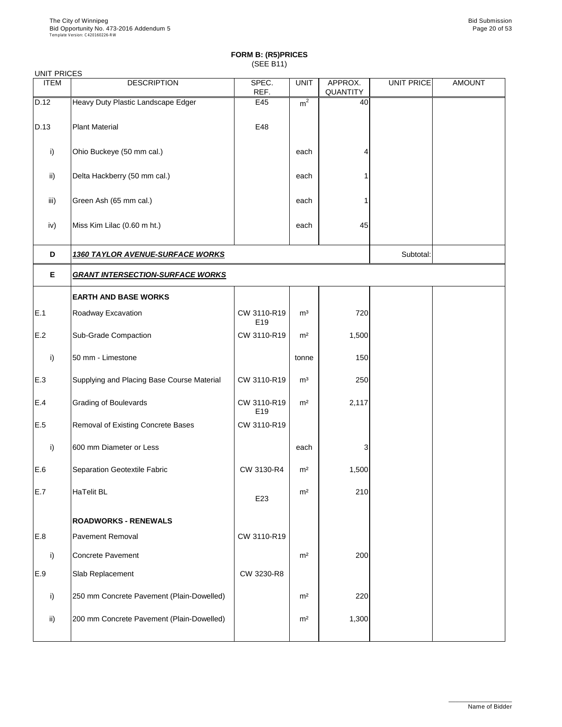| <b>UNIT PRICES</b> |                                            |                                |                |                            |                   |               |  |  |
|--------------------|--------------------------------------------|--------------------------------|----------------|----------------------------|-------------------|---------------|--|--|
| <b>ITEM</b>        | <b>DESCRIPTION</b>                         | SPEC.<br>REF.                  | <b>UNIT</b>    | APPROX.<br><b>QUANTITY</b> | <b>UNIT PRICE</b> | <b>AMOUNT</b> |  |  |
| D.12               | Heavy Duty Plastic Landscape Edger         | E45                            | m <sup>2</sup> | 40                         |                   |               |  |  |
| D.13               | <b>Plant Material</b>                      | E48                            |                |                            |                   |               |  |  |
| $\mathsf{i}$       | Ohio Buckeye (50 mm cal.)                  |                                | each           | 4                          |                   |               |  |  |
| $\mathsf{ii}$      | Delta Hackberry (50 mm cal.)               |                                | each           |                            |                   |               |  |  |
| iii)               | Green Ash (65 mm cal.)                     |                                | each           |                            |                   |               |  |  |
| iv)                | Miss Kim Lilac (0.60 m ht.)                |                                | each           | 45                         |                   |               |  |  |
| D                  | <b>1360 TAYLOR AVENUE-SURFACE WORKS</b>    |                                |                |                            |                   |               |  |  |
| E                  | <b>GRANT INTERSECTION-SURFACE WORKS</b>    |                                |                |                            |                   |               |  |  |
|                    | <b>EARTH AND BASE WORKS</b>                |                                |                |                            |                   |               |  |  |
| E.1                | Roadway Excavation                         | CW 3110-R19<br>E19             | m <sup>3</sup> | 720                        |                   |               |  |  |
| E.2                | <b>Sub-Grade Compaction</b>                | CW 3110-R19                    | m <sup>2</sup> | 1,500                      |                   |               |  |  |
| i)                 | 50 mm - Limestone                          |                                | tonne          | 150                        |                   |               |  |  |
| E.3                | Supplying and Placing Base Course Material | CW 3110-R19                    | m <sup>3</sup> | 250                        |                   |               |  |  |
| E.4                | <b>Grading of Boulevards</b>               | CW 3110-R19<br>E <sub>19</sub> | m <sup>2</sup> | 2,117                      |                   |               |  |  |
| E.5                | Removal of Existing Concrete Bases         | CW 3110-R19                    |                |                            |                   |               |  |  |
| i)                 | 600 mm Diameter or Less                    |                                | each           | 3                          |                   |               |  |  |
| E.6                | <b>Separation Geotextile Fabric</b>        | CW 3130-R4                     | m <sup>2</sup> | 1,500                      |                   |               |  |  |
| E.7                | <b>HaTelit BL</b>                          | E23                            | m <sup>2</sup> | 210                        |                   |               |  |  |
|                    | <b>ROADWORKS - RENEWALS</b>                |                                |                |                            |                   |               |  |  |
| E.8                | <b>Pavement Removal</b>                    | CW 3110-R19                    |                |                            |                   |               |  |  |
| i)                 | <b>Concrete Pavement</b>                   |                                | m <sup>2</sup> | 200                        |                   |               |  |  |

| .,              | <b>UUINGGI AVGIIGII</b>                    |            | .              | ∠∪∪   |  |
|-----------------|--------------------------------------------|------------|----------------|-------|--|
| E.9             | <b>Slab Replacement</b>                    | CW 3230-R8 |                |       |  |
|                 | [250 mm Concrete Pavement (Plain-Dowelled) |            | m <sup>2</sup> | 220   |  |
| $\mathsf{ii}$ ) | 200 mm Concrete Pavement (Plain-Dowelled)  |            | m <sup>2</sup> | 1,300 |  |
|                 |                                            |            |                |       |  |

\_\_\_\_\_\_\_\_\_\_\_\_\_\_\_\_\_\_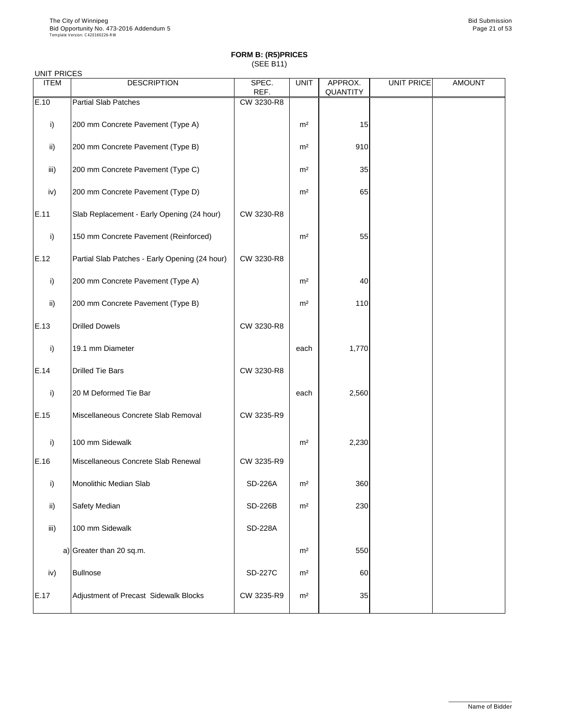| <b>UNIT PRICES</b> |                                                |                |                |                            |                   |               |
|--------------------|------------------------------------------------|----------------|----------------|----------------------------|-------------------|---------------|
| <b>ITEM</b>        | <b>DESCRIPTION</b>                             | SPEC.<br>REF.  | <b>UNIT</b>    | APPROX.<br><b>QUANTITY</b> | <b>UNIT PRICE</b> | <b>AMOUNT</b> |
| E.10               | <b>Partial Slab Patches</b>                    | CW 3230-R8     |                |                            |                   |               |
| i)                 | 200 mm Concrete Pavement (Type A)              |                | m <sup>2</sup> | 15                         |                   |               |
| $\mathsf{ii}$      | 200 mm Concrete Pavement (Type B)              |                | m <sup>2</sup> | 910                        |                   |               |
| iii)               | 200 mm Concrete Pavement (Type C)              |                | m <sup>2</sup> | 35                         |                   |               |
| iv)                | 200 mm Concrete Pavement (Type D)              |                | m <sup>2</sup> | 65                         |                   |               |
| E.11               | Slab Replacement - Early Opening (24 hour)     | CW 3230-R8     |                |                            |                   |               |
| i)                 | 150 mm Concrete Pavement (Reinforced)          |                | m <sup>2</sup> | 55                         |                   |               |
| E.12               | Partial Slab Patches - Early Opening (24 hour) | CW 3230-R8     |                |                            |                   |               |
| i)                 | 200 mm Concrete Pavement (Type A)              |                | m <sup>2</sup> | 40                         |                   |               |
| $\mathsf{ii}$      | 200 mm Concrete Pavement (Type B)              |                | m <sup>2</sup> | 110                        |                   |               |
| E.13               | <b>Drilled Dowels</b>                          | CW 3230-R8     |                |                            |                   |               |
| i)                 | 19.1 mm Diameter                               |                | each           | 1,770                      |                   |               |
| E.14               | <b>Drilled Tie Bars</b>                        | CW 3230-R8     |                |                            |                   |               |
| i)                 | 20 M Deformed Tie Bar                          |                | each           | 2,560                      |                   |               |
| E.15               | Miscellaneous Concrete Slab Removal            | CW 3235-R9     |                |                            |                   |               |
| i)                 | 100 mm Sidewalk                                |                | m <sup>2</sup> | 2,230                      |                   |               |
| E.16               | Miscellaneous Concrete Slab Renewal            | CW 3235-R9     |                |                            |                   |               |
| i)                 | Monolithic Median Slab                         | <b>SD-226A</b> | m <sup>2</sup> | 360                        |                   |               |
| $\mathsf{ii}$      | <b>Safety Median</b>                           | <b>SD-226B</b> | m <sup>2</sup> | 230                        |                   |               |
| iii)               | 100 mm Sidewalk                                | <b>SD-228A</b> |                |                            |                   |               |
|                    | a) Greater than 20 sq.m.                       |                | m <sup>2</sup> | 550                        |                   |               |

|      | $a_1$ or oator than Equation          |                | .              |    |  |
|------|---------------------------------------|----------------|----------------|----|--|
| iv)  | Bullnose                              | <b>SD-227C</b> | m <sup>2</sup> | 60 |  |
| E.17 | Adjustment of Precast Sidewalk Blocks | CW 3235-R9     | m <sup>2</sup> | 35 |  |

\_\_\_\_\_\_\_\_\_\_\_\_\_\_\_\_\_\_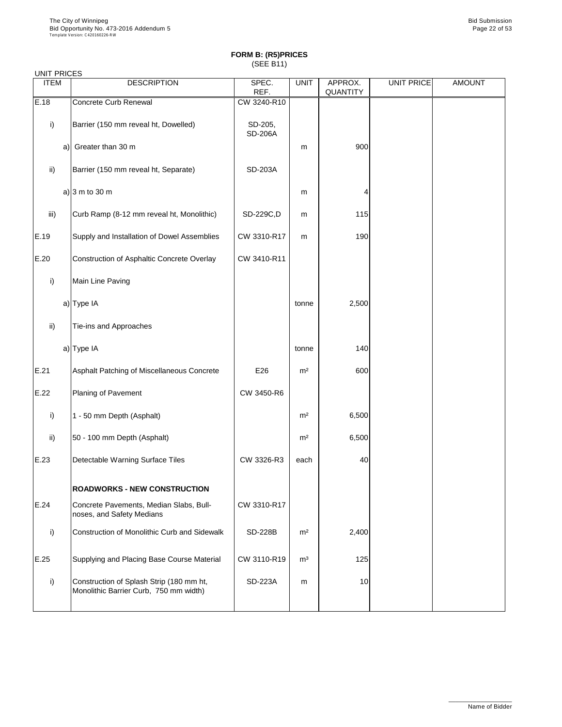### UNIT PRICES

| <b>OITH LINOLO</b><br><b>ITEM</b> | <b>DESCRIPTION</b>                                                   | SPEC.                     | <b>UNIT</b>    | APPROX.         | <b>UNIT PRICE</b> | <b>AMOUNT</b> |
|-----------------------------------|----------------------------------------------------------------------|---------------------------|----------------|-----------------|-------------------|---------------|
|                                   |                                                                      | REF.                      |                | <b>QUANTITY</b> |                   |               |
| E.18                              | <b>Concrete Curb Renewal</b>                                         | CW 3240-R10               |                |                 |                   |               |
| i)                                | Barrier (150 mm reveal ht, Dowelled)                                 | SD-205,<br><b>SD-206A</b> |                |                 |                   |               |
| a)                                | Greater than 30 m                                                    |                           | m              | 900             |                   |               |
| $\mathsf{ii}$                     | Barrier (150 mm reveal ht, Separate)                                 | <b>SD-203A</b>            |                |                 |                   |               |
|                                   | a) $ 3 \text{ m}$ to 30 m                                            |                           | m              |                 |                   |               |
| iii)                              | Curb Ramp (8-12 mm reveal ht, Monolithic)                            | SD-229C,D                 | m              | 115             |                   |               |
| E.19                              | Supply and Installation of Dowel Assemblies                          | CW 3310-R17               | m              | 190             |                   |               |
| E.20                              | <b>Construction of Asphaltic Concrete Overlay</b>                    | CW 3410-R11               |                |                 |                   |               |
| i)                                | Main Line Paving                                                     |                           |                |                 |                   |               |
|                                   | a) Type IA                                                           |                           | tonne          | 2,500           |                   |               |
| $\mathsf{ii}$                     | Tie-ins and Approaches                                               |                           |                |                 |                   |               |
|                                   | a) Type IA                                                           |                           | tonne          | 140             |                   |               |
| E.21                              | Asphalt Patching of Miscellaneous Concrete                           | E26                       | m <sup>2</sup> | 600             |                   |               |
| E.22                              | <b>Planing of Pavement</b>                                           | CW 3450-R6                |                |                 |                   |               |
| i)                                | 1 - 50 mm Depth (Asphalt)                                            |                           | m <sup>2</sup> | 6,500           |                   |               |
| $\mathsf{ii}$                     | 50 - 100 mm Depth (Asphalt)                                          |                           | m <sup>2</sup> | 6,500           |                   |               |
| E.23                              | Detectable Warning Surface Tiles                                     | CW 3326-R3                | each           | 40              |                   |               |
|                                   | <b>ROADWORKS - NEW CONSTRUCTION</b>                                  |                           |                |                 |                   |               |
| E.24                              | Concrete Pavements, Median Slabs, Bull-<br>noses, and Safety Medians | CW 3310-R17               |                |                 |                   |               |
| i)                                | <b>Construction of Monolithic Curb and Sidewalk</b>                  | <b>SD-228B</b>            | m <sup>2</sup> | 2,400           |                   |               |
| IE.25                             | Supplying and Placing Base Course Material                           | CW 3110-R19               | m <sup>3</sup> | 125             |                   |               |

| ___ |                                                                                    |                | - - - | ---- |  |
|-----|------------------------------------------------------------------------------------|----------------|-------|------|--|
|     | Construction of Splash Strip (180 mm ht,<br>Monolithic Barrier Curb, 750 mm width) | <b>SD-223A</b> | m     | 10   |  |
|     |                                                                                    |                |       |      |  |

\_\_\_\_\_\_\_\_\_\_\_\_\_\_\_\_\_\_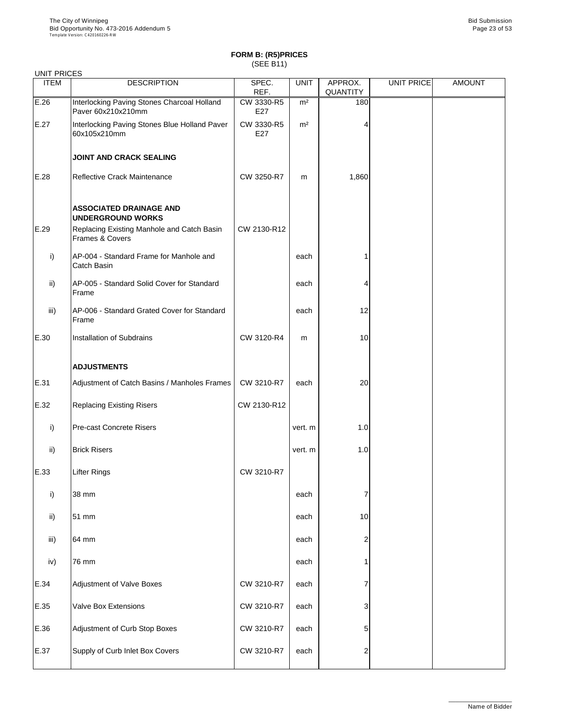| <b>UNIT PRICES</b> |                                                                   |                   |                |                            |                   |               |
|--------------------|-------------------------------------------------------------------|-------------------|----------------|----------------------------|-------------------|---------------|
| <b>ITEM</b>        | <b>DESCRIPTION</b>                                                | SPEC.<br>REF.     | <b>UNIT</b>    | APPROX.<br><b>QUANTITY</b> | <b>UNIT PRICE</b> | <b>AMOUNT</b> |
| E.26               | Interlocking Paving Stones Charcoal Holland<br>Paver 60x210x210mm | CW 3330-R5<br>E27 | m <sup>2</sup> | 180                        |                   |               |
| E.27               | Interlocking Paving Stones Blue Holland Paver<br>60x105x210mm     | CW 3330-R5<br>E27 | m <sup>2</sup> |                            |                   |               |
|                    | <b>JOINT AND CRACK SEALING</b>                                    |                   |                |                            |                   |               |
| E.28               | <b>Reflective Crack Maintenance</b>                               | CW 3250-R7        | m              | 1,860                      |                   |               |
|                    | <b>ASSOCIATED DRAINAGE AND</b><br><b>UNDERGROUND WORKS</b>        |                   |                |                            |                   |               |
| E.29               | Replacing Existing Manhole and Catch Basin<br>Frames & Covers     | CW 2130-R12       |                |                            |                   |               |
| i)                 | AP-004 - Standard Frame for Manhole and<br><b>Catch Basin</b>     |                   | each           |                            |                   |               |
| $\mathsf{ii}$      | AP-005 - Standard Solid Cover for Standard<br>Frame               |                   | each           |                            |                   |               |
| iii)               | AP-006 - Standard Grated Cover for Standard<br>Frame              |                   | each           | 12                         |                   |               |
| E.30               | <b>Installation of Subdrains</b>                                  | CW 3120-R4        | m              | 10                         |                   |               |
|                    | <b>ADJUSTMENTS</b>                                                |                   |                |                            |                   |               |
| E.31               | Adjustment of Catch Basins / Manholes Frames                      | CW 3210-R7        | each           | 20                         |                   |               |
| E.32               | <b>Replacing Existing Risers</b>                                  | CW 2130-R12       |                |                            |                   |               |
| $\mathsf{i}$       | <b>Pre-cast Concrete Risers</b>                                   |                   | vert. m        | 1.0                        |                   |               |
| $\mathsf{ii}$      | <b>Brick Risers</b>                                               |                   | vert. m        | 1.0                        |                   |               |
| E.33               | <b>Lifter Rings</b>                                               | CW 3210-R7        |                |                            |                   |               |
| i)                 | 38 mm                                                             |                   | each           |                            |                   |               |
| ii)                | 51 mm                                                             |                   | each           | 10                         |                   |               |
| iii)               | 64 mm                                                             |                   | each           | 2                          |                   |               |
| iv)                | 76 mm                                                             |                   | each           |                            |                   |               |
| E.34               | <b>Adjustment of Valve Boxes</b>                                  | CW 3210-R7        | each           |                            |                   |               |
| E.35               | <b>Valve Box Extensions</b>                                       | CW 3210-R7        | each           | 3 <sub>l</sub>             |                   |               |
| E.36               | Adjustment of Curb Stop Boxes                                     | CW 3210-R7        | each           | 5                          |                   |               |
| E.37               | Supply of Curb Inlet Box Covers                                   | CW 3210-R7        | each           | 2                          |                   |               |

\_\_\_\_\_\_\_\_\_\_\_\_\_\_\_\_\_\_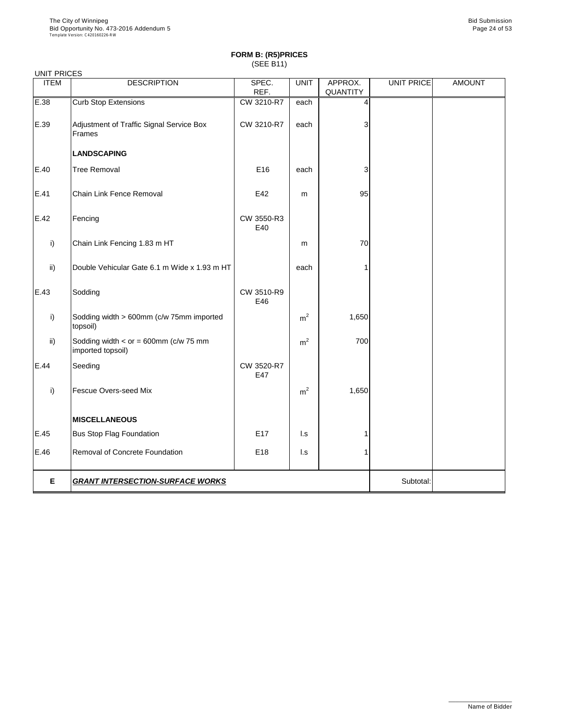| <b>UNIT PRICES</b> |                                                              |                   |                |                 |            |               |
|--------------------|--------------------------------------------------------------|-------------------|----------------|-----------------|------------|---------------|
| <b>ITEM</b>        | <b>DESCRIPTION</b>                                           | SPEC.             | <b>UNIT</b>    | APPROX.         | UNIT PRICE | <b>AMOUNT</b> |
|                    |                                                              | REF.              |                | <b>QUANTITY</b> |            |               |
| E.38               | <b>Curb Stop Extensions</b>                                  | CW 3210-R7        | each           | 4               |            |               |
| E.39               | Adjustment of Traffic Signal Service Box<br>Frames           | CW 3210-R7        | each           | 3               |            |               |
|                    | <b>LANDSCAPING</b>                                           |                   |                |                 |            |               |
| E.40               | <b>Tree Removal</b>                                          | E16               | each           | 3               |            |               |
| E.41               | <b>Chain Link Fence Removal</b>                              | E42               | m              | 95              |            |               |
| E.42               | Fencing                                                      | CW 3550-R3<br>E40 |                |                 |            |               |
| i)                 | Chain Link Fencing 1.83 m HT                                 |                   | m              | 70              |            |               |
| $\mathsf{ii}$      | Double Vehicular Gate 6.1 m Wide x 1.93 m HT                 |                   | each           |                 |            |               |
| E.43               | Sodding                                                      | CW 3510-R9<br>E46 |                |                 |            |               |
| i)                 | Sodding width > 600mm (c/w 75mm imported<br>topsoil)         |                   | m <sup>2</sup> | 1,650           |            |               |
| $\mathsf{ii}$      | Sodding width $<$ or = 600mm (c/w 75 mm<br>imported topsoil) |                   | m <sup>2</sup> | 700             |            |               |
| E.44               | Seeding                                                      | CW 3520-R7<br>E47 |                |                 |            |               |
| i)                 | <b>Fescue Overs-seed Mix</b>                                 |                   | m <sup>2</sup> | 1,650           |            |               |
|                    | <b>MISCELLANEOUS</b>                                         |                   |                |                 |            |               |
| E.45               | <b>Bus Stop Flag Foundation</b>                              | E <sub>17</sub>   | $\mathsf{L}$ s |                 |            |               |
| E.46               | Removal of Concrete Foundation                               | E18               | $\mathsf{L}$ s |                 |            |               |
| E                  | <b>GRANT INTERSECTION-SURFACE WORKS</b>                      |                   |                |                 | Subtotal:  |               |

\_\_\_\_\_\_\_\_\_\_\_\_\_\_\_\_\_\_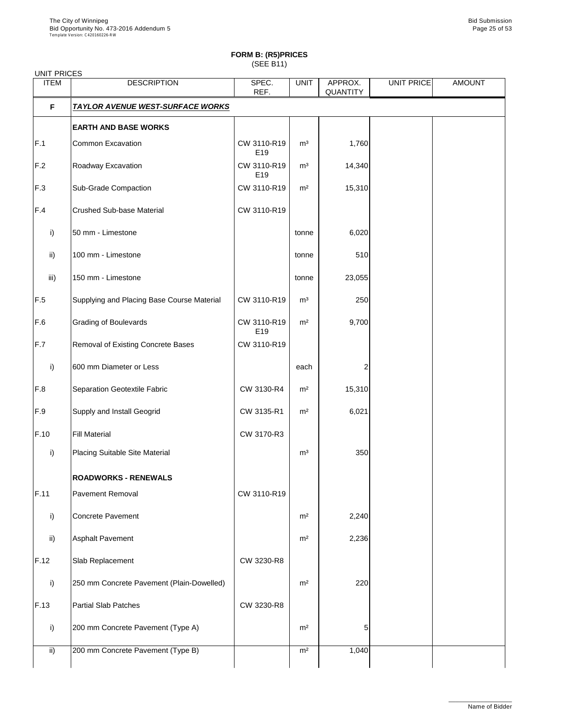| <b>UNIT PRICES</b> |                                            |                                |                |                            |                   |               |
|--------------------|--------------------------------------------|--------------------------------|----------------|----------------------------|-------------------|---------------|
| <b>ITEM</b>        | <b>DESCRIPTION</b>                         | SPEC.<br>REF.                  | <b>UNIT</b>    | APPROX.<br><b>QUANTITY</b> | <b>UNIT PRICE</b> | <b>AMOUNT</b> |
| F                  | <b>TAYLOR AVENUE WEST-SURFACE WORKS</b>    |                                |                |                            |                   |               |
|                    | <b>EARTH AND BASE WORKS</b>                |                                |                |                            |                   |               |
| F.1                | <b>Common Excavation</b>                   | CW 3110-R19<br>E19             | m <sup>3</sup> | 1,760                      |                   |               |
| F.2                | Roadway Excavation                         | CW 3110-R19<br>E19             | m <sup>3</sup> | 14,340                     |                   |               |
| F.3                | <b>Sub-Grade Compaction</b>                | CW 3110-R19                    | m <sup>2</sup> | 15,310                     |                   |               |
| F.4                | <b>Crushed Sub-base Material</b>           | CW 3110-R19                    |                |                            |                   |               |
| $\mathsf{i}$       | 50 mm - Limestone                          |                                | tonne          | 6,020                      |                   |               |
| $\mathsf{ii}$      | 100 mm - Limestone                         |                                | tonne          | 510                        |                   |               |
| iii)               | 150 mm - Limestone                         |                                | tonne          | 23,055                     |                   |               |
| F.5                | Supplying and Placing Base Course Material | CW 3110-R19                    | m <sup>3</sup> | 250                        |                   |               |
| F.6                | <b>Grading of Boulevards</b>               | CW 3110-R19<br>E <sub>19</sub> | m <sup>2</sup> | 9,700                      |                   |               |
| F.7                | Removal of Existing Concrete Bases         | CW 3110-R19                    |                |                            |                   |               |
| i)                 | 600 mm Diameter or Less                    |                                | each           |                            |                   |               |
| F.8                | <b>Separation Geotextile Fabric</b>        | CW 3130-R4                     | m <sup>2</sup> | 15,310                     |                   |               |
| F.9                | <b>Supply and Install Geogrid</b>          | CW 3135-R1                     | m <sup>2</sup> | 6,021                      |                   |               |
| F.10               | <b>Fill Material</b>                       | CW 3170-R3                     |                |                            |                   |               |
| i)                 | <b>Placing Suitable Site Material</b>      |                                | m <sup>3</sup> | 350                        |                   |               |
|                    | <b>ROADWORKS - RENEWALS</b>                |                                |                |                            |                   |               |
| F.11               | <b>Pavement Removal</b>                    | CW 3110-R19                    |                |                            |                   |               |
| i)                 | <b>Concrete Pavement</b>                   |                                | m <sup>2</sup> | 2,240                      |                   |               |
| $\mathsf{ii}$      | <b>Asphalt Pavement</b>                    |                                | m <sup>2</sup> | 2,236                      |                   |               |
| F.12               | Slab Replacement                           | CW 3230-R8                     |                |                            |                   |               |
| i)                 | 250 mm Concrete Pavement (Plain-Dowelled)  |                                | m <sup>2</sup> | 220                        |                   |               |
| F.13               | <b>Partial Slab Patches</b>                | CW 3230-R8                     |                |                            |                   |               |
| $\vert$ i)         | 200 mm Concrete Pavement (Type A)          |                                | m <sup>2</sup> | 51                         |                   |               |
| $\mathsf{ii}$      | 200 mm Concrete Pavement (Type B)          |                                | m <sup>2</sup> | 1,040                      |                   |               |

\_\_\_\_\_\_\_\_\_\_\_\_\_\_\_\_\_\_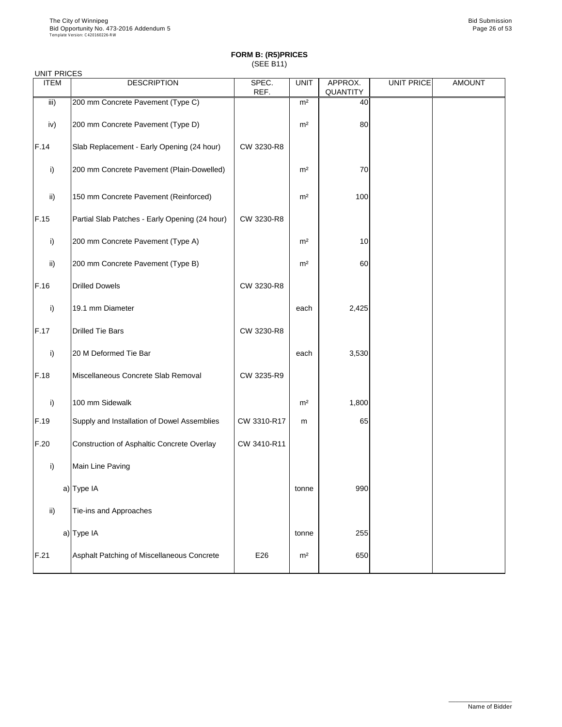| <b>UNIT PRICES</b> |                                                |               |                |                            |            |               |
|--------------------|------------------------------------------------|---------------|----------------|----------------------------|------------|---------------|
| <b>ITEM</b>        | <b>DESCRIPTION</b>                             | SPEC.<br>REF. | <b>UNIT</b>    | APPROX.<br><b>QUANTITY</b> | UNIT PRICE | <b>AMOUNT</b> |
| iii)               | 200 mm Concrete Pavement (Type C)              |               | m <sup>2</sup> | 40                         |            |               |
| iv)                | 200 mm Concrete Pavement (Type D)              |               | m <sup>2</sup> | 80                         |            |               |
| F.14               | Slab Replacement - Early Opening (24 hour)     | CW 3230-R8    |                |                            |            |               |
| i)                 | 200 mm Concrete Pavement (Plain-Dowelled)      |               | m <sup>2</sup> | 70                         |            |               |
| $\mathsf{ii}$      | 150 mm Concrete Pavement (Reinforced)          |               | m <sup>2</sup> | 100                        |            |               |
| F.15               | Partial Slab Patches - Early Opening (24 hour) | CW 3230-R8    |                |                            |            |               |
| i)                 | 200 mm Concrete Pavement (Type A)              |               | m <sup>2</sup> | 10                         |            |               |
| $\mathsf{ii}$      | 200 mm Concrete Pavement (Type B)              |               | m <sup>2</sup> | 60                         |            |               |
| F.16               | <b>Drilled Dowels</b>                          | CW 3230-R8    |                |                            |            |               |
| i)                 | 19.1 mm Diameter                               |               | each           | 2,425                      |            |               |
| F.17               | <b>Drilled Tie Bars</b>                        | CW 3230-R8    |                |                            |            |               |
| $\mathsf{i}$       | 20 M Deformed Tie Bar                          |               | each           | 3,530                      |            |               |
| F.18               | Miscellaneous Concrete Slab Removal            | CW 3235-R9    |                |                            |            |               |
| i)                 | 100 mm Sidewalk                                |               | m <sup>2</sup> | 1,800                      |            |               |
| F.19               | Supply and Installation of Dowel Assemblies    | CW 3310-R17   | m              | 65                         |            |               |
| F.20               | Construction of Asphaltic Concrete Overlay     | CW 3410-R11   |                |                            |            |               |
| i)                 | Main Line Paving                               |               |                |                            |            |               |
|                    | a) Type IA                                     |               | tonne          | 990                        |            |               |
| $\mathsf{ii}$      | Tie-ins and Approaches                         |               |                |                            |            |               |
|                    | a) Type IA                                     |               | tonne          | 255                        |            |               |
| F.21               | Asphalt Patching of Miscellaneous Concrete     | E26           | m <sup>2</sup> | 650                        |            |               |

\_\_\_\_\_\_\_\_\_\_\_\_\_\_\_\_\_\_

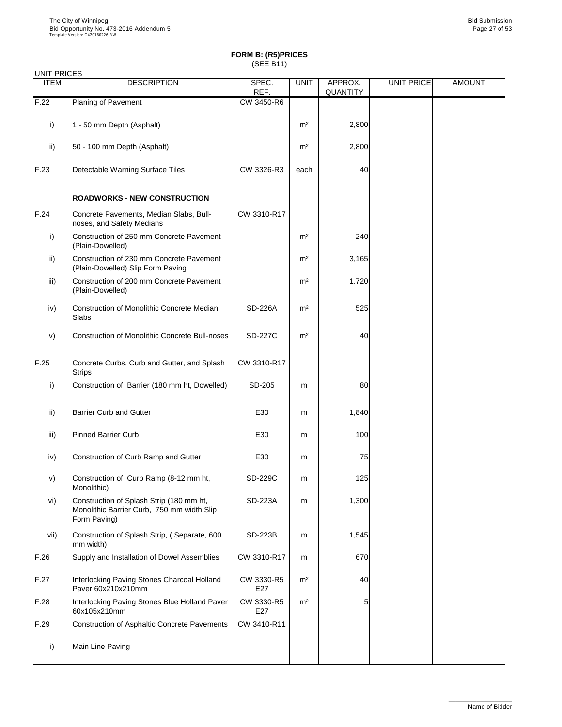# UNIT PRICES

| <b>ITEM</b>     | <b>DESCRIPTION</b>                                                                                      | SPEC.<br>REF.  | <b>UNIT</b>    | APPROX.<br><b>QUANTITY</b> | UNIT PRICE | <b>AMOUNT</b> |
|-----------------|---------------------------------------------------------------------------------------------------------|----------------|----------------|----------------------------|------------|---------------|
| F.22            | <b>Planing of Pavement</b>                                                                              | CW 3450-R6     |                |                            |            |               |
| i)              | 1 - 50 mm Depth (Asphalt)                                                                               |                | m <sup>2</sup> | 2,800                      |            |               |
| ii)             | 50 - 100 mm Depth (Asphalt)                                                                             |                | m <sup>2</sup> | 2,800                      |            |               |
| F.23            | <b>Detectable Warning Surface Tiles</b>                                                                 | CW 3326-R3     | each           | 40                         |            |               |
|                 | <b>ROADWORKS - NEW CONSTRUCTION</b>                                                                     |                |                |                            |            |               |
| F.24            | Concrete Pavements, Median Slabs, Bull-<br>noses, and Safety Medians                                    | CW 3310-R17    |                |                            |            |               |
| i)              | Construction of 250 mm Concrete Pavement<br>(Plain-Dowelled)                                            |                | m <sup>2</sup> | 240                        |            |               |
| $\mathsf{ii}$ ) | Construction of 230 mm Concrete Pavement<br>(Plain-Dowelled) Slip Form Paving                           |                | m <sup>2</sup> | 3,165                      |            |               |
| iii)            | Construction of 200 mm Concrete Pavement<br>(Plain-Dowelled)                                            |                | m <sup>2</sup> | 1,720                      |            |               |
| iv)             | <b>Construction of Monolithic Concrete Median</b><br>Slabs                                              | <b>SD-226A</b> | m <sup>2</sup> | 525                        |            |               |
| V)              | <b>Construction of Monolithic Concrete Bull-noses</b>                                                   | <b>SD-227C</b> | m <sup>2</sup> | 40                         |            |               |
| F.25            | Concrete Curbs, Curb and Gutter, and Splash<br><b>Strips</b>                                            | CW 3310-R17    |                |                            |            |               |
| i)              | Construction of Barrier (180 mm ht, Dowelled)                                                           | SD-205         | m              | 80                         |            |               |
| $\mathsf{ii}$   | <b>Barrier Curb and Gutter</b>                                                                          | E30            | m              | 1,840                      |            |               |
| iii)            | <b>Pinned Barrier Curb</b>                                                                              | E30            | m              | 100                        |            |               |
| iv)             | Construction of Curb Ramp and Gutter                                                                    | E30            | m              | 75                         |            |               |
| V)              | Construction of Curb Ramp (8-12 mm ht,<br>Monolithic)                                                   | <b>SD-229C</b> | m              | 125                        |            |               |
| vi)             | Construction of Splash Strip (180 mm ht,<br>Monolithic Barrier Curb, 750 mm width, Slip<br>Form Paving) | <b>SD-223A</b> | m              | 1,300                      |            |               |

vii) Construction of Splash Strip, ( Separate, 600

mm width)

| F.26 | Supply and Installation of Dowel Assemblies                       | CW 3310-R17       | m              | 670 |  |
|------|-------------------------------------------------------------------|-------------------|----------------|-----|--|
| F.27 | Interlocking Paving Stones Charcoal Holland<br>Paver 60x210x210mm | CW 3330-R5<br>E27 | m <sup>2</sup> | 40  |  |
| F.28 | Interlocking Paving Stones Blue Holland Paver<br>60x105x210mm     | CW 3330-R5<br>E27 | m <sup>2</sup> | 5.  |  |
| F.29 | Construction of Asphaltic Concrete Pavements                      | CW 3410-R11       |                |     |  |
|      | Main Line Paving                                                  |                   |                |     |  |

SD-223B | m | 1,545

\_\_\_\_\_\_\_\_\_\_\_\_\_\_\_\_\_\_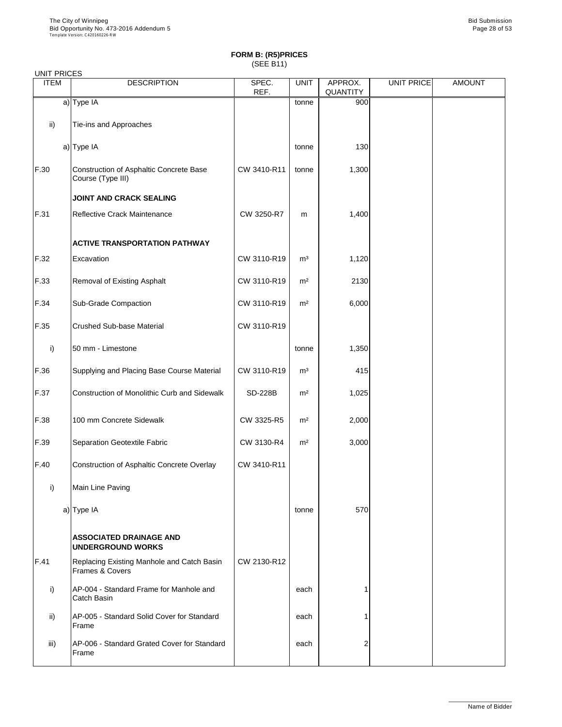|  | UNIT PRICES |
|--|-------------|
|--|-------------|

| UNII FRIULO<br><b>ITEM</b> | <b>DESCRIPTION</b>                                            | SPEC.<br>REF.  | <b>UNIT</b>    | APPROX.<br><b>QUANTITY</b> | <b>UNIT PRICE</b> | <b>AMOUNT</b> |
|----------------------------|---------------------------------------------------------------|----------------|----------------|----------------------------|-------------------|---------------|
|                            | $a)$ Type IA                                                  |                | tonne          | 900                        |                   |               |
| $\mathsf{ii}$              | Tie-ins and Approaches                                        |                |                |                            |                   |               |
|                            | a) Type IA                                                    |                | tonne          | 130                        |                   |               |
| F.30                       | Construction of Asphaltic Concrete Base<br>Course (Type III)  | CW 3410-R11    | tonne          | 1,300                      |                   |               |
|                            | <b>JOINT AND CRACK SEALING</b>                                |                |                |                            |                   |               |
| F.31                       | <b>Reflective Crack Maintenance</b>                           | CW 3250-R7     | m              | 1,400                      |                   |               |
|                            | <b>ACTIVE TRANSPORTATION PATHWAY</b>                          |                |                |                            |                   |               |
| F.32                       | Excavation                                                    | CW 3110-R19    | m <sup>3</sup> | 1,120                      |                   |               |
| F.33                       | <b>Removal of Existing Asphalt</b>                            | CW 3110-R19    | m <sup>2</sup> | 2130                       |                   |               |
| F.34                       | <b>Sub-Grade Compaction</b>                                   | CW 3110-R19    | m <sup>2</sup> | 6,000                      |                   |               |
| F.35                       | <b>Crushed Sub-base Material</b>                              | CW 3110-R19    |                |                            |                   |               |
| $\mathsf{i}$               | 50 mm - Limestone                                             |                | tonne          | 1,350                      |                   |               |
| F.36                       | Supplying and Placing Base Course Material                    | CW 3110-R19    | m <sup>3</sup> | 415                        |                   |               |
| F.37                       | <b>Construction of Monolithic Curb and Sidewalk</b>           | <b>SD-228B</b> | m <sup>2</sup> | 1,025                      |                   |               |
| F.38                       | 100 mm Concrete Sidewalk                                      | CW 3325-R5     | m <sup>2</sup> | 2,000                      |                   |               |
| F.39                       | Separation Geotextile Fabric                                  | CW 3130-R4     | m <sup>2</sup> | 3,000                      |                   |               |
| F.40                       | Construction of Asphaltic Concrete Overlay                    | CW 3410-R11    |                |                            |                   |               |
| i)                         | Main Line Paving                                              |                |                |                            |                   |               |
|                            | a) Type IA                                                    |                | tonne          | 570                        |                   |               |
|                            | <b>ASSOCIATED DRAINAGE AND</b><br><b>UNDERGROUND WORKS</b>    |                |                |                            |                   |               |
| F.41                       | Replacing Existing Manhole and Catch Basin<br>Frames & Covers | CW 2130-R12    |                |                            |                   |               |
| i)                         | AP-004 - Standard Frame for Manhole and<br><b>Catch Basin</b> |                | each           |                            |                   |               |
| $\mathsf{ii}$              | AP-005 - Standard Solid Cover for Standard<br>Frame           |                | each           |                            |                   |               |
| iii)                       | AP-006 - Standard Grated Cover for Standard<br>Frame          |                | each           | $\overline{2}$             |                   |               |

\_\_\_\_\_\_\_\_\_\_\_\_\_\_\_\_\_\_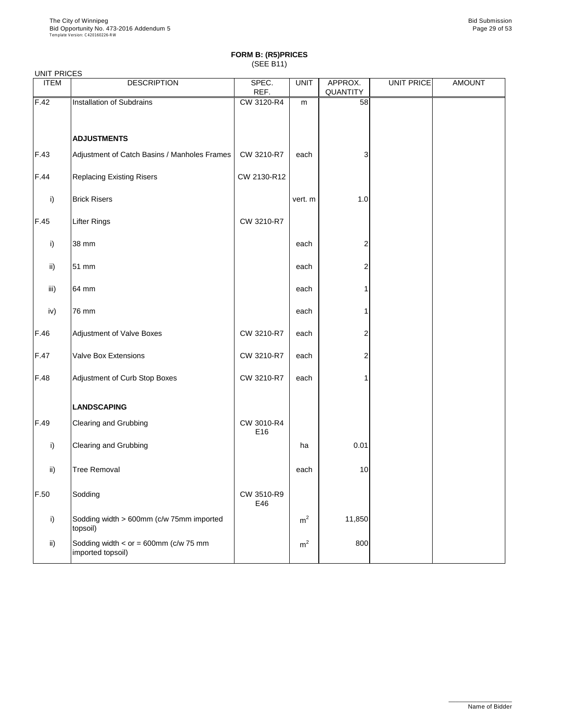### UNIT PRICES

| UNII FRIULO<br><b>ITEM</b> | <b>DESCRIPTION</b>                                           | SPEC.<br>REF.     | <b>UNIT</b>    | APPROX.<br>QUANTITY | UNIT PRICE | <b>AMOUNT</b> |
|----------------------------|--------------------------------------------------------------|-------------------|----------------|---------------------|------------|---------------|
| F.42                       | Installation of Subdrains                                    | CW 3120-R4        | m              | 58                  |            |               |
|                            |                                                              |                   |                |                     |            |               |
|                            | <b>ADJUSTMENTS</b>                                           |                   |                |                     |            |               |
| F.43                       | Adjustment of Catch Basins / Manholes Frames                 | CW 3210-R7        | each           | 3                   |            |               |
| F.44                       | <b>Replacing Existing Risers</b>                             | CW 2130-R12       |                |                     |            |               |
| i)                         | <b>Brick Risers</b>                                          |                   | vert. m        | 1.0                 |            |               |
| F.45                       | <b>Lifter Rings</b>                                          | CW 3210-R7        |                |                     |            |               |
| i)                         | 38 mm                                                        |                   | each           | $\overline{c}$      |            |               |
| $\mathsf{ii}$              | 51 mm                                                        |                   | each           | 2                   |            |               |
| iii)                       | 64 mm                                                        |                   | each           |                     |            |               |
| iv)                        | 76 mm                                                        |                   | each           |                     |            |               |
| F.46                       | <b>Adjustment of Valve Boxes</b>                             | CW 3210-R7        | each           | 2                   |            |               |
| F.47                       | <b>Valve Box Extensions</b>                                  | CW 3210-R7        | each           | 2                   |            |               |
| F.48                       | Adjustment of Curb Stop Boxes                                | CW 3210-R7        | each           |                     |            |               |
|                            | <b>LANDSCAPING</b>                                           |                   |                |                     |            |               |
| F.49                       | <b>Clearing and Grubbing</b>                                 | CW 3010-R4<br>E16 |                |                     |            |               |
| i)                         | <b>Clearing and Grubbing</b>                                 |                   | ha             | 0.01                |            |               |
| $\mathsf{ii}$              | <b>Tree Removal</b>                                          |                   | each           | 10                  |            |               |
| F.50                       | Sodding                                                      | CW 3510-R9<br>E46 |                |                     |            |               |
| i)                         | Sodding width > 600mm (c/w 75mm imported<br>topsoil)         |                   | m <sup>2</sup> | 11,850              |            |               |
| $\mathsf{ii}$              | Sodding width $<$ or = 600mm (c/w 75 mm<br>imported topsoil) |                   | m <sup>2</sup> | 800                 |            |               |

\_\_\_\_\_\_\_\_\_\_\_\_\_\_\_\_\_\_

Name of Bidder

┙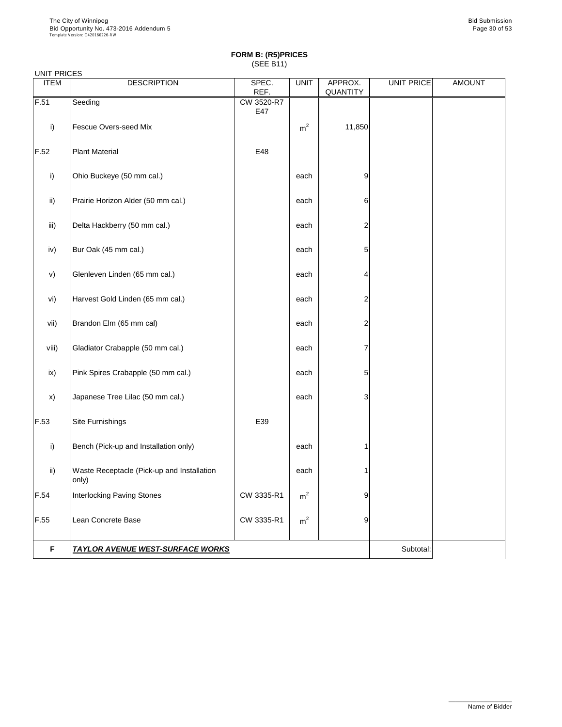|  | <b>UNIT PRICES</b> |
|--|--------------------|
|--|--------------------|

| <b>ITEM</b>   | <b>DESCRIPTION</b>                                  | SPEC.<br>REF.     | <b>UNIT</b>    | APPROX.<br>QUANTITY     | UNIT PRICE | <b>AMOUNT</b> |
|---------------|-----------------------------------------------------|-------------------|----------------|-------------------------|------------|---------------|
| F.51          | Seeding                                             | CW 3520-R7<br>E47 |                |                         |            |               |
| i)            | <b>Fescue Overs-seed Mix</b>                        |                   | m <sup>2</sup> | 11,850                  |            |               |
| F.52          | <b>Plant Material</b>                               | E48               |                |                         |            |               |
| i)            | Ohio Buckeye (50 mm cal.)                           |                   | each           | $\overline{9}$          |            |               |
| ii)           | Prairie Horizon Alder (50 mm cal.)                  |                   | each           | 6                       |            |               |
| iii)          | Delta Hackberry (50 mm cal.)                        |                   | each           | $\overline{\mathbf{c}}$ |            |               |
| iv)           | Bur Oak (45 mm cal.)                                |                   | each           | $5\vert$                |            |               |
| V)            | Glenleven Linden (65 mm cal.)                       |                   | each           | 4                       |            |               |
| vi)           | Harvest Gold Linden (65 mm cal.)                    |                   | each           | 2                       |            |               |
| vii)          | Brandon Elm (65 mm cal)                             |                   | each           | 2                       |            |               |
| viii)         | Gladiator Crabapple (50 mm cal.)                    |                   | each           | 7                       |            |               |
| ix)           | Pink Spires Crabapple (50 mm cal.)                  |                   | each           | 5                       |            |               |
| $\mathsf{x})$ | Japanese Tree Lilac (50 mm cal.)                    |                   | each           | 3                       |            |               |
| F.53          | Site Furnishings                                    | E39               |                |                         |            |               |
| i)            | Bench (Pick-up and Installation only)               |                   | each           |                         |            |               |
| $\mathsf{ii}$ | Waste Receptacle (Pick-up and Installation<br>only) |                   | each           |                         |            |               |
| F.54          | <b>Interlocking Paving Stones</b>                   | CW 3335-R1        | m <sup>2</sup> | 9                       |            |               |
| F.55          | <b>Lean Concrete Base</b>                           | CW 3335-R1        | m <sup>2</sup> | 9                       |            |               |

**F TAYLOR AVENUE WEST-SURFACE WORKS THE SUBSE IN A SUBSET SUBSET OF SUBSET AND RESERVE THE SUBSET OF SUBSET OF SUBSET AND RESPECT OF SUBSET OF SUBSET OF SUBSET OF SUBSET OF SUBSET OF SUBSET OF SUBSET OF SUBSET OF SUBSE** 

\_\_\_\_\_\_\_\_\_\_\_\_\_\_\_\_\_\_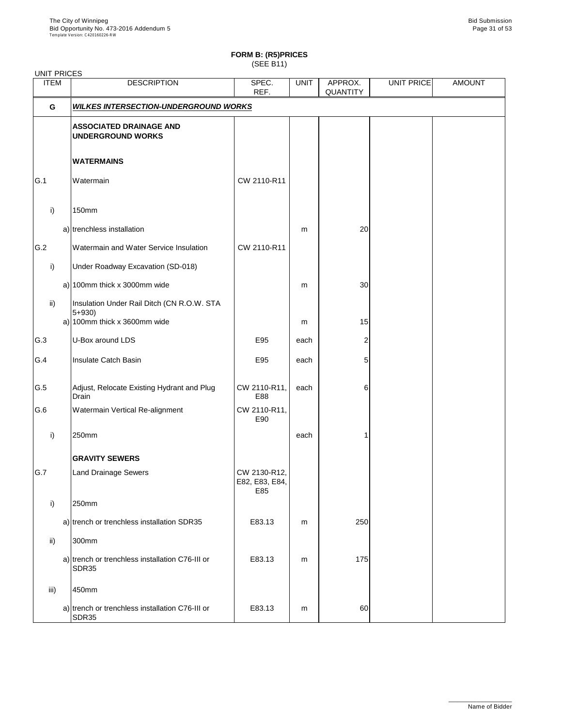# **FORM B: (R5)PRICES**

(SEE B11)

| <b>UNIT PRICES</b> |                                                                                         |                                       |             |                            |            |               |
|--------------------|-----------------------------------------------------------------------------------------|---------------------------------------|-------------|----------------------------|------------|---------------|
| <b>ITEM</b>        | <b>DESCRIPTION</b>                                                                      | SPEC.<br>REF.                         | <b>UNIT</b> | APPROX.<br><b>QUANTITY</b> | UNIT PRICE | <b>AMOUNT</b> |
| G                  | <b>WILKES INTERSECTION-UNDERGROUND WORKS</b>                                            |                                       |             |                            |            |               |
|                    | <b>ASSOCIATED DRAINAGE AND</b><br><b>UNDERGROUND WORKS</b>                              |                                       |             |                            |            |               |
|                    | <b>WATERMAINS</b>                                                                       |                                       |             |                            |            |               |
| G.1                | Watermain                                                                               | CW 2110-R11                           |             |                            |            |               |
| i)                 | 150mm                                                                                   |                                       |             |                            |            |               |
|                    | a) trenchless installation                                                              |                                       | m           | 20                         |            |               |
| G.2                | <b>Watermain and Water Service Insulation</b>                                           | CW 2110-R11                           |             |                            |            |               |
| $\mathsf{i}$       | <b>Under Roadway Excavation (SD-018)</b>                                                |                                       |             |                            |            |               |
|                    | a) 100mm thick x 3000mm wide                                                            |                                       | m           | 30                         |            |               |
| $\mathsf{ii}$      | Insulation Under Rail Ditch (CN R.O.W. STA<br>$5 + 930$<br>a) 100mm thick x 3600mm wide |                                       | m           | 15                         |            |               |
| G.3                | U-Box around LDS                                                                        | E95                                   | each        | 2                          |            |               |
| G.4                | <b>Insulate Catch Basin</b>                                                             | E95                                   | each        | 5                          |            |               |
| G.5                | Adjust, Relocate Existing Hydrant and Plug<br><b>Drain</b>                              | CW 2110-R11,<br>E88                   | each        | 6                          |            |               |
| G.6                | <b>Watermain Vertical Re-alignment</b>                                                  | CW 2110-R11,<br>E90                   |             |                            |            |               |
| i)                 | 250mm                                                                                   |                                       | each        |                            |            |               |
|                    | <b>GRAVITY SEWERS</b>                                                                   |                                       |             |                            |            |               |
| G.7                | <b>Land Drainage Sewers</b>                                                             | CW 2130-R12,<br>E82, E83, E84,<br>E85 |             |                            |            |               |
| i)                 | 250mm                                                                                   |                                       |             |                            |            |               |
|                    | a) trench or trenchless installation SDR35                                              | E83.13                                | m           | 250                        |            |               |
| $\mathsf{ii}$      | 300mm                                                                                   |                                       |             |                            |            |               |
|                    | a) trench or trenchless installation C76-III or<br>SDR35                                | E83.13                                | m           | 175                        |            |               |
| iii)               | 450mm                                                                                   |                                       |             |                            |            |               |
|                    | a) trench or trenchless installation C76-III or<br><b>SDR35</b>                         | E83.13                                | m           | 60                         |            |               |

\_\_\_\_\_\_\_\_\_\_\_\_\_\_\_\_\_\_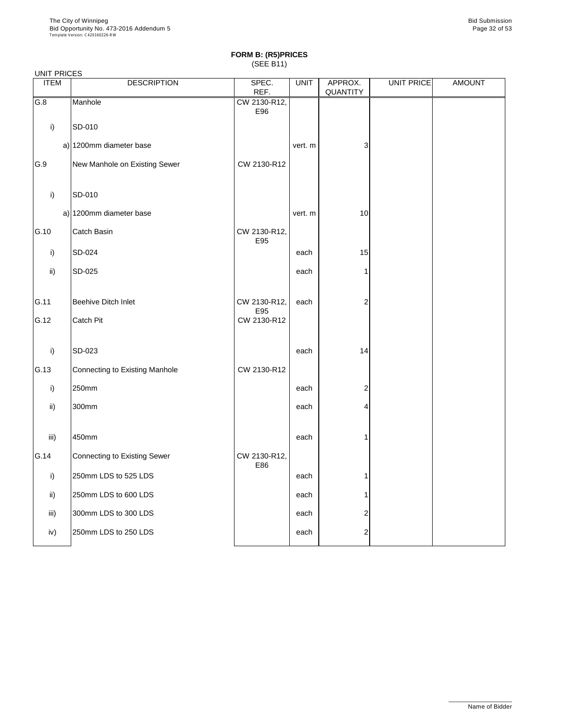### UNIT PRICES

| <b>ITEM</b>     | <b>DESCRIPTION</b>                  | SPEC.               | <b>UNIT</b> | APPROX.        | UNIT PRICE | <b>AMOUNT</b> |
|-----------------|-------------------------------------|---------------------|-------------|----------------|------------|---------------|
|                 |                                     | REF.                |             | QUANTITY       |            |               |
| G.8             | Manhole                             | CW 2130-R12,<br>E96 |             |                |            |               |
| i)              | SD-010                              |                     |             |                |            |               |
|                 | a) 1200mm diameter base             |                     | vert. m     | 3              |            |               |
| G.9             | New Manhole on Existing Sewer       | CW 2130-R12         |             |                |            |               |
| i)              | SD-010                              |                     |             |                |            |               |
|                 | a) 1200mm diameter base             |                     | vert. m     | 10             |            |               |
| G.10            | Catch Basin                         | CW 2130-R12,<br>E95 |             |                |            |               |
| i)              | SD-024                              |                     | each        | 15             |            |               |
| $\mathsf{ii}$   | SD-025                              |                     | each        |                |            |               |
| G.11            | <b>Beehive Ditch Inlet</b>          | CW 2130-R12,<br>E95 | each        | $\overline{2}$ |            |               |
| G.12            | Catch Pit                           | CW 2130-R12         |             |                |            |               |
| i)              | SD-023                              |                     | each        | 14             |            |               |
| G.13            | Connecting to Existing Manhole      | CW 2130-R12         |             |                |            |               |
| i)              | 250mm                               |                     | each        | $\overline{2}$ |            |               |
| $\mathsf{ii}$   | 300mm                               |                     | each        | 4              |            |               |
| iii)            | 450mm                               |                     | each        | 1              |            |               |
| G.14            | <b>Connecting to Existing Sewer</b> | CW 2130-R12,<br>E86 |             |                |            |               |
| i)              | 250mm LDS to 525 LDS                |                     | each        |                |            |               |
| $\mathsf{ii}$ ) | 250mm LDS to 600 LDS                |                     | each        | 1              |            |               |
| iii)            | 300mm LDS to 300 LDS                |                     | each        | $\overline{2}$ |            |               |
| iv)             | 250mm LDS to 250 LDS                |                     | each        | 2              |            |               |

\_\_\_\_\_\_\_\_\_\_\_\_\_\_\_\_\_\_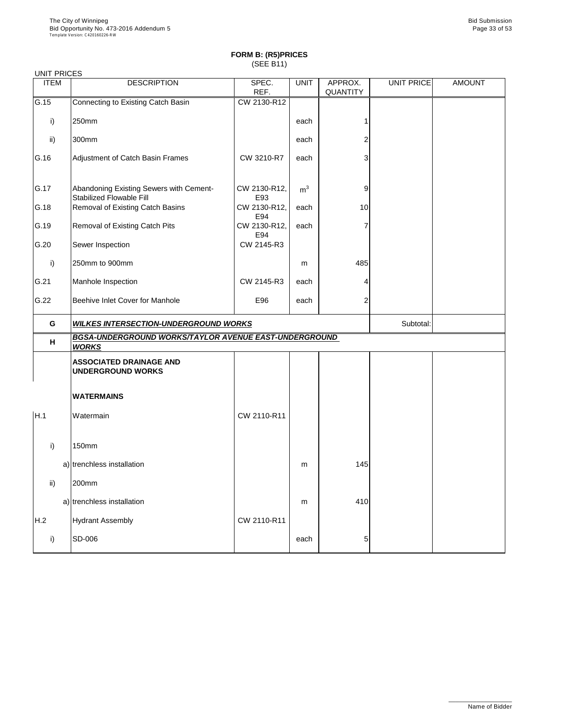### **FORM B: (R5)PRICES** (SEE B11)

| <b>UNIT PRICES</b> |                                                                              |                     |                |                            |            |               |
|--------------------|------------------------------------------------------------------------------|---------------------|----------------|----------------------------|------------|---------------|
| <b>ITEM</b>        | <b>DESCRIPTION</b>                                                           | SPEC.<br>REF.       | <b>UNIT</b>    | APPROX.<br><b>QUANTITY</b> | UNIT PRICE | <b>AMOUNT</b> |
| G.15               | Connecting to Existing Catch Basin                                           | CW 2130-R12         |                |                            |            |               |
| i)                 | 250mm                                                                        |                     | each           |                            |            |               |
| $\mathsf{ii}$      | 300mm                                                                        |                     | each           |                            |            |               |
| G.16               | Adjustment of Catch Basin Frames                                             | CW 3210-R7          | each           | 3                          |            |               |
| G.17               | Abandoning Existing Sewers with Cement-<br><b>Stabilized Flowable Fill</b>   | CW 2130-R12,<br>E93 | m <sup>3</sup> | 9                          |            |               |
| G.18               | CW 2130-R12,<br>10<br><b>Removal of Existing Catch Basins</b><br>each<br>E94 |                     |                |                            |            |               |
| G.19               | <b>Removal of Existing Catch Pits</b>                                        | CW 2130-R12,<br>E94 | each           |                            |            |               |
| G.20               | Sewer Inspection                                                             | CW 2145-R3          |                |                            |            |               |
| i)                 | 250mm to 900mm                                                               |                     | m              | 485                        |            |               |
| G.21               | Manhole Inspection                                                           | CW 2145-R3          | each           |                            |            |               |
| G.22               | Beehive Inlet Cover for Manhole                                              | E96                 | each           | 2                          |            |               |
| G                  | <b>WILKES INTERSECTION-UNDERGROUND WORKS</b>                                 |                     | Subtotal:      |                            |            |               |
| H                  | BGSA-UNDERGROUND WORKS/TAYLOR AVENUE EAST-UNDERGROUND<br><b>WORKS</b>        |                     |                |                            |            |               |
|                    | <b>ASSOCIATED DRAINAGE AND</b><br><b>UNDERGROUND WORKS</b>                   |                     |                |                            |            |               |
|                    | <b>WATERMAINS</b>                                                            |                     |                |                            |            |               |
| H.1                | Watermain                                                                    | CW 2110-R11         |                |                            |            |               |
| i)                 | <b>150mm</b>                                                                 |                     |                |                            |            |               |
|                    | a) trenchless installation                                                   |                     | m              | 145                        |            |               |
| $\mathsf{ii}$      | 200mm                                                                        |                     |                |                            |            |               |
|                    | a) trenchless installation                                                   |                     | m              | 410                        |            |               |
| H.2                | <b>Hydrant Assembly</b>                                                      | CW 2110-R11         |                |                            |            |               |
| $\mathsf{i}$       | SD-006                                                                       |                     | each           | 5                          |            |               |

\_\_\_\_\_\_\_\_\_\_\_\_\_\_\_\_\_\_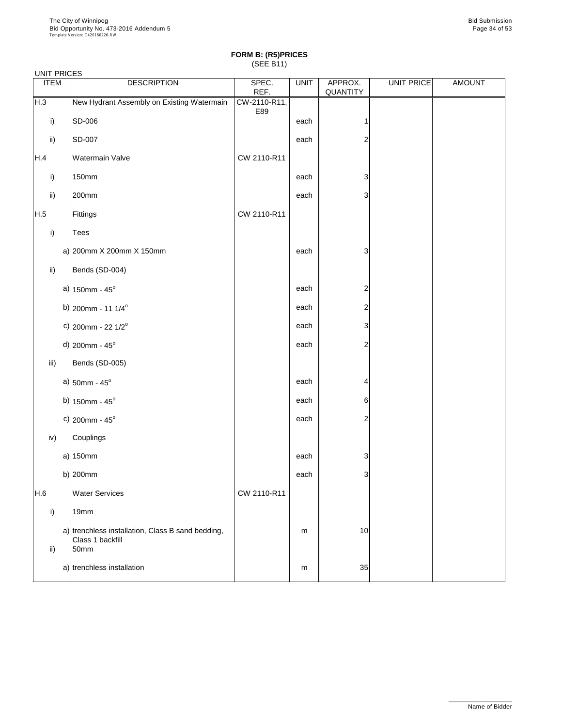### UNIT PRICES

| 0000 DIVITE<br><b>ITEM</b> | <b>DESCRIPTION</b>                                                            | SPEC.<br>REF.       | <b>UNIT</b> | APPROX.<br>QUANTITY | UNIT PRICE | <b>AMOUNT</b> |
|----------------------------|-------------------------------------------------------------------------------|---------------------|-------------|---------------------|------------|---------------|
| H.3                        | New Hydrant Assembly on Existing Watermain                                    | CW-2110-R11,<br>E89 |             |                     |            |               |
| i)                         | SD-006                                                                        |                     | each        |                     |            |               |
| $\mathsf{ii}$              | <b>SD-007</b>                                                                 |                     | each        | $\overline{c}$      |            |               |
| H.4                        | Watermain Valve                                                               | CW 2110-R11         |             |                     |            |               |
| i)                         | <b>150mm</b>                                                                  |                     | each        | 3                   |            |               |
| ii)                        | 200mm                                                                         |                     | each        | 3                   |            |               |
| H.5                        | Fittings                                                                      | CW 2110-R11         |             |                     |            |               |
| i)                         | <b>Tees</b>                                                                   |                     |             |                     |            |               |
|                            | a) $ 200$ mm X 200mm X 150mm                                                  |                     | each        | 3                   |            |               |
| ii)                        | Bends (SD-004)                                                                |                     |             |                     |            |               |
|                            | a) $150$ mm - $45^{\circ}$                                                    |                     | each        | $\overline{c}$      |            |               |
|                            | b) $ 200$ mm - 11 1/4 <sup>o</sup>                                            |                     | each        | $\overline{c}$      |            |               |
|                            | c) 200mm - 22 $1/2^{\circ}$                                                   |                     | each        | 3                   |            |               |
|                            | $d$ ) 200mm - 45°                                                             |                     | each        | $\mathbf{2}$        |            |               |
| iii)                       | Bends (SD-005)                                                                |                     |             |                     |            |               |
|                            | a) $50$ mm - $45^{\circ}$                                                     |                     | each        | 4                   |            |               |
|                            | b) $150$ mm - $45^{\circ}$                                                    |                     | each        | 6                   |            |               |
|                            | c) $ 200$ mm - 45°                                                            |                     | each        | $\overline{2}$      |            |               |
| iv)                        | <b>Couplings</b>                                                              |                     |             |                     |            |               |
|                            | $a)$ 150mm                                                                    |                     | each        | 3                   |            |               |
|                            | b) $ 200$ mm                                                                  |                     | each        | 3                   |            |               |
| H.6                        | <b>Water Services</b>                                                         | CW 2110-R11         |             |                     |            |               |
| i)                         | 19mm                                                                          |                     |             |                     |            |               |
| $\mathsf{ii}$              | a) trenchless installation, Class B sand bedding,<br>Class 1 backfill<br>50mm |                     | m           | 10                  |            |               |

| -4111 | installation د<br>THESS | m | ົ<br>ບບ⊤ |  |
|-------|-------------------------|---|----------|--|
|       |                         |   |          |  |

\_\_\_\_\_\_\_\_\_\_\_\_\_\_\_\_\_\_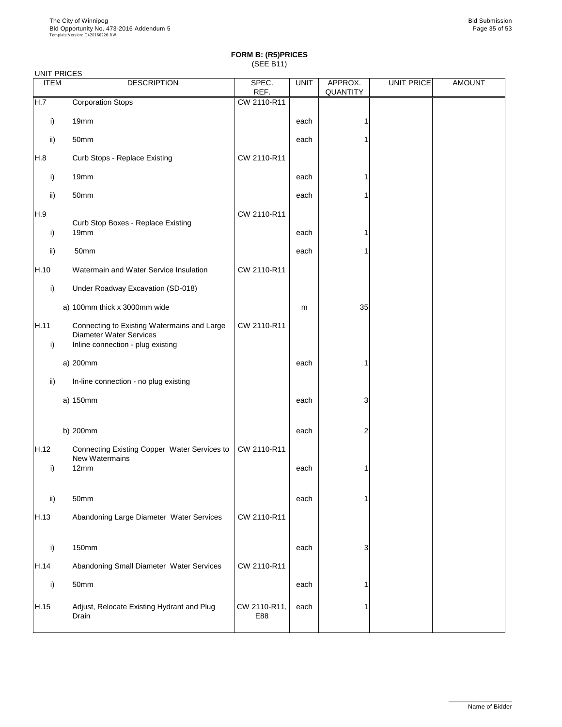| <b>UNIT PRICES</b> |                                                                                                                    |               |             |                            |            |               |
|--------------------|--------------------------------------------------------------------------------------------------------------------|---------------|-------------|----------------------------|------------|---------------|
| <b>ITEM</b>        | <b>DESCRIPTION</b>                                                                                                 | SPEC.<br>REF. | <b>UNIT</b> | APPROX.<br><b>QUANTITY</b> | UNIT PRICE | <b>AMOUNT</b> |
| H.7                | <b>Corporation Stops</b>                                                                                           | CW 2110-R11   |             |                            |            |               |
| i)                 | 19mm                                                                                                               |               | each        |                            |            |               |
| ii)                | 50mm                                                                                                               |               | each        |                            |            |               |
| H.8                | Curb Stops - Replace Existing                                                                                      | CW 2110-R11   |             |                            |            |               |
| i)                 | 19mm                                                                                                               |               | each        |                            |            |               |
| ii)                | 50mm                                                                                                               |               | each        |                            |            |               |
| H.9                | <b>Curb Stop Boxes - Replace Existing</b>                                                                          | CW 2110-R11   |             |                            |            |               |
| $\mathsf{i}$       | 19mm                                                                                                               |               | each        |                            |            |               |
| ii)                | 50mm                                                                                                               |               | each        |                            |            |               |
| H.10               | Watermain and Water Service Insulation                                                                             | CW 2110-R11   |             |                            |            |               |
| $\mathsf{i}$       | Under Roadway Excavation (SD-018)                                                                                  |               |             |                            |            |               |
|                    | a) 100mm thick x 3000mm wide                                                                                       |               | m           | 35                         |            |               |
| H.11<br>i)         | Connecting to Existing Watermains and Large<br><b>Diameter Water Services</b><br>Inline connection - plug existing | CW 2110-R11   |             |                            |            |               |
|                    | $a)$ 200mm                                                                                                         |               | each        | 1                          |            |               |
| ii)                | In-line connection - no plug existing                                                                              |               |             |                            |            |               |
|                    | a) $150$ mm                                                                                                        |               | each        | 3                          |            |               |
|                    | b) $200$ mm                                                                                                        |               | each        | 2                          |            |               |
| H.12               | Connecting Existing Copper Water Services to                                                                       | CW 2110-R11   |             |                            |            |               |
| $\mathsf{i}$       | <b>New Watermains</b><br>12mm                                                                                      |               | each        |                            |            |               |
| ii)                | 50mm                                                                                                               |               | each        |                            |            |               |
| H.13               | Abandoning Large Diameter Water Services                                                                           | CW 2110-R11   |             |                            |            |               |
| i)                 | <b>150mm</b>                                                                                                       |               | each        | 3                          |            |               |

| H.14 | Abandoning Small Diameter Water Services            | CW 2110-R11         |      |  |  |
|------|-----------------------------------------------------|---------------------|------|--|--|
|      | 50mm                                                |                     | each |  |  |
| H.15 | Adjust, Relocate Existing Hydrant and Plug<br>Drain | CW 2110-R11,<br>E88 | each |  |  |

\_\_\_\_\_\_\_\_\_\_\_\_\_\_\_\_\_\_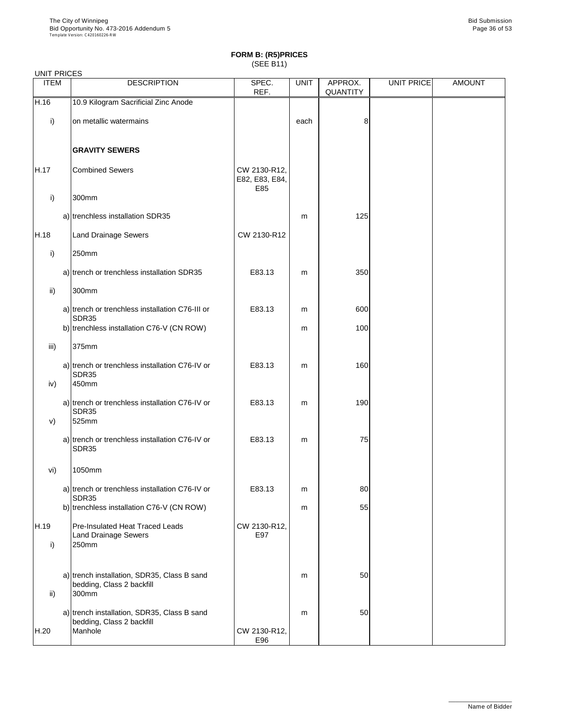| <b>UNIT PRICES</b> |                                                                                |                                       |             |                            |            |               |
|--------------------|--------------------------------------------------------------------------------|---------------------------------------|-------------|----------------------------|------------|---------------|
| <b>ITEM</b>        | <b>DESCRIPTION</b>                                                             | SPEC.<br>REF.                         | <b>UNIT</b> | APPROX.<br><b>QUANTITY</b> | UNIT PRICE | <b>AMOUNT</b> |
| H.16               | 10.9 Kilogram Sacrificial Zinc Anode                                           |                                       |             |                            |            |               |
| i)                 | on metallic watermains                                                         |                                       | each        | 8                          |            |               |
|                    | <b>GRAVITY SEWERS</b>                                                          |                                       |             |                            |            |               |
| H.17               | <b>Combined Sewers</b>                                                         | CW 2130-R12,<br>E82, E83, E84,<br>E85 |             |                            |            |               |
| i)                 | 300mm                                                                          |                                       |             |                            |            |               |
|                    | a) trenchless installation SDR35                                               |                                       | m           | 125                        |            |               |
| H.18               | <b>Land Drainage Sewers</b>                                                    | CW 2130-R12                           |             |                            |            |               |
| $\mathsf{i}$       | 250mm                                                                          |                                       |             |                            |            |               |
|                    | a) trench or trenchless installation SDR35                                     | E83.13                                | m           | 350                        |            |               |
| ii)                | 300mm                                                                          |                                       |             |                            |            |               |
|                    | a) trench or trenchless installation C76-III or<br>SDR35                       | E83.13                                | m           | 600                        |            |               |
|                    | b) trenchless installation C76-V (CN ROW)                                      |                                       | m           | 100                        |            |               |
| iii)               | 375mm                                                                          |                                       |             |                            |            |               |
| iv)                | a) trench or trenchless installation C76-IV or<br><b>SDR35</b><br>450mm        | E83.13                                | m           | 160                        |            |               |
| V)                 | a) trench or trenchless installation C76-IV or<br><b>SDR35</b><br>525mm        | E83.13                                | m           | 190                        |            |               |
|                    | a) trench or trenchless installation C76-IV or<br><b>SDR35</b>                 | E83.13                                | m           | 75                         |            |               |
| vi)                | 1050mm                                                                         |                                       |             |                            |            |               |
|                    | a) trench or trenchless installation C76-IV or<br>SDR35                        | E83.13                                | m           | 80                         |            |               |
|                    | b) trenchless installation C76-V (CN ROW)                                      |                                       | m           | 55                         |            |               |
| H.19<br>i)         | <b>Pre-Insulated Heat Traced Leads</b><br><b>Land Drainage Sewers</b><br>250mm | CW 2130-R12,<br>E97                   |             |                            |            |               |
|                    |                                                                                |                                       |             |                            |            |               |

| ii)  | a) trench installation, SDR35, Class B sand<br>bedding, Class 2 backfill<br>300mm   |                     | m | 50 |  |
|------|-------------------------------------------------------------------------------------|---------------------|---|----|--|
| H.20 | a) trench installation, SDR35, Class B sand<br>bedding, Class 2 backfill<br>Manhole | CW 2130-R12,<br>E96 | m | 50 |  |

\_\_\_\_\_\_\_\_\_\_\_\_\_\_\_\_\_\_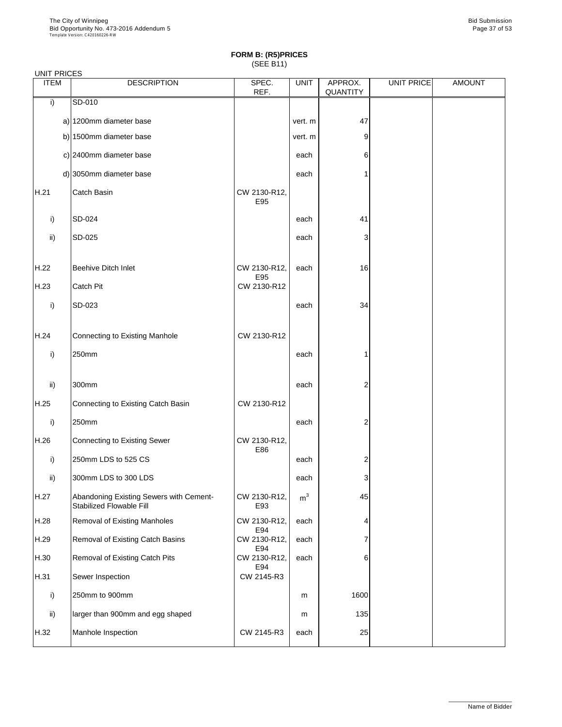| <b>UNIT PRICES</b> |                                                                            |                     |                |                            |            |               |
|--------------------|----------------------------------------------------------------------------|---------------------|----------------|----------------------------|------------|---------------|
| <b>ITEM</b>        | <b>DESCRIPTION</b>                                                         | SPEC.<br>REF.       | <b>UNIT</b>    | APPROX.<br><b>QUANTITY</b> | UNIT PRICE | <b>AMOUNT</b> |
| i)                 | SD-010                                                                     |                     |                |                            |            |               |
|                    | a) 1200mm diameter base                                                    |                     | vert. m        | 47                         |            |               |
|                    | b) 1500mm diameter base                                                    |                     | vert. m        | 9                          |            |               |
|                    | c) 2400mm diameter base                                                    |                     | each           | 6                          |            |               |
|                    | d) 3050 $mm$ diameter base                                                 |                     | each           | 1                          |            |               |
| H.21               | Catch Basin                                                                | CW 2130-R12,<br>E95 |                |                            |            |               |
| i)                 | SD-024                                                                     |                     | each           | 41                         |            |               |
| $\mathsf{ii}$      | SD-025                                                                     |                     | each           | 3                          |            |               |
| H.22               | <b>Beehive Ditch Inlet</b>                                                 | CW 2130-R12,<br>E95 | each           | 16                         |            |               |
| H.23               | <b>Catch Pit</b>                                                           | CW 2130-R12         |                |                            |            |               |
| i)                 | SD-023                                                                     |                     | each           | 34                         |            |               |
| H.24               | <b>Connecting to Existing Manhole</b>                                      | CW 2130-R12         |                |                            |            |               |
| i)                 | 250mm                                                                      |                     | each           | 1                          |            |               |
| $\mathsf{ii}$      | 300mm                                                                      |                     | each           | 2                          |            |               |
| H.25               | <b>Connecting to Existing Catch Basin</b>                                  | CW 2130-R12         |                |                            |            |               |
| i)                 | 250mm                                                                      |                     | each           | 2                          |            |               |
| H.26               | <b>Connecting to Existing Sewer</b>                                        | CW 2130-R12,        |                |                            |            |               |
| i)                 | 250mm LDS to 525 CS                                                        | E86                 | each           | $\overline{\mathbf{c}}$    |            |               |
| $\mathsf{ii}$      | 300mm LDS to 300 LDS                                                       |                     | each           | 3                          |            |               |
| H.27               | Abandoning Existing Sewers with Cement-<br><b>Stabilized Flowable Fill</b> | CW 2130-R12,<br>E93 | m <sup>3</sup> | 45                         |            |               |
| H.28               | <b>Removal of Existing Manholes</b>                                        | CW 2130-R12,<br>E94 | each           | 4                          |            |               |
| H.29               | <b>Removal of Existing Catch Basins</b>                                    | CW 2130-R12,<br>E94 | each           | 7                          |            |               |
| H.30               | <b>Removal of Existing Catch Pits</b>                                      | CW 2130-R12,        | each           | 6                          |            |               |

| H.31 | Sewer Inspection                 | E94<br>CW 2145-R3 |      |      |  |
|------|----------------------------------|-------------------|------|------|--|
|      | 250mm to 900mm                   |                   | m    | 1600 |  |
| ii)  | larger than 900mm and egg shaped |                   | m    | 135  |  |
| H.32 | Manhole Inspection               | CW 2145-R3        | each | 25   |  |

\_\_\_\_\_\_\_\_\_\_\_\_\_\_\_\_\_\_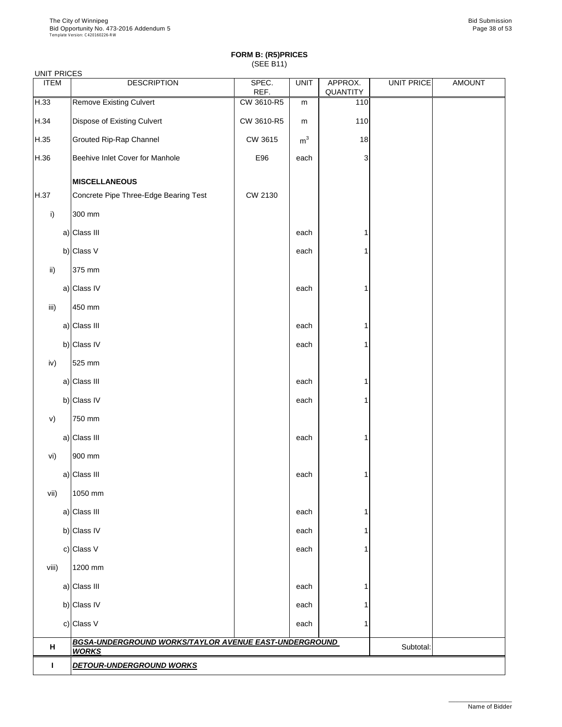| <b>UNIT PRICES</b> |                                                                                    |                                       |                |                |                     |            |               |
|--------------------|------------------------------------------------------------------------------------|---------------------------------------|----------------|----------------|---------------------|------------|---------------|
| <b>ITEM</b>        |                                                                                    | <b>DESCRIPTION</b>                    | SPEC.<br>REF.  | <b>UNIT</b>    | APPROX.<br>QUANTITY | UNIT PRICE | <b>AMOUNT</b> |
| H.33               | <b>Remove Existing Culvert</b>                                                     |                                       | CW 3610-R5     | m              | 110                 |            |               |
| H.34               | <b>Dispose of Existing Culvert</b>                                                 |                                       | CW 3610-R5     | m              | 110                 |            |               |
| H.35               | <b>Grouted Rip-Rap Channel</b>                                                     |                                       | CW 3615        | m <sup>3</sup> | 18                  |            |               |
| H.36               | Beehive Inlet Cover for Manhole                                                    |                                       | E96            | each           | 3                   |            |               |
|                    | <b>MISCELLANEOUS</b>                                                               |                                       |                |                |                     |            |               |
| H.37               |                                                                                    | Concrete Pipe Three-Edge Bearing Test | <b>CW 2130</b> |                |                     |            |               |
| i)                 | 300 mm                                                                             |                                       |                |                |                     |            |               |
|                    | a) Class III                                                                       |                                       |                | each           |                     |            |               |
|                    | b) Class $V$                                                                       |                                       |                | each           |                     |            |               |
| $\mathsf{ii}$ )    | 375 mm                                                                             |                                       |                |                |                     |            |               |
|                    | a) Class IV                                                                        |                                       |                | each           |                     |            |               |
| iii)               | 450 mm                                                                             |                                       |                |                |                     |            |               |
|                    | a) Class III                                                                       |                                       |                | each           |                     |            |               |
|                    | b) Class IV                                                                        |                                       |                | each           |                     |            |               |
| iv)                | 525 mm                                                                             |                                       |                |                |                     |            |               |
|                    | a) Class III                                                                       |                                       |                | each           |                     |            |               |
|                    | b) Class IV                                                                        |                                       |                | each           |                     |            |               |
| V)                 | 750 mm                                                                             |                                       |                |                |                     |            |               |
|                    | a) Class III                                                                       |                                       |                | each           |                     |            |               |
| vi)                | 900 mm                                                                             |                                       |                |                |                     |            |               |
|                    | a) Class III                                                                       |                                       |                | each           |                     |            |               |
| vii)               | 1050 mm                                                                            |                                       |                |                |                     |            |               |
|                    | a) Class III                                                                       |                                       |                | each           |                     |            |               |
|                    | b) Class IV                                                                        |                                       |                | each           |                     |            |               |
|                    | c) Class V                                                                         |                                       |                | each           |                     |            |               |
| viii)              | 1200 mm                                                                            |                                       |                |                |                     |            |               |
|                    | a) Class III                                                                       |                                       |                | each           |                     |            |               |
|                    | b) Class IV                                                                        |                                       |                | each           |                     |            |               |
|                    | c) Class V                                                                         |                                       |                | each           |                     |            |               |
| H                  | BGSA-UNDERGROUND WORKS/TAYLOR AVENUE EAST-UNDERGROUND<br>Subtotal:<br><b>WORKS</b> |                                       |                |                |                     |            |               |
|                    | <b>DETOUR-UNDERGROUND WORKS</b>                                                    |                                       |                |                |                     |            |               |

\_\_\_\_\_\_\_\_\_\_\_\_\_\_\_\_\_\_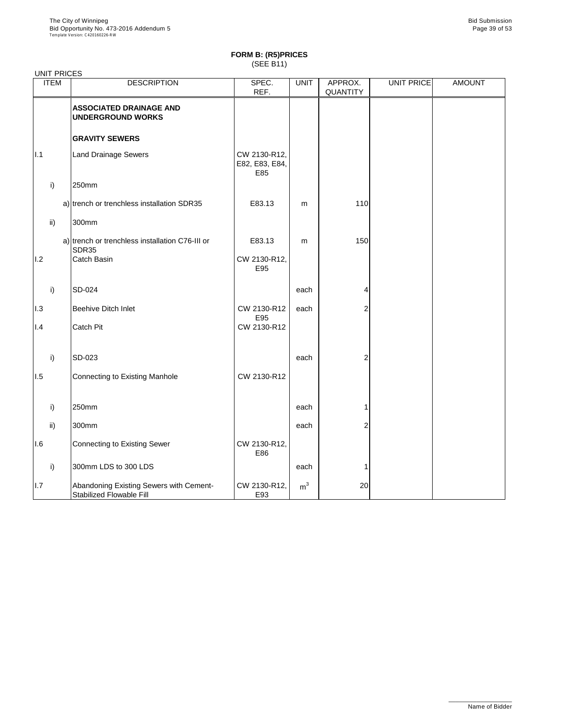| <b>UNIT PRICES</b> |                                                                            |                                       |                |                            |                   |               |
|--------------------|----------------------------------------------------------------------------|---------------------------------------|----------------|----------------------------|-------------------|---------------|
| <b>ITEM</b>        | <b>DESCRIPTION</b>                                                         | SPEC.<br>REF.                         | <b>UNIT</b>    | APPROX.<br><b>QUANTITY</b> | <b>UNIT PRICE</b> | <b>AMOUNT</b> |
|                    | <b>ASSOCIATED DRAINAGE AND</b><br><b>UNDERGROUND WORKS</b>                 |                                       |                |                            |                   |               |
|                    | <b>GRAVITY SEWERS</b>                                                      |                                       |                |                            |                   |               |
| 1.1                | <b>Land Drainage Sewers</b>                                                | CW 2130-R12,<br>E82, E83, E84,<br>E85 |                |                            |                   |               |
| i)                 | 250mm                                                                      |                                       |                |                            |                   |               |
|                    | a) trench or trenchless installation SDR35                                 | E83.13                                | m              | 110                        |                   |               |
| $\mathsf{ii}$      | 300mm                                                                      |                                       |                |                            |                   |               |
|                    | a) trench or trenchless installation C76-III or<br>SDR35                   | E83.13                                | m              | 150                        |                   |               |
| 1.2                | <b>Catch Basin</b>                                                         | CW 2130-R12,<br>E95                   |                |                            |                   |               |
| i)                 | <b>SD-024</b>                                                              |                                       | each           | 4                          |                   |               |
| 1.3                | <b>Beehive Ditch Inlet</b>                                                 | CW 2130-R12                           | each           | 2                          |                   |               |
| 1.4                | <b>Catch Pit</b>                                                           | E95<br>CW 2130-R12                    |                |                            |                   |               |
| i)                 | SD-023                                                                     |                                       | each           | 2                          |                   |               |
| 1.5                | Connecting to Existing Manhole                                             | CW 2130-R12                           |                |                            |                   |               |
| i)                 | 250mm                                                                      |                                       | each           |                            |                   |               |
| $\mathsf{ii}$      | 300mm                                                                      |                                       | each           | 2                          |                   |               |
| 1.6                | <b>Connecting to Existing Sewer</b>                                        | CW 2130-R12,<br>E86                   |                |                            |                   |               |
| i)                 | 300mm LDS to 300 LDS                                                       |                                       | each           |                            |                   |               |
| I.7                | Abandoning Existing Sewers with Cement-<br><b>Stabilized Flowable Fill</b> | CW 2130-R12,<br>E93                   | m <sup>3</sup> | 20                         |                   |               |

\_\_\_\_\_\_\_\_\_\_\_\_\_\_\_\_\_\_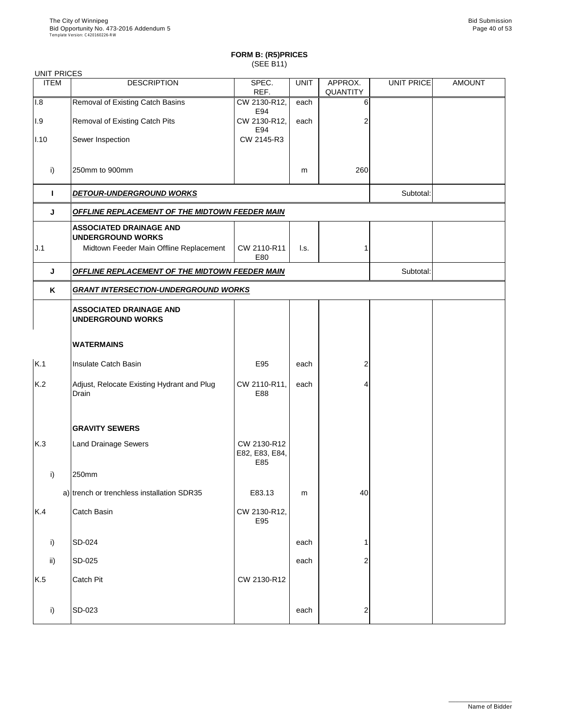### UNIT PRICES

| <b>ITEM</b>  | <b>DESCRIPTION</b>                                                                                    | SPEC.<br>REF.                        | <b>UNIT</b>               | APPROX.<br><b>QUANTITY</b> | UNIT PRICE | <b>AMOUNT</b> |  |  |  |
|--------------|-------------------------------------------------------------------------------------------------------|--------------------------------------|---------------------------|----------------------------|------------|---------------|--|--|--|
| 1.8          | <b>Removal of Existing Catch Basins</b>                                                               | CW 2130-R12,<br>E94                  | each                      | 6                          |            |               |  |  |  |
| .9           | <b>Removal of Existing Catch Pits</b>                                                                 | CW 2130-R12,<br>E94                  | each                      | 2                          |            |               |  |  |  |
| 1.10         | Sewer Inspection                                                                                      | CW 2145-R3                           |                           |                            |            |               |  |  |  |
| $\mathsf{i}$ | 250mm to 900mm                                                                                        |                                      | m                         | 260                        |            |               |  |  |  |
|              | <b>DETOUR-UNDERGROUND WORKS</b>                                                                       |                                      |                           |                            | Subtotal:  |               |  |  |  |
| J            | OFFLINE REPLACEMENT OF THE MIDTOWN FEEDER MAIN                                                        |                                      |                           |                            |            |               |  |  |  |
| J.1          | <b>ASSOCIATED DRAINAGE AND</b><br><b>UNDERGROUND WORKS</b><br>Midtown Feeder Main Offline Replacement | CW 2110-R11<br>E80                   | $\mathsf{I}.\mathsf{s}$ . |                            |            |               |  |  |  |
| J            | <b>OFFLINE REPLACEMENT OF THE MIDTOWN FEEDER MAIN</b>                                                 |                                      |                           |                            | Subtotal:  |               |  |  |  |
| K            | <b>GRANT INTERSECTION-UNDERGROUND WORKS</b>                                                           |                                      |                           |                            |            |               |  |  |  |
|              | <b>ASSOCIATED DRAINAGE AND</b><br><b>UNDERGROUND WORKS</b>                                            |                                      |                           |                            |            |               |  |  |  |
|              | <b>WATERMAINS</b>                                                                                     |                                      |                           |                            |            |               |  |  |  |
| K.1          | Insulate Catch Basin                                                                                  | E95                                  | each                      | $\mathsf{2}$               |            |               |  |  |  |
| K.2          | Adjust, Relocate Existing Hydrant and Plug<br><b>Drain</b>                                            | CW 2110-R11,<br>E88                  | each                      | 4                          |            |               |  |  |  |
|              | <b>GRAVITY SEWERS</b>                                                                                 |                                      |                           |                            |            |               |  |  |  |
| K.3          | <b>Land Drainage Sewers</b>                                                                           | CW 2130-R12<br>E82, E83, E84,<br>E85 |                           |                            |            |               |  |  |  |
| i)           | 250mm                                                                                                 |                                      |                           |                            |            |               |  |  |  |
|              | a) trench or trenchless installation SDR35                                                            | E83.13                               | m                         | 40                         |            |               |  |  |  |
| K.4          | Catch Basin                                                                                           | CW 2130-R12,                         |                           |                            |            |               |  |  |  |

E95

i) SD-024 each 1

| ii) | $ SD-025 $    |             | each | $\sim$<br>_ |  |
|-----|---------------|-------------|------|-------------|--|
| K.5 | Catch Pit     | CW 2130-R12 |      |             |  |
|     | <b>SD-023</b> |             | each | ⌒<br>_      |  |

\_\_\_\_\_\_\_\_\_\_\_\_\_\_\_\_\_\_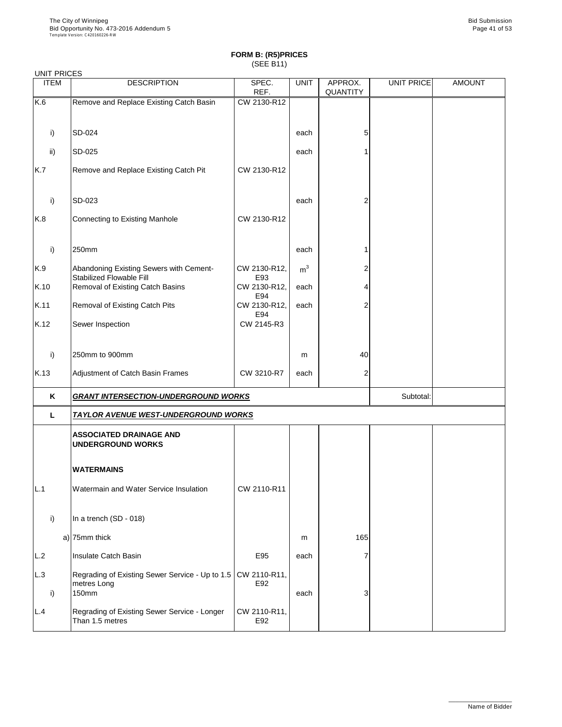| <b>UNIT PRICES</b> |                                                                            |                      |                |                            |                   |               |
|--------------------|----------------------------------------------------------------------------|----------------------|----------------|----------------------------|-------------------|---------------|
| <b>ITEM</b>        | <b>DESCRIPTION</b>                                                         | SPEC.<br>REF.        | <b>UNIT</b>    | APPROX.<br><b>QUANTITY</b> | <b>UNIT PRICE</b> | <b>AMOUNT</b> |
| K.6                | Remove and Replace Existing Catch Basin                                    | CW 2130-R12          |                |                            |                   |               |
|                    |                                                                            |                      |                |                            |                   |               |
| i)                 | SD-024                                                                     |                      | each           | 5                          |                   |               |
| $\mathsf{ii}$      | SD-025                                                                     |                      | each           |                            |                   |               |
| K.7                | Remove and Replace Existing Catch Pit                                      | CW 2130-R12          |                |                            |                   |               |
| i)                 | SD-023                                                                     |                      | each           | 2                          |                   |               |
| K.8                | <b>Connecting to Existing Manhole</b>                                      | CW 2130-R12          |                |                            |                   |               |
| i)                 | 250mm                                                                      |                      | each           |                            |                   |               |
| K.9                | Abandoning Existing Sewers with Cement-<br><b>Stabilized Flowable Fill</b> | CW 2130-R12,<br>E93  | m <sup>3</sup> |                            |                   |               |
| K.10               | Removal of Existing Catch Basins                                           | CW 2130-R12,<br>E94  | each           |                            |                   |               |
| K.11               | <b>Removal of Existing Catch Pits</b>                                      | CW 2130-R12,         | each           | $\overline{2}$             |                   |               |
| K.12               | Sewer Inspection                                                           | E94<br>CW 2145-R3    |                |                            |                   |               |
| i)                 | 250mm to 900mm                                                             |                      | m              | 40                         |                   |               |
| K.13               | Adjustment of Catch Basin Frames                                           | CW 3210-R7           | each           | $\overline{2}$             |                   |               |
| K                  | <b>GRANT INTERSECTION-UNDERGROUND WORKS</b>                                |                      |                |                            | Subtotal:         |               |
| L.                 | <b>TAYLOR AVENUE WEST-UNDERGROUND WORKS</b>                                |                      |                |                            |                   |               |
|                    | <b>ASSOCIATED DRAINAGE AND</b><br><b>UNDERGROUND WORKS</b>                 |                      |                |                            |                   |               |
|                    | <b>WATERMAINS</b>                                                          |                      |                |                            |                   |               |
| L.1                | Watermain and Water Service Insulation                                     | CW 2110-R11          |                |                            |                   |               |
| i)                 | In a trench (SD - 018)                                                     |                      |                |                            |                   |               |
|                    | a) $ 75$ mm thick                                                          |                      | m              | 165                        |                   |               |
|                    | Inculato Catab Racin                                                       | $C$ <sub>O</sub> $E$ |                |                            |                   |               |

| L.2 | Insulate Catch Basin                                                                                 | E95                 | each |  |  |
|-----|------------------------------------------------------------------------------------------------------|---------------------|------|--|--|
| L.3 | Regrading of Existing Sewer Service - Up to 1.5   CW 2110-R11,  <br>metres Long<br>150 <sub>mm</sub> | E92                 | each |  |  |
| L.4 | Regrading of Existing Sewer Service - Longer<br>Than 1.5 metres                                      | CW 2110-R11,<br>E92 |      |  |  |

\_\_\_\_\_\_\_\_\_\_\_\_\_\_\_\_\_\_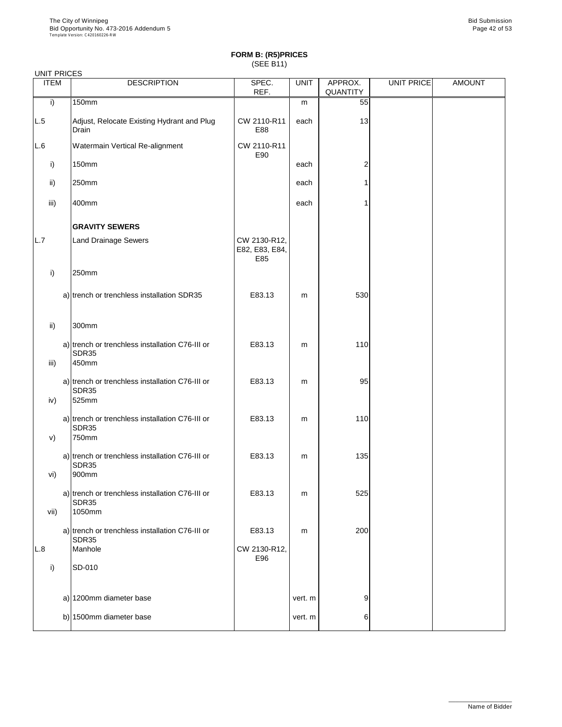| <b>UNIT PRICES</b> |                                                                          |                                       |             |                            |            |               |
|--------------------|--------------------------------------------------------------------------|---------------------------------------|-------------|----------------------------|------------|---------------|
| <b>ITEM</b>        | <b>DESCRIPTION</b>                                                       | SPEC.<br>REF.                         | <b>UNIT</b> | APPROX.<br><b>QUANTITY</b> | UNIT PRICE | <b>AMOUNT</b> |
| i)                 | 150mm                                                                    |                                       | m           | 55                         |            |               |
| L.5                | Adjust, Relocate Existing Hydrant and Plug<br>Drain                      | CW 2110-R11<br>E88                    | each        | 13                         |            |               |
| L.6                | Watermain Vertical Re-alignment                                          | CW 2110-R11<br>E90                    |             |                            |            |               |
| $\mathsf{i}$       | <b>150mm</b>                                                             |                                       | each        | $\overline{c}$             |            |               |
| ii)                | 250mm                                                                    |                                       | each        |                            |            |               |
| iii)               | 400mm                                                                    |                                       | each        |                            |            |               |
|                    | <b>GRAVITY SEWERS</b>                                                    |                                       |             |                            |            |               |
| L.7                | <b>Land Drainage Sewers</b>                                              | CW 2130-R12,<br>E82, E83, E84,<br>E85 |             |                            |            |               |
| i)                 | 250mm                                                                    |                                       |             |                            |            |               |
|                    | a) trench or trenchless installation SDR35                               | E83.13                                | m           | 530                        |            |               |
| ii)                | 300mm                                                                    |                                       |             |                            |            |               |
| iii)               | a) trench or trenchless installation C76-III or<br><b>SDR35</b><br>450mm | E83.13                                | m           | 110                        |            |               |
| iv)                | a) trench or trenchless installation C76-III or<br><b>SDR35</b><br>525mm | E83.13                                | m           | 95                         |            |               |
| V)                 | a) trench or trenchless installation C76-III or<br>SDR35<br>750mm        | E83.13                                | m           | 110                        |            |               |
|                    | a) trench or trenchless installation C76-III or<br><b>SDR35</b>          | E83.13                                | m           | 135                        |            |               |
| vi)                | 900mm<br>a) trench or trenchless installation C76-III or                 | E83.13                                | m           | 525                        |            |               |
| vii)               | <b>SDR35</b><br>1050mm                                                   |                                       |             |                            |            |               |
|                    | a) trench or trenchless installation C76-III or<br>SDR35                 | E83.13                                | m           | 200                        |            |               |
| L.8                | Manhole                                                                  | CW 2130-R12,<br>E96                   |             |                            |            |               |

| <b>SD-010</b>           |         |    |  |
|-------------------------|---------|----|--|
|                         |         |    |  |
| a) 1200mm diameter base | vert. m | 9' |  |
| b) 1500mm diameter base | vert. m | 6  |  |
|                         |         |    |  |

\_\_\_\_\_\_\_\_\_\_\_\_\_\_\_\_\_\_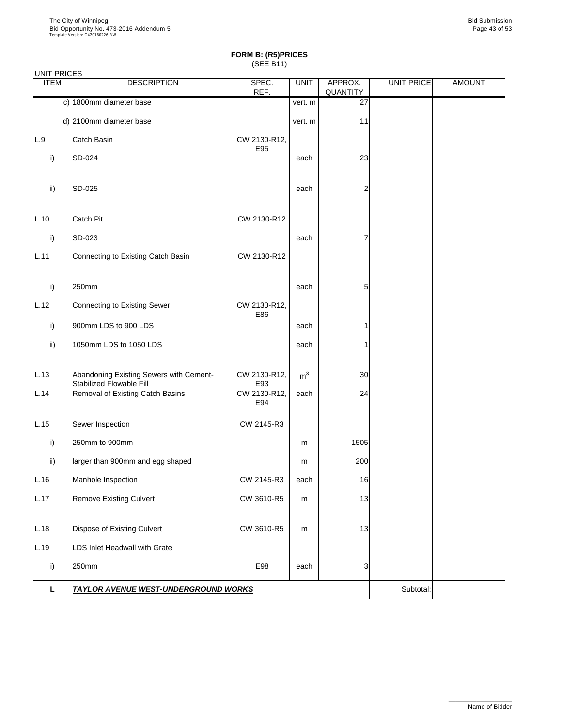| <b>UNIT PRICES</b> |                                                                            |                     |                |                            |            |               |
|--------------------|----------------------------------------------------------------------------|---------------------|----------------|----------------------------|------------|---------------|
| <b>ITEM</b>        | <b>DESCRIPTION</b>                                                         | SPEC.<br>REF.       | <b>UNIT</b>    | APPROX.<br><b>QUANTITY</b> | UNIT PRICE | <b>AMOUNT</b> |
|                    | c) 1800mm diameter base                                                    |                     | vert. m        | 27                         |            |               |
|                    | d) 2100mm diameter base                                                    |                     | vert. m        | 11                         |            |               |
| L.9                | <b>Catch Basin</b>                                                         | CW 2130-R12,<br>E95 |                |                            |            |               |
| i)                 | SD-024                                                                     |                     | each           | 23                         |            |               |
| $\mathsf{ii}$      | SD-025                                                                     |                     | each           | $\overline{2}$             |            |               |
| L.10               | <b>Catch Pit</b>                                                           | CW 2130-R12         |                |                            |            |               |
| i)                 | SD-023                                                                     |                     | each           |                            |            |               |
| L.11               | Connecting to Existing Catch Basin                                         | CW 2130-R12         |                |                            |            |               |
| i)                 | 250mm                                                                      |                     | each           | 5                          |            |               |
| L.12               | Connecting to Existing Sewer                                               | CW 2130-R12,<br>E86 |                |                            |            |               |
| i)                 | 900mm LDS to 900 LDS                                                       |                     | each           |                            |            |               |
| $\mathsf{ii}$      | 1050mm LDS to 1050 LDS                                                     |                     | each           |                            |            |               |
| L.13               | Abandoning Existing Sewers with Cement-<br><b>Stabilized Flowable Fill</b> | CW 2130-R12,<br>E93 | m <sup>3</sup> | 30 <sub>l</sub>            |            |               |
| L.14               | <b>Removal of Existing Catch Basins</b>                                    | CW 2130-R12,<br>E94 | each           | 24                         |            |               |
| L.15               | Sewer Inspection                                                           | CW 2145-R3          |                |                            |            |               |
| i)                 | 250mm to 900mm                                                             |                     | m              | 1505                       |            |               |
| $\mathsf{ii}$      | larger than 900mm and egg shaped                                           |                     | m              | 200                        |            |               |
| L.16               | Manhole Inspection                                                         | CW 2145-R3          | each           | 16                         |            |               |
| L.17               | <b>Remove Existing Culvert</b>                                             | CW 3610-R5          | m              | 13                         |            |               |
| L.18               | <b>Dispose of Existing Culvert</b>                                         | CW 3610-R5          | m              | 13                         |            |               |
| L.19               | <b>LDS Inlet Headwall with Grate</b>                                       |                     |                |                            |            |               |

| ⊺∩mm                                        | E98 | each | - |          |  |
|---------------------------------------------|-----|------|---|----------|--|
| <b>TAYLOR AVENUE WEST-UNDERGROUND WORKS</b> |     |      |   | 3ubtotal |  |

\_\_\_\_\_\_\_\_\_\_\_\_\_\_\_\_\_\_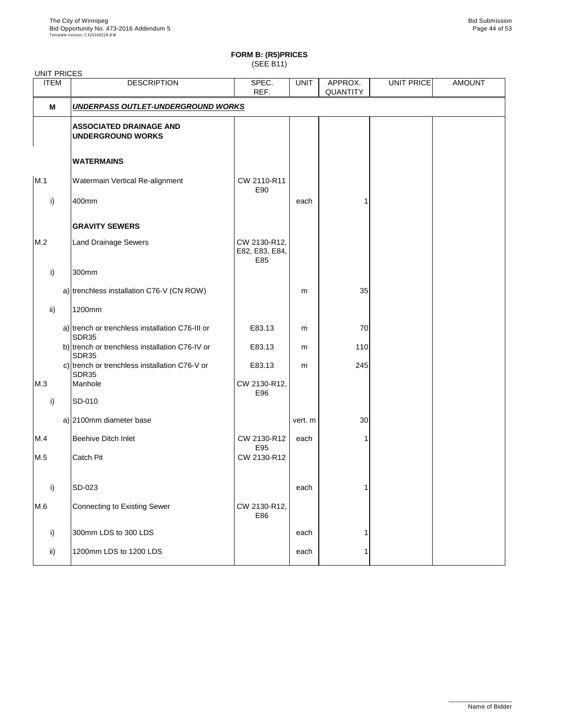# **FORM B: (R5)PRICES**

(SEE B11)

| <b>ITEM</b>  | <b>DESCRIPTION</b>                                         | SPEC.<br>REF.                         | <b>UNIT</b> | APPROX.<br><b>QUANTITY</b> | UNIT PRICE | <b>AMOUNT</b> |
|--------------|------------------------------------------------------------|---------------------------------------|-------------|----------------------------|------------|---------------|
| M            | UNDERPASS OUTLET-UNDERGROUND WORKS                         |                                       |             |                            |            |               |
|              | <b>ASSOCIATED DRAINAGE AND</b><br><b>UNDERGROUND WORKS</b> |                                       |             |                            |            |               |
|              | <b>WATERMAINS</b>                                          |                                       |             |                            |            |               |
| M.1          | Watermain Vertical Re-alignment                            | CW 2110-R11<br>E90                    |             |                            |            |               |
| i)           | 400mm                                                      |                                       | each        |                            |            |               |
|              | <b>GRAVITY SEWERS</b>                                      |                                       |             |                            |            |               |
| M.2          | <b>Land Drainage Sewers</b>                                | CW 2130-R12,<br>E82, E83, E84,<br>E85 |             |                            |            |               |
| i)           | 300mm                                                      |                                       |             |                            |            |               |
|              | a) trenchless installation C76-V (CN ROW)                  |                                       | m           | 35                         |            |               |
| ii)          | 1200mm                                                     |                                       |             |                            |            |               |
|              | a) trench or trenchless installation C76-III or<br>SDR35   | E83.13                                | m           | 70                         |            |               |
|              | b) trench or trenchless installation C76-IV or<br>SDR35    | E83.13                                | m           | 110                        |            |               |
|              | c) trench or trenchless installation C76-V or<br>SDR35     | E83.13                                | m           | 245                        |            |               |
| M.3          | Manhole                                                    | CW 2130-R12,<br>E96                   |             |                            |            |               |
| $\mathsf{i}$ | SD-010                                                     |                                       |             |                            |            |               |
|              | a) 2100mm diameter base                                    |                                       | vert. m     | 30                         |            |               |
| M.4          | <b>Beehive Ditch Inlet</b>                                 | CW 2130-R12<br>E95                    | each        |                            |            |               |
| M.5          | <b>Catch Pit</b>                                           | CW 2130-R12                           |             |                            |            |               |
| i)           | SD-023                                                     |                                       | each        |                            |            |               |
| M.6          | Connecting to Existing Sewer                               | CW 2130-R12,<br>E86                   |             |                            |            |               |
| i)           | 300mm LDS to 300 LDS                                       |                                       | each        |                            |            |               |
| ii)          | 1200mm LDS to 1200 LDS                                     |                                       | each        |                            |            |               |
|              |                                                            |                                       |             |                            |            |               |

\_\_\_\_\_\_\_\_\_\_\_\_\_\_\_\_\_\_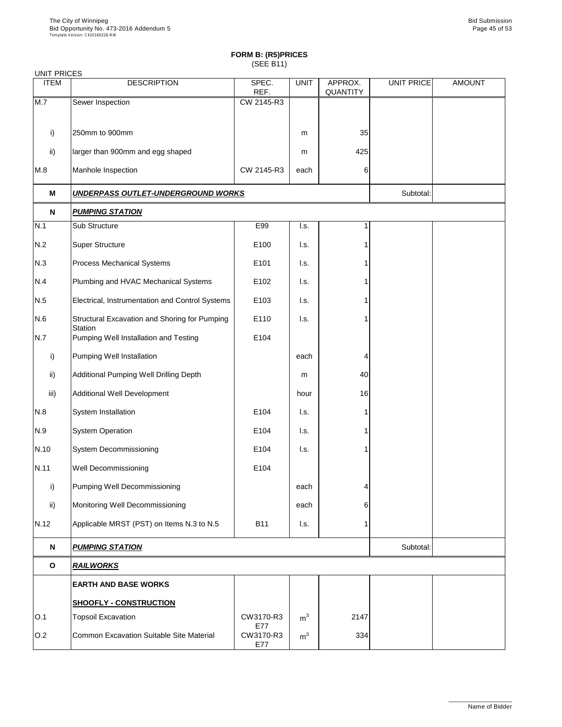| <b>UNIT PRICES</b> |                                                         |                         |                           |                            |                   |               |
|--------------------|---------------------------------------------------------|-------------------------|---------------------------|----------------------------|-------------------|---------------|
| <b>ITEM</b>        | <b>DESCRIPTION</b>                                      | SPEC.<br>REF.           | <b>UNIT</b>               | APPROX.<br><b>QUANTITY</b> | <b>UNIT PRICE</b> | <b>AMOUNT</b> |
| M.7                | Sewer Inspection                                        | CW 2145-R3              |                           |                            |                   |               |
|                    |                                                         |                         |                           |                            |                   |               |
| i)                 | 250mm to 900mm                                          |                         | m                         | 35                         |                   |               |
| $\mathsf{ii}$      | larger than 900mm and egg shaped                        |                         | m                         | 425                        |                   |               |
| M.8                | Manhole Inspection                                      | CW 2145-R3              | each                      | 6                          |                   |               |
| M                  | UNDERPASS OUTLET-UNDERGROUND WORKS                      |                         |                           |                            | Subtotal:         |               |
| N                  | <b>PUMPING STATION</b>                                  |                         |                           |                            |                   |               |
| N.1                | Sub Structure                                           | E99                     | I.s.                      | 1                          |                   |               |
| N.2                | <b>Super Structure</b>                                  | E100                    | I.s.                      |                            |                   |               |
| N.3                | <b>Process Mechanical Systems</b>                       | E101                    | I.s.                      |                            |                   |               |
| N.4                | Plumbing and HVAC Mechanical Systems                    | E102                    | I.s.                      |                            |                   |               |
| N.5                | Electrical, Instrumentation and Control Systems         | E103                    | I.s.                      |                            |                   |               |
| N.6                | Structural Excavation and Shoring for Pumping           | E110                    | I.s.                      |                            |                   |               |
| N.7                | <b>Station</b><br>Pumping Well Installation and Testing | E104                    |                           |                            |                   |               |
| i)                 | <b>Pumping Well Installation</b>                        |                         | each                      | 4                          |                   |               |
| $\mathsf{ii}$      | Additional Pumping Well Drilling Depth                  |                         | m                         | 40                         |                   |               |
| iii)               | <b>Additional Well Development</b>                      |                         | hour                      | 16                         |                   |               |
| N.8                | System Installation                                     | E104                    | $\mathsf{I}.\mathsf{s}$ . |                            |                   |               |
| N.9                | <b>System Operation</b>                                 | E104                    | I.s.                      |                            |                   |               |
| N.10               | <b>System Decommissioning</b>                           | E104                    | I.s.                      |                            |                   |               |
| N.11               | <b>Well Decommissioning</b>                             | E104                    |                           |                            |                   |               |
| i)                 | <b>Pumping Well Decommissioning</b>                     |                         | each                      | 4                          |                   |               |
| $\mathsf{ii}$      | Monitoring Well Decommissioning                         |                         | each                      | 6                          |                   |               |
| N.12               | Applicable MRST (PST) on Items N.3 to N.5               | <b>B11</b>              | I.s.                      |                            |                   |               |
| N                  | <u>PUMPING STATION</u>                                  |                         |                           |                            | Subtotal:         |               |
| $\mathbf O$        | <b>RAILWORKS</b>                                        |                         |                           |                            |                   |               |
|                    | <b>EARTH AND BASE WORKS</b>                             |                         |                           |                            |                   |               |
|                    | <b>SHOOFLY - CONSTRUCTION</b>                           |                         |                           |                            |                   |               |
| O.1                | <b>Topsoil Excavation</b>                               | CW3170-R3               | m <sup>3</sup>            | 2147                       |                   |               |
| O.2                | Common Excavation Suitable Site Material                | E77<br>CW3170-R3<br>E77 | m <sup>3</sup>            | 334                        |                   |               |

\_\_\_\_\_\_\_\_\_\_\_\_\_\_\_\_\_\_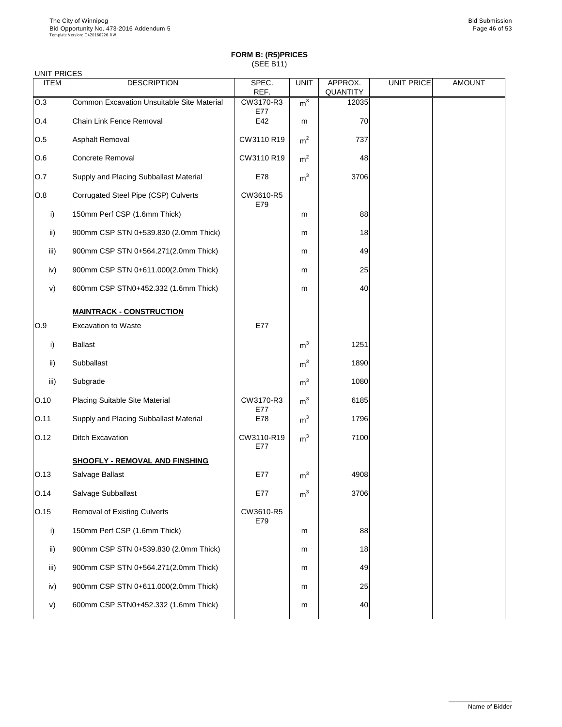### UNIT PRICES

| <b>UNILITIVIOLU</b> |                                                   |                   |                |                            |                   |               |
|---------------------|---------------------------------------------------|-------------------|----------------|----------------------------|-------------------|---------------|
| <b>ITEM</b>         | <b>DESCRIPTION</b>                                | SPEC.<br>REF.     | <b>UNIT</b>    | APPROX.<br><b>QUANTITY</b> | <b>UNIT PRICE</b> | <b>AMOUNT</b> |
| O.3                 | <b>Common Excavation Unsuitable Site Material</b> | CW3170-R3         | m <sup>3</sup> | 12035                      |                   |               |
| O.4                 | <b>Chain Link Fence Removal</b>                   | E77<br>E42        | m              | 70                         |                   |               |
| O.5                 | Asphalt Removal                                   | CW3110 R19        | m <sup>2</sup> | 737                        |                   |               |
| O.6                 | <b>Concrete Removal</b>                           | CW3110 R19        | m <sup>2</sup> | 48                         |                   |               |
| 0.7                 | Supply and Placing Subballast Material            | E78               | m <sup>3</sup> | 3706                       |                   |               |
| O.8                 | Corrugated Steel Pipe (CSP) Culverts              | CW3610-R5         |                |                            |                   |               |
| $\mathsf{i}$        | 150mm Perf CSP (1.6mm Thick)                      | E79               | m              | 88                         |                   |               |
| ii)                 | 900mm CSP STN 0+539.830 (2.0mm Thick)             |                   | m              | 18                         |                   |               |
| iii)                | 900mm CSP STN 0+564.271(2.0mm Thick)              |                   | m              | 49                         |                   |               |
| iv)                 | 900mm CSP STN 0+611.000(2.0mm Thick)              |                   | m              | 25                         |                   |               |
| V)                  | 600mm CSP STN0+452.332 (1.6mm Thick)              |                   | m              | 40                         |                   |               |
|                     | <b>MAINTRACK - CONSTRUCTION</b>                   |                   |                |                            |                   |               |
| O.9                 | <b>Excavation to Waste</b>                        | E77               |                |                            |                   |               |
| $\mathsf{i}$        | <b>Ballast</b>                                    |                   | m <sup>3</sup> | 1251                       |                   |               |
| ii)                 | <b>Subballast</b>                                 |                   | m <sup>3</sup> | 1890                       |                   |               |
| iii)                | Subgrade                                          |                   | m <sup>3</sup> | 1080                       |                   |               |
| O.10                | <b>Placing Suitable Site Material</b>             | CW3170-R3<br>E77  | m <sup>3</sup> | 6185                       |                   |               |
| O.11                | Supply and Placing Subballast Material            | E78               | m <sup>3</sup> | 1796                       |                   |               |
| O.12                | <b>Ditch Excavation</b>                           | CW3110-R19<br>E77 | m <sup>3</sup> | 7100                       |                   |               |
|                     | <b>SHOOFLY - REMOVAL AND FINSHING</b>             |                   |                |                            |                   |               |
| O.13                | Salvage Ballast                                   | E77               | m <sup>3</sup> | 4908                       |                   |               |
| O.14                | Salvage Subballast                                | E77               | m <sup>3</sup> | 3706                       |                   |               |
| O.15                | <b>Removal of Existing Culverts</b>               | CW3610-R5<br>E79  |                |                            |                   |               |
| i)                  | 150mm Perf CSP (1.6mm Thick)                      |                   | m              | 88                         |                   |               |
| $\mathsf{ii}$       | 900mm CSP STN 0+539.830 (2.0mm Thick)             |                   | m              | 18                         |                   |               |

| iii) | 900mm CSP STN 0+564.271(2.0mm Thick) | m | 49 |
|------|--------------------------------------|---|----|
| iv)  | 900mm CSP STN 0+611.000(2.0mm Thick) | m | 25 |
| v)   | 600mm CSP STN0+452.332 (1.6mm Thick) | m |    |



\_\_\_\_\_\_\_\_\_\_\_\_\_\_\_\_\_\_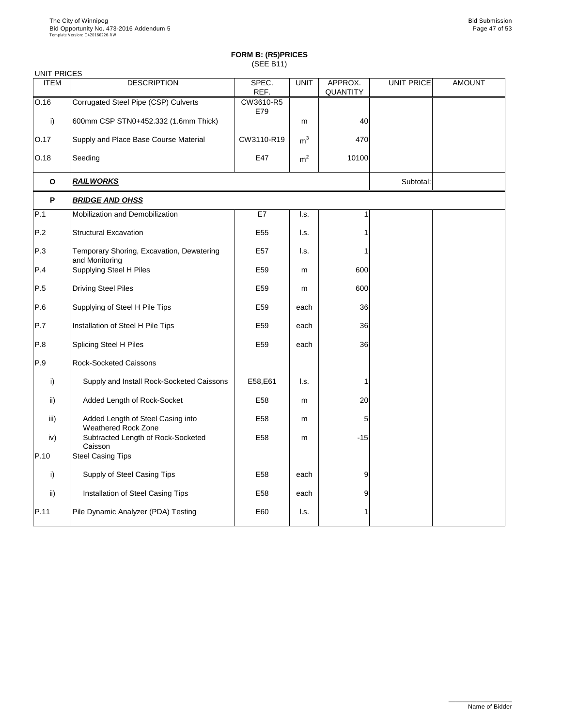| <b>UNIT PRICES</b> |                                                                 |                  |                |                            |                   |               |
|--------------------|-----------------------------------------------------------------|------------------|----------------|----------------------------|-------------------|---------------|
| <b>ITEM</b>        | <b>DESCRIPTION</b>                                              | SPEC.<br>REF.    | <b>UNIT</b>    | APPROX.<br><b>QUANTITY</b> | <b>UNIT PRICE</b> | <b>AMOUNT</b> |
| O.16               | Corrugated Steel Pipe (CSP) Culverts                            | CW3610-R5<br>E79 |                |                            |                   |               |
| $\mathsf{i}$       | 600mm CSP STN0+452.332 (1.6mm Thick)                            |                  | m              | 40                         |                   |               |
| O.17               | Supply and Place Base Course Material                           | CW3110-R19       | m <sup>3</sup> | 470                        |                   |               |
| O.18               | Seeding                                                         | E47              | m <sup>2</sup> | 10100                      |                   |               |
| $\mathbf 0$        | <b>RAILWORKS</b>                                                |                  |                |                            | Subtotal:         |               |
| P                  | <b>BRIDGE AND OHSS</b>                                          |                  |                |                            |                   |               |
| P.1                | Mobilization and Demobilization                                 | E7               | I.s.           |                            |                   |               |
| P.2                | <b>Structural Excavation</b>                                    | E <sub>55</sub>  | I.s.           |                            |                   |               |
| P.3                | Temporary Shoring, Excavation, Dewatering<br>and Monitoring     | E <sub>57</sub>  | I.s.           |                            |                   |               |
| P.4                | <b>Supplying Steel H Piles</b>                                  | E59              | m              | 600                        |                   |               |
| P.5                | <b>Driving Steel Piles</b>                                      | E59              | m              | 600                        |                   |               |
| P.6                | Supplying of Steel H Pile Tips                                  | E59              | each           | 36                         |                   |               |
| P.7                | Installation of Steel H Pile Tips                               | E59              | each           | 36                         |                   |               |
| P.8                | <b>Splicing Steel H Piles</b>                                   | E59              | each           | 36                         |                   |               |
| P.9                | <b>Rock-Socketed Caissons</b>                                   |                  |                |                            |                   |               |
| i)                 | Supply and Install Rock-Socketed Caissons                       | E58, E61         | I.s.           |                            |                   |               |
| $\mathsf{ii}$      | Added Length of Rock-Socket                                     | E <sub>58</sub>  | m              | 20                         |                   |               |
| iii)               | Added Length of Steel Casing into<br><b>Weathered Rock Zone</b> | E58              | m              | 5                          |                   |               |
| iv)                | Subtracted Length of Rock-Socketed<br>Caisson                   | E <sub>58</sub>  | m              | $-15$                      |                   |               |
| P.10               | <b>Steel Casing Tips</b>                                        |                  |                |                            |                   |               |
| $\mathsf{i}$       | Supply of Steel Casing Tips                                     | E <sub>58</sub>  | each           | 9                          |                   |               |
| $\mathsf{ii}$      | Installation of Steel Casing Tips                               | E58              | each           | 9                          |                   |               |
| P.11               | Pile Dynamic Analyzer (PDA) Testing                             | E60              | I.s.           |                            |                   |               |

\_\_\_\_\_\_\_\_\_\_\_\_\_\_\_\_\_\_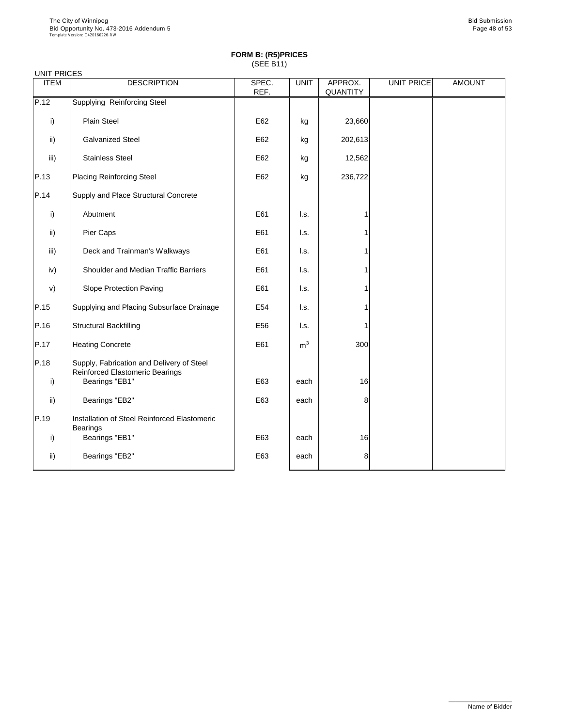| <b>UNIT PRICES</b> |                                                                                     |               |                |                     |            |               |
|--------------------|-------------------------------------------------------------------------------------|---------------|----------------|---------------------|------------|---------------|
| <b>ITEM</b>        | <b>DESCRIPTION</b>                                                                  | SPEC.<br>REF. | <b>UNIT</b>    | APPROX.<br>QUANTITY | UNIT PRICE | <b>AMOUNT</b> |
| P.12               | <b>Supplying Reinforcing Steel</b>                                                  |               |                |                     |            |               |
| i)                 | <b>Plain Steel</b>                                                                  | E62           | kg             | 23,660              |            |               |
| ii)                | <b>Galvanized Steel</b>                                                             | E62           | kg             | 202,613             |            |               |
| iii)               | <b>Stainless Steel</b>                                                              | E62           | kg             | 12,562              |            |               |
| P.13               | <b>Placing Reinforcing Steel</b>                                                    | E62           | kg             | 236,722             |            |               |
| P.14               | Supply and Place Structural Concrete                                                |               |                |                     |            |               |
| i)                 | Abutment                                                                            | E61           | I.s.           |                     |            |               |
| ii)                | Pier Caps                                                                           | E61           | l.s.           |                     |            |               |
| iii)               | Deck and Trainman's Walkways                                                        | E61           | I.s.           |                     |            |               |
| iv)                | <b>Shoulder and Median Traffic Barriers</b>                                         | E61           | l.s.           |                     |            |               |
| V)                 | <b>Slope Protection Paving</b>                                                      | E61           | I.s.           |                     |            |               |
| P.15               | Supplying and Placing Subsurface Drainage                                           | E54           | l.s.           |                     |            |               |
| P.16               | <b>Structural Backfilling</b>                                                       | E56           | l.s.           |                     |            |               |
| P.17               | <b>Heating Concrete</b>                                                             | E61           | m <sup>3</sup> | 300                 |            |               |
| P.18               | Supply, Fabrication and Delivery of Steel<br><b>Reinforced Elastomeric Bearings</b> |               |                |                     |            |               |
| i)                 | Bearings "EB1"                                                                      | E63           | each           | 16                  |            |               |
| ii)                | Bearings "EB2"                                                                      | E63           | each           | 8                   |            |               |
| P.19               | Installation of Steel Reinforced Elastomeric<br><b>Bearings</b>                     |               |                |                     |            |               |
| i)                 | Bearings "EB1"                                                                      | E63           | each           | 16                  |            |               |
| ii)                | Bearings "EB2"                                                                      | E63           | each           | 8                   |            |               |

\_\_\_\_\_\_\_\_\_\_\_\_\_\_\_\_\_\_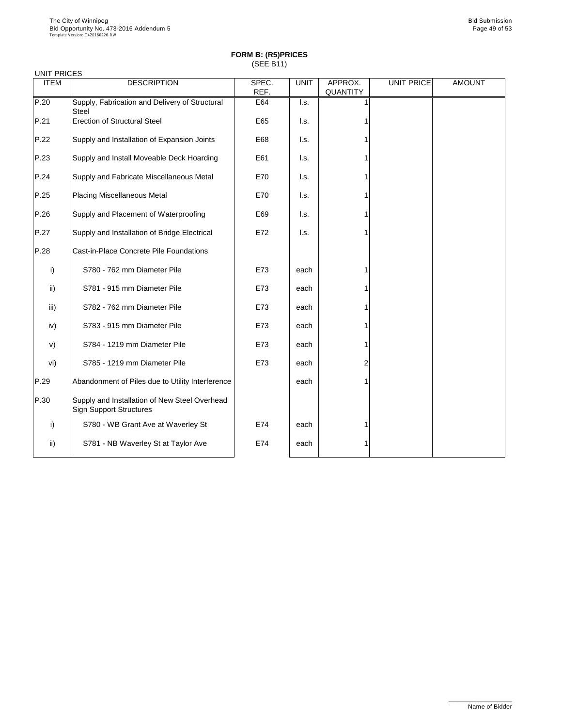| <b>UNIT PRICES</b> |                                                                                 |               |                           |                            |                   |               |
|--------------------|---------------------------------------------------------------------------------|---------------|---------------------------|----------------------------|-------------------|---------------|
| <b>ITEM</b>        | <b>DESCRIPTION</b>                                                              | SPEC.<br>REF. | <b>UNIT</b>               | APPROX.<br><b>QUANTITY</b> | <b>UNIT PRICE</b> | <b>AMOUNT</b> |
| P.20               | Supply, Fabrication and Delivery of Structural<br><b>Steel</b>                  | E64           | $\mathsf{I}.\mathsf{s}$ . |                            |                   |               |
| P.21               | <b>Erection of Structural Steel</b>                                             | E65           | I.s.                      |                            |                   |               |
| P.22               | Supply and Installation of Expansion Joints                                     | E68           | I.s.                      |                            |                   |               |
| P.23               | Supply and Install Moveable Deck Hoarding                                       | E61           | I.s.                      |                            |                   |               |
| P.24               | Supply and Fabricate Miscellaneous Metal                                        | E70           | I.s.                      |                            |                   |               |
| P.25               | <b>Placing Miscellaneous Metal</b>                                              | E70           | I.s.                      |                            |                   |               |
| P.26               | Supply and Placement of Waterproofing                                           | E69           | I.s.                      |                            |                   |               |
| P.27               | Supply and Installation of Bridge Electrical                                    | E72           | I.s.                      |                            |                   |               |
| P.28               | <b>Cast-in-Place Concrete Pile Foundations</b>                                  |               |                           |                            |                   |               |
| i)                 | S780 - 762 mm Diameter Pile                                                     | E73           | each                      |                            |                   |               |
| $\mathsf{ii}$ )    | S781 - 915 mm Diameter Pile                                                     | E73           | each                      |                            |                   |               |
| iii)               | S782 - 762 mm Diameter Pile                                                     | E73           | each                      |                            |                   |               |
| iv)                | S783 - 915 mm Diameter Pile                                                     | E73           | each                      |                            |                   |               |
| V)                 | S784 - 1219 mm Diameter Pile                                                    | E73           | each                      |                            |                   |               |
| vi)                | S785 - 1219 mm Diameter Pile                                                    | E73           | each                      | $\overline{2}$             |                   |               |
| P.29               | Abandonment of Piles due to Utility Interference                                |               | each                      |                            |                   |               |
| P.30               | Supply and Installation of New Steel Overhead<br><b>Sign Support Structures</b> |               |                           |                            |                   |               |
| $\mathsf{i}$       | S780 - WB Grant Ave at Waverley St                                              | E74           | each                      |                            |                   |               |
| $\mathsf{ii}$ )    | S781 - NB Waverley St at Taylor Ave                                             | E74           | each                      |                            |                   |               |

\_\_\_\_\_\_\_\_\_\_\_\_\_\_\_\_\_\_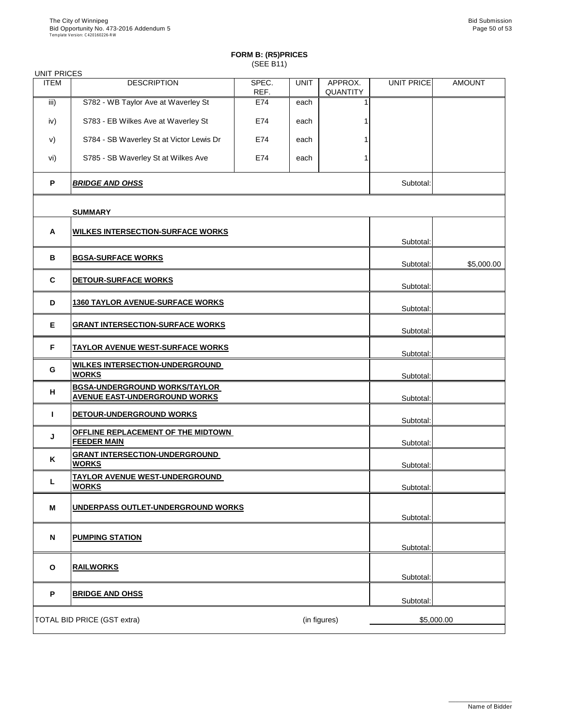| <b>UNIT PRICES</b> |                                                                              |               |             |                            |                   |               |
|--------------------|------------------------------------------------------------------------------|---------------|-------------|----------------------------|-------------------|---------------|
| <b>ITEM</b>        | <b>DESCRIPTION</b>                                                           | SPEC.<br>REF. | <b>UNIT</b> | APPROX.<br><b>QUANTITY</b> | <b>UNIT PRICE</b> | <b>AMOUNT</b> |
| iii)               | S782 - WB Taylor Ave at Waverley St                                          | E74           | each        |                            |                   |               |
| iv)                | S783 - EB Wilkes Ave at Waverley St                                          | E74           | each        |                            |                   |               |
| V)                 | S784 - SB Waverley St at Victor Lewis Dr                                     | E74           | each        |                            |                   |               |
| vi)                | S785 - SB Waverley St at Wilkes Ave                                          | E74           | each        |                            |                   |               |
| P                  | <b>BRIDGE AND OHSS</b>                                                       |               |             |                            | Subtotal:         |               |
|                    | <b>SUMMARY</b>                                                               |               |             |                            |                   |               |
| A                  | <b>WILKES INTERSECTION-SURFACE WORKS</b>                                     |               |             |                            |                   |               |
|                    |                                                                              |               |             |                            | Subtotal:         |               |
| $\mathbf B$        | <b>BGSA-SURFACE WORKS</b>                                                    |               |             |                            | Subtotal:         | \$5,000.00    |
| $\mathbf C$        | DETOUR-SURFACE WORKS                                                         |               |             |                            | Subtotal:         |               |
| D                  | <b>1360 TAYLOR AVENUE-SURFACE WORKS</b>                                      |               |             |                            | Subtotal:         |               |
| E.                 | <b>GRANT INTERSECTION-SURFACE WORKS</b>                                      |               |             |                            | Subtotal:         |               |
| F                  | <b>TAYLOR AVENUE WEST-SURFACE WORKS</b>                                      |               |             |                            | Subtotal:         |               |
| G                  | <b>WILKES INTERSECTION-UNDERGROUND</b><br><b>WORKS</b>                       |               |             |                            | Subtotal:         |               |
| H                  | <b>BGSA-UNDERGROUND WORKS/TAYLOR</b><br><b>AVENUE EAST-UNDERGROUND WORKS</b> |               |             |                            | Subtotal:         |               |
|                    | DETOUR-UNDERGROUND WORKS                                                     |               |             |                            | Subtotal:         |               |
| J                  | OFFLINE REPLACEMENT OF THE MIDTOWN<br><b>FEEDER MAIN</b>                     |               |             |                            | Subtotal:         |               |
| K                  | <b>GRANT INTERSECTION-UNDERGROUND</b><br><b>WORKS</b>                        |               |             |                            |                   |               |
|                    | <b>TAYLOR AVENUE WEST-UNDERGROUND</b>                                        |               |             |                            | Subtotal:         |               |
|                    | <b>WORKS</b>                                                                 |               |             |                            | Subtotal:         |               |
| M                  | UNDERPASS OUTLET-UNDERGROUND WORKS                                           |               |             |                            | Subtotal:         |               |
| N                  |                                                                              |               |             |                            |                   |               |
|                    | <b>PUMPING STATION</b>                                                       |               |             |                            | Subtotal:         |               |
|                    |                                                                              |               |             |                            |                   |               |

| O | <b>RAILWORKS</b>                   |              | Subtotal: |            |
|---|------------------------------------|--------------|-----------|------------|
| D | <b>BRIDGE AND OHSS</b>             |              | Subtotal: |            |
|   | <b>TOTAL BID PRICE (GST extra)</b> | (in figures) |           | \$5,000.00 |

\_\_\_\_\_\_\_\_\_\_\_\_\_\_\_\_\_\_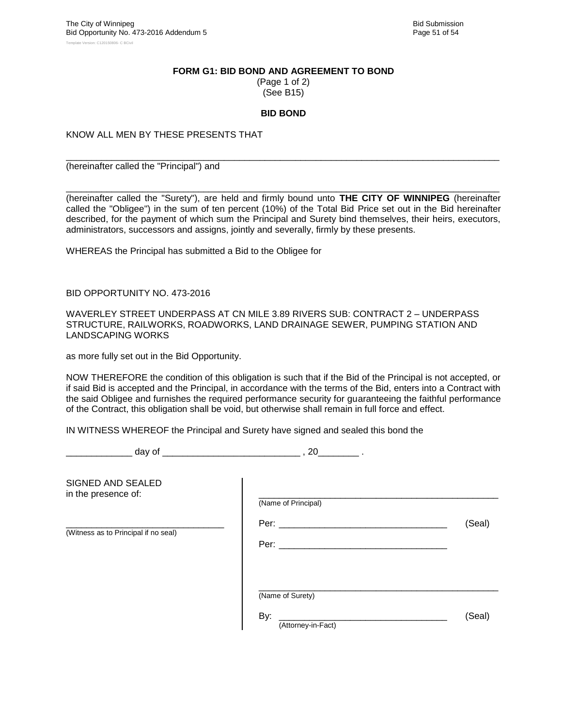#### **FORM G1: BID BOND AND AGREEMENT TO BOND**

(Page 1 of 2) (See B15)

#### **BID BOND**

\_\_\_\_\_\_\_\_\_\_\_\_\_\_\_\_\_\_\_\_\_\_\_\_\_\_\_\_\_\_\_\_\_\_\_\_\_\_\_\_\_\_\_\_\_\_\_\_\_\_\_\_\_\_\_\_\_\_\_\_\_\_\_\_\_\_\_\_\_\_\_\_\_\_\_\_\_\_\_\_\_\_\_\_\_

KNOW ALL MEN BY THESE PRESENTS THAT

(hereinafter called the "Principal") and

\_\_\_\_\_\_\_\_\_\_\_\_\_\_\_\_\_\_\_\_\_\_\_\_\_\_\_\_\_\_\_\_\_\_\_\_\_\_\_\_\_\_\_\_\_\_\_\_\_\_\_\_\_\_\_\_\_\_\_\_\_\_\_\_\_\_\_\_\_\_\_\_\_\_\_\_\_\_\_\_\_\_\_\_\_ (hereinafter called the "Surety"), are held and firmly bound unto **THE CITY OF WINNIPEG** (hereinafter called the "Obligee") in the sum of ten percent (10%) of the Total Bid Price set out in the Bid hereinafter described, for the payment of which sum the Principal and Surety bind themselves, their heirs, executors, administrators, successors and assigns, jointly and severally, firmly by these presents.

WHEREAS the Principal has submitted a Bid to the Obligee for

BID OPPORTUNITY NO. 473-2016

WAVERLEY STREET UNDERPASS AT CN MILE 3.89 RIVERS SUB: CONTRACT 2 – UNDERPASS STRUCTURE, RAILWORKS, ROADWORKS, LAND DRAINAGE SEWER, PUMPING STATION AND LANDSCAPING WORKS

as more fully set out in the Bid Opportunity.

NOW THEREFORE the condition of this obligation is such that if the Bid of the Principal is not accepted, or if said Bid is accepted and the Principal, in accordance with the terms of the Bid, enters into a Contract with the said Obligee and furnishes the required performance security for guaranteeing the faithful performance of the Contract, this obligation shall be void, but otherwise shall remain in full force and effect.

IN WITNESS WHEREOF the Principal and Surety have signed and sealed this bond the

\_\_\_\_\_\_\_\_\_\_\_\_\_ day of \_\_\_\_\_\_\_\_\_\_\_\_\_\_\_\_\_\_\_\_\_\_\_\_\_\_\_ , 20\_\_\_\_\_\_\_\_ .

| SIGNED AND SEALED<br>in the presence of: | (Name of Principal)                           |        |
|------------------------------------------|-----------------------------------------------|--------|
| (Witness as to Principal if no seal)     | Per: $\_\_$<br>Per: $\_\_$                    | (Seal) |
|                                          | (Name of Surety)<br>By:<br>(Attorney-in-Fact) | (Seal) |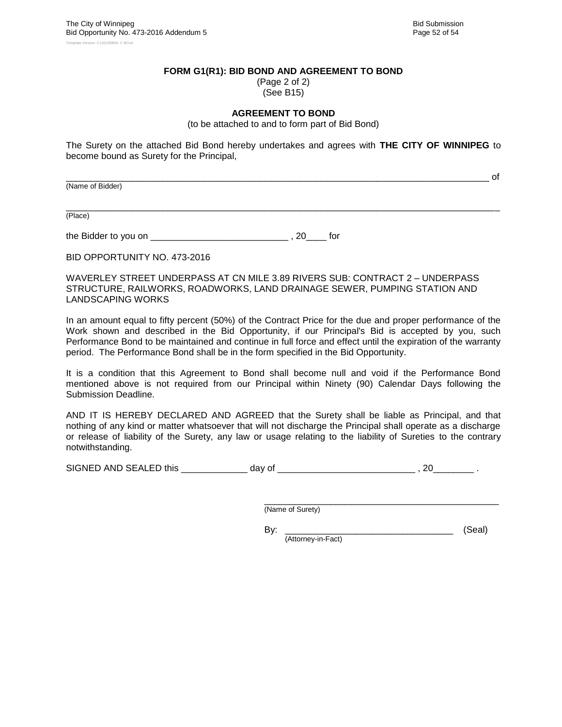\_\_\_\_\_\_\_\_\_\_\_\_\_\_\_\_\_\_\_\_\_\_\_\_\_\_\_\_\_\_\_\_\_\_\_\_\_\_\_\_\_\_\_\_\_\_\_\_\_\_\_\_\_\_\_\_\_\_\_\_\_\_\_\_\_\_\_\_\_\_\_\_\_\_\_\_\_\_\_\_\_\_\_ of

#### **FORM G1(R1): BID BOND AND AGREEMENT TO BOND**

(Page 2 of 2) (See B15)

#### **AGREEMENT TO BOND**

(to be attached to and to form part of Bid Bond)

The Surety on the attached Bid Bond hereby undertakes and agrees with **THE CITY OF WINNIPEG** to become bound as Surety for the Principal,

(Name of Bidder)

\_\_\_\_\_\_\_\_\_\_\_\_\_\_\_\_\_\_\_\_\_\_\_\_\_\_\_\_\_\_\_\_\_\_\_\_\_\_\_\_\_\_\_\_\_\_\_\_\_\_\_\_\_\_\_\_\_\_\_\_\_\_\_\_\_\_\_\_\_\_\_\_\_\_\_\_\_\_\_\_\_\_\_\_\_ (Place)

the Bidder to you on \_\_\_\_\_\_\_\_\_\_\_\_\_\_\_\_\_\_\_\_\_\_\_\_\_\_\_ , 20\_\_\_\_ for

BID OPPORTUNITY NO. 473-2016

WAVERLEY STREET UNDERPASS AT CN MILE 3.89 RIVERS SUB: CONTRACT 2 – UNDERPASS STRUCTURE, RAILWORKS, ROADWORKS, LAND DRAINAGE SEWER, PUMPING STATION AND LANDSCAPING WORKS

In an amount equal to fifty percent (50%) of the Contract Price for the due and proper performance of the Work shown and described in the Bid Opportunity, if our Principal's Bid is accepted by you, such Performance Bond to be maintained and continue in full force and effect until the expiration of the warranty period. The Performance Bond shall be in the form specified in the Bid Opportunity.

It is a condition that this Agreement to Bond shall become null and void if the Performance Bond mentioned above is not required from our Principal within Ninety (90) Calendar Days following the Submission Deadline.

AND IT IS HEREBY DECLARED AND AGREED that the Surety shall be liable as Principal, and that nothing of any kind or matter whatsoever that will not discharge the Principal shall operate as a discharge or release of liability of the Surety, any law or usage relating to the liability of Sureties to the contrary notwithstanding.

SIGNED AND SEALED this \_\_\_\_\_\_\_\_\_\_\_\_\_ day of \_\_\_\_\_\_\_\_\_\_\_\_\_\_\_\_\_\_\_\_\_\_\_\_\_\_\_ , 20\_\_\_\_\_\_\_\_ .

\_\_\_\_\_\_\_\_\_\_\_\_\_\_\_\_\_\_\_\_\_\_\_\_\_\_\_\_\_\_\_\_\_\_\_\_\_\_\_\_\_\_\_\_\_\_ (Name of Surety)

By: \_\_\_\_\_\_\_\_\_\_\_\_\_\_\_\_\_\_\_\_\_\_\_\_\_\_\_\_\_\_\_\_\_ (Seal) (Attorney-in-Fact)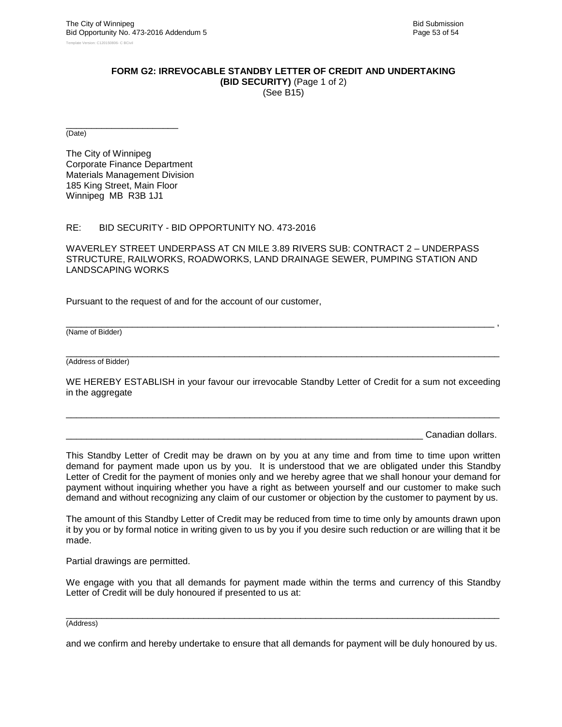#### **FORM G2: IRREVOCABLE STANDBY LETTER OF CREDIT AND UNDERTAKING**

**(BID SECURITY)** (Page 1 of 2) (See B15)

\_\_\_\_\_\_\_\_\_\_\_\_\_\_\_\_\_\_\_\_\_\_ (Date)

The City of Winnipeg Corporate Finance Department Materials Management Division 185 King Street, Main Floor Winnipeg MB R3B 1J1

#### RE: BID SECURITY - BID OPPORTUNITY NO. 473-2016

WAVERLEY STREET UNDERPASS AT CN MILE 3.89 RIVERS SUB: CONTRACT 2 – UNDERPASS STRUCTURE, RAILWORKS, ROADWORKS, LAND DRAINAGE SEWER, PUMPING STATION AND LANDSCAPING WORKS

Pursuant to the request of and for the account of our customer,

(Name of Bidder)

\_\_\_\_\_\_\_\_\_\_\_\_\_\_\_\_\_\_\_\_\_\_\_\_\_\_\_\_\_\_\_\_\_\_\_\_\_\_\_\_\_\_\_\_\_\_\_\_\_\_\_\_\_\_\_\_\_\_\_\_\_\_\_\_\_\_\_\_\_\_\_\_\_\_\_\_\_\_\_\_\_\_\_\_\_ (Address of Bidder)

WE HEREBY ESTABLISH in your favour our irrevocable Standby Letter of Credit for a sum not exceeding in the aggregate

\_\_\_\_\_\_\_\_\_\_\_\_\_\_\_\_\_\_\_\_\_\_\_\_\_\_\_\_\_\_\_\_\_\_\_\_\_\_\_\_\_\_\_\_\_\_\_\_\_\_\_\_\_\_\_\_\_\_\_\_\_\_\_\_\_\_\_\_\_\_\_\_\_\_\_\_\_\_\_\_\_\_\_\_\_

\_\_\_\_\_\_\_\_\_\_\_\_\_\_\_\_\_\_\_\_\_\_\_\_\_\_\_\_\_\_\_\_\_\_\_\_\_\_\_\_\_\_\_\_\_\_\_\_\_\_\_\_\_\_\_\_\_\_\_\_\_\_\_\_\_\_\_\_\_\_\_\_\_\_\_\_\_\_\_\_\_\_\_\_ ,

Canadian dollars.

This Standby Letter of Credit may be drawn on by you at any time and from time to time upon written demand for payment made upon us by you. It is understood that we are obligated under this Standby Letter of Credit for the payment of monies only and we hereby agree that we shall honour your demand for payment without inquiring whether you have a right as between yourself and our customer to make such demand and without recognizing any claim of our customer or objection by the customer to payment by us.

The amount of this Standby Letter of Credit may be reduced from time to time only by amounts drawn upon it by you or by formal notice in writing given to us by you if you desire such reduction or are willing that it be made.

Partial drawings are permitted.

We engage with you that all demands for payment made within the terms and currency of this Standby Letter of Credit will be duly honoured if presented to us at:

#### \_\_\_\_\_\_\_\_\_\_\_\_\_\_\_\_\_\_\_\_\_\_\_\_\_\_\_\_\_\_\_\_\_\_\_\_\_\_\_\_\_\_\_\_\_\_\_\_\_\_\_\_\_\_\_\_\_\_\_\_\_\_\_\_\_\_\_\_\_\_\_\_\_\_\_\_\_\_\_\_\_\_\_\_\_ (Address)

and we confirm and hereby undertake to ensure that all demands for payment will be duly honoured by us.